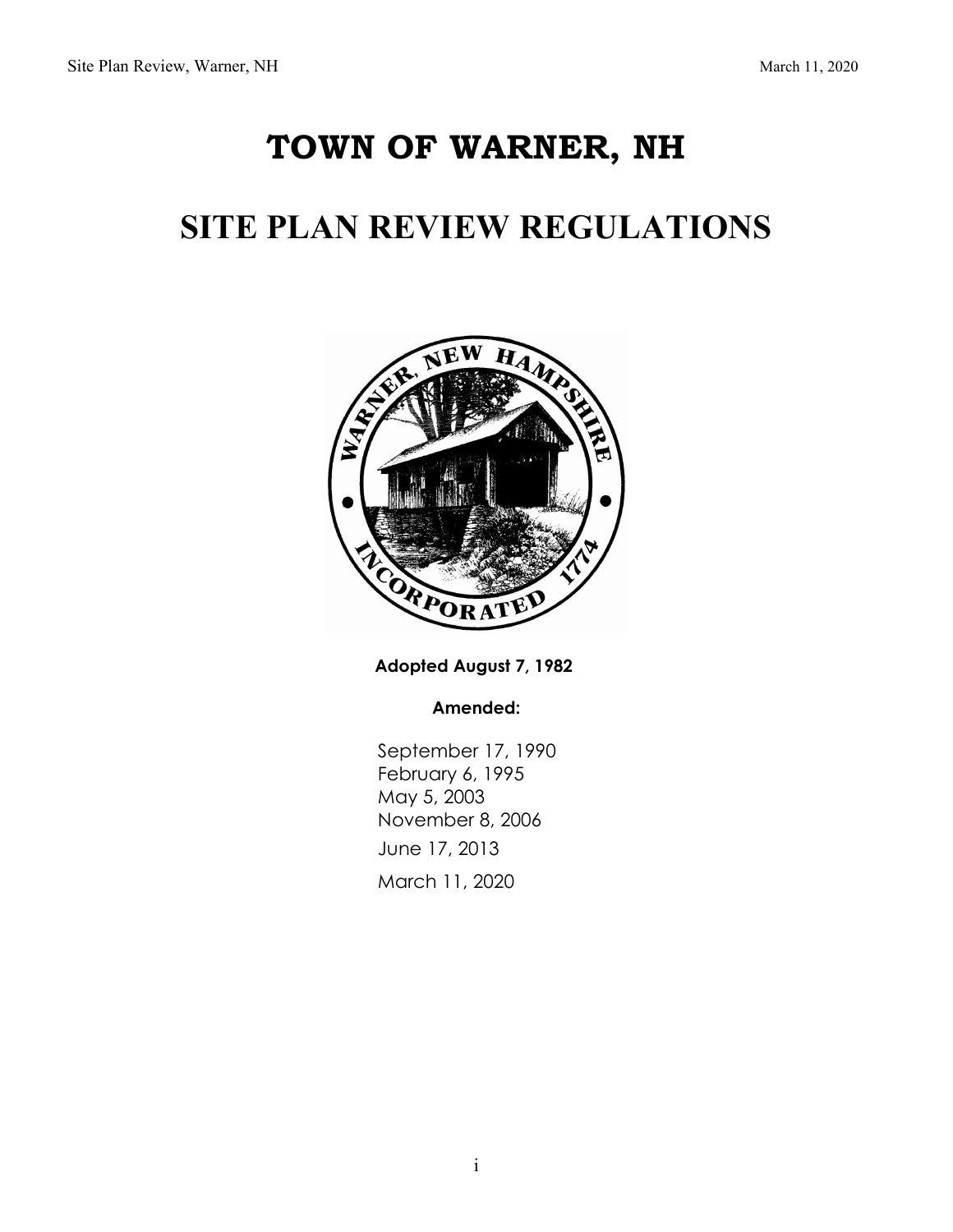# **TOWN OF WARNER, NH**

# **SITE PLAN REVIEW REGULATIONS**



**Adopted August 7, 1982** 

**Amended:**

September 17, 1990 February 6, 1995 May 5, 2003 November 8, 2006 June 17, 2013 March 11, 2020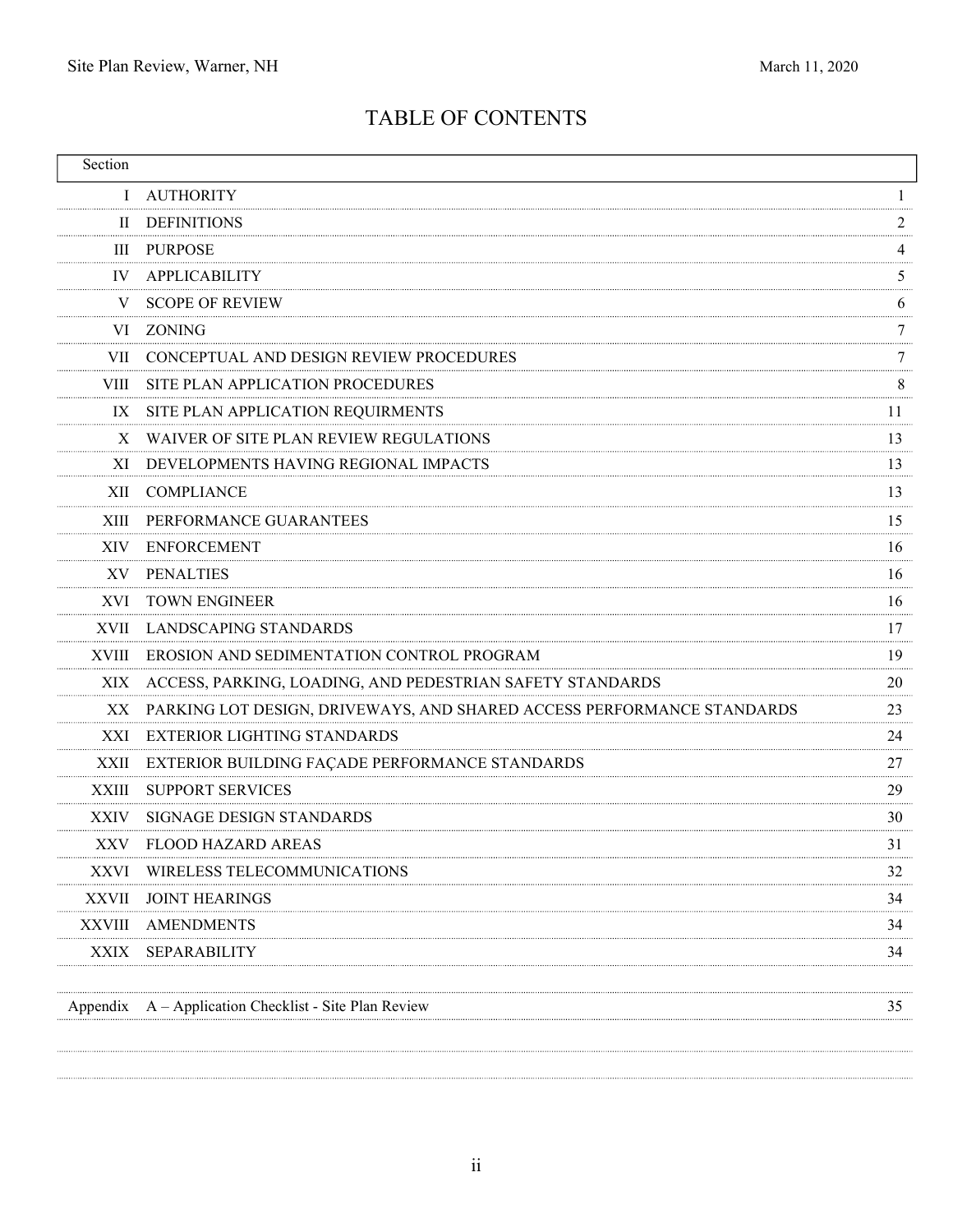. . . . . . .

# TABLE OF CONTENTS

| Section     |                                                                           |    |
|-------------|---------------------------------------------------------------------------|----|
| L           | AUTHORITY                                                                 |    |
|             | II DEFINITIONS                                                            |    |
|             | <b>III PURPOSE</b>                                                        | 4  |
| IV.         | APPLICABILITY                                                             | 5  |
| V           | <b>SCOPE OF REVIEW</b>                                                    | 6  |
|             | VI ZONING                                                                 |    |
|             | VII CONCEPTUAL AND DESIGN REVIEW PROCEDURES                               |    |
|             | VIII SITE PLAN APPLICATION PROCEDURES                                     | 8  |
| IX          | SITE PLAN APPLICATION REQUIRMENTS                                         | 11 |
| X           | WAIVER OF SITE PLAN REVIEW REGULATIONS                                    | 13 |
| XI.         | DEVELOPMENTS HAVING REGIONAL IMPACTS                                      | 13 |
|             | XII COMPLIANCE                                                            | 13 |
|             | XIII PERFORMANCE GUARANTEES                                               | 15 |
|             | XIV ENFORCEMENT                                                           | 16 |
|             | XV PENALTIES                                                              | 16 |
| XVI.        | <b>TOWN ENGINEER</b>                                                      | 16 |
|             | XVII LANDSCAPING STANDARDS                                                | 17 |
|             | XVIII EROSION AND SEDIMENTATION CONTROL PROGRAM                           | 19 |
|             | XIX ACCESS, PARKING, LOADING, AND PEDESTRIAN SAFETY STANDARDS             | 20 |
|             | XX PARKING LOT DESIGN, DRIVEWAYS, AND SHARED ACCESS PERFORMANCE STANDARDS | 23 |
| XXI         | EXTERIOR LIGHTING STANDARDS                                               | 24 |
|             | XXII EXTERIOR BUILDING FAÇADE PERFORMANCE STANDARDS                       | 27 |
| XXIII       | <b>SUPPORT SERVICES</b>                                                   | 29 |
| <b>XXIV</b> | SIGNAGE DESIGN STANDARDS                                                  | 30 |
|             | XXV FLOOD HAZARD AREAS                                                    | 31 |
|             | XXVI WIRELESS TELECOMMUNICATIONS                                          | 32 |
| XXVII       | <b>JOINT HEARINGS</b>                                                     | 34 |
| XXVIII      | AMENDMENTS                                                                | 34 |
| XXIX        | SEPARABILITY                                                              | 34 |
|             |                                                                           |    |
|             | Appendix A - Application Checklist - Site Plan Review                     | 35 |
|             |                                                                           |    |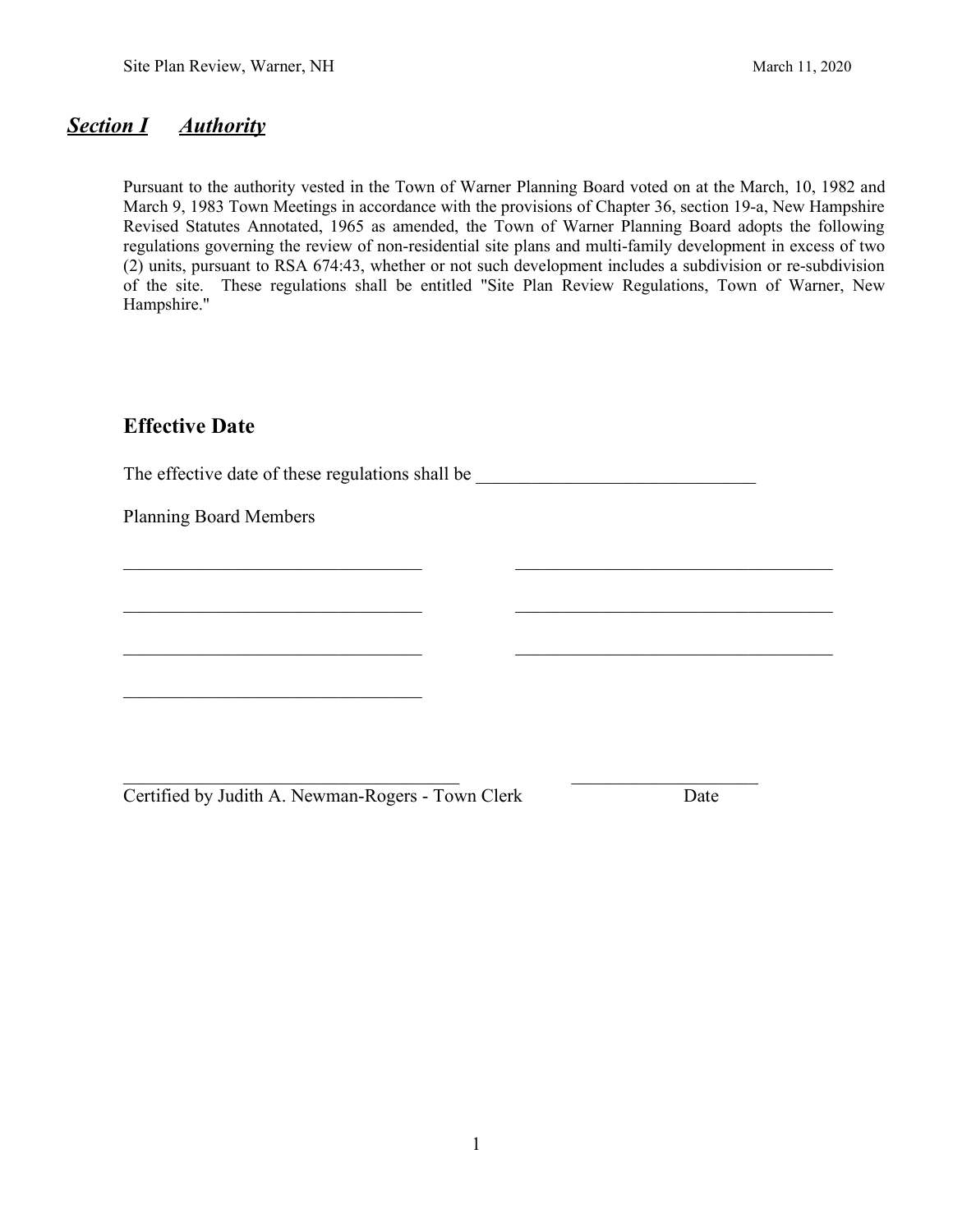### *Section I Authority*

Pursuant to the authority vested in the Town of Warner Planning Board voted on at the March, 10, 1982 and March 9, 1983 Town Meetings in accordance with the provisions of Chapter 36, section 19-a, New Hampshire Revised Statutes Annotated, 1965 as amended, the Town of Warner Planning Board adopts the following regulations governing the review of non-residential site plans and multi-family development in excess of two (2) units, pursuant to RSA 674:43, whether or not such development includes a subdivision or re-subdivision of the site. These regulations shall be entitled "Site Plan Review Regulations, Town of Warner, New Hampshire."

## **Effective Date**

The effective date of these regulations shall be

 $\frac{1}{2}$  ,  $\frac{1}{2}$  ,  $\frac{1}{2}$  ,  $\frac{1}{2}$  ,  $\frac{1}{2}$  ,  $\frac{1}{2}$  ,  $\frac{1}{2}$  ,  $\frac{1}{2}$  ,  $\frac{1}{2}$  ,  $\frac{1}{2}$  ,  $\frac{1}{2}$  ,  $\frac{1}{2}$  ,  $\frac{1}{2}$  ,  $\frac{1}{2}$  ,  $\frac{1}{2}$  ,  $\frac{1}{2}$  ,  $\frac{1}{2}$  ,  $\frac{1}{2}$  ,  $\frac{1$ 

 $\frac{1}{2}$  ,  $\frac{1}{2}$  ,  $\frac{1}{2}$  ,  $\frac{1}{2}$  ,  $\frac{1}{2}$  ,  $\frac{1}{2}$  ,  $\frac{1}{2}$  ,  $\frac{1}{2}$  ,  $\frac{1}{2}$  ,  $\frac{1}{2}$  ,  $\frac{1}{2}$  ,  $\frac{1}{2}$  ,  $\frac{1}{2}$  ,  $\frac{1}{2}$  ,  $\frac{1}{2}$  ,  $\frac{1}{2}$  ,  $\frac{1}{2}$  ,  $\frac{1}{2}$  ,  $\frac{1$ 

\_\_\_\_\_\_\_\_\_\_\_\_\_\_\_\_\_\_\_\_\_\_\_\_\_\_\_\_\_\_\_\_ \_\_\_\_\_\_\_\_\_\_\_\_\_\_\_\_\_\_\_\_\_\_\_\_\_\_\_\_\_\_\_\_\_\_

\_\_\_\_\_\_\_\_\_\_\_\_\_\_\_\_\_\_\_\_\_\_\_\_\_\_\_\_\_\_\_\_\_\_\_\_ \_\_\_\_\_\_\_\_\_\_\_\_\_\_\_\_\_\_\_\_

Planning Board Members

Certified by Judith A. Newman-Rogers - Town Clerk Date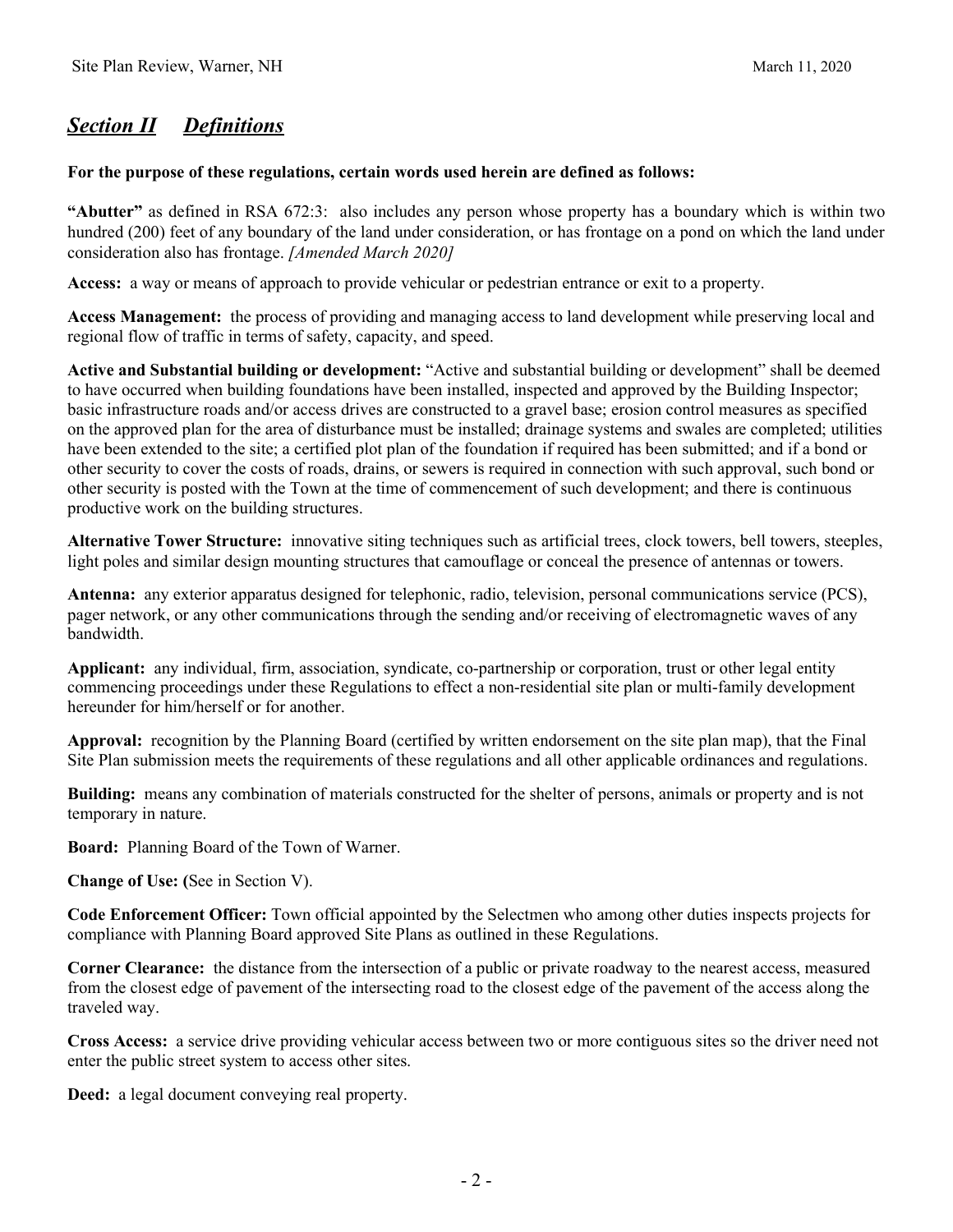# *Section II Definitions*

#### **For the purpose of these regulations, certain words used herein are defined as follows:**

**"Abutter"** as defined in RSA 672:3: also includes any person whose property has a boundary which is within two hundred (200) feet of any boundary of the land under consideration, or has frontage on a pond on which the land under consideration also has frontage. *[Amended March 2020]*

**Access:** a way or means of approach to provide vehicular or pedestrian entrance or exit to a property.

**Access Management:** the process of providing and managing access to land development while preserving local and regional flow of traffic in terms of safety, capacity, and speed.

**Active and Substantial building or development:** "Active and substantial building or development" shall be deemed to have occurred when building foundations have been installed, inspected and approved by the Building Inspector; basic infrastructure roads and/or access drives are constructed to a gravel base; erosion control measures as specified on the approved plan for the area of disturbance must be installed; drainage systems and swales are completed; utilities have been extended to the site; a certified plot plan of the foundation if required has been submitted; and if a bond or other security to cover the costs of roads, drains, or sewers is required in connection with such approval, such bond or other security is posted with the Town at the time of commencement of such development; and there is continuous productive work on the building structures.

**Alternative Tower Structure:** innovative siting techniques such as artificial trees, clock towers, bell towers, steeples, light poles and similar design mounting structures that camouflage or conceal the presence of antennas or towers.

**Antenna:** any exterior apparatus designed for telephonic, radio, television, personal communications service (PCS), pager network, or any other communications through the sending and/or receiving of electromagnetic waves of any bandwidth.

**Applicant:** any individual, firm, association, syndicate, co-partnership or corporation, trust or other legal entity commencing proceedings under these Regulations to effect a non-residential site plan or multi-family development hereunder for him/herself or for another.

**Approval:** recognition by the Planning Board (certified by written endorsement on the site plan map), that the Final Site Plan submission meets the requirements of these regulations and all other applicable ordinances and regulations.

**Building:** means any combination of materials constructed for the shelter of persons, animals or property and is not temporary in nature.

**Board:** Planning Board of the Town of Warner.

**Change of Use: (**See in Section V).

**Code Enforcement Officer:** Town official appointed by the Selectmen who among other duties inspects projects for compliance with Planning Board approved Site Plans as outlined in these Regulations.

**Corner Clearance:** the distance from the intersection of a public or private roadway to the nearest access, measured from the closest edge of pavement of the intersecting road to the closest edge of the pavement of the access along the traveled way.

**Cross Access:** a service drive providing vehicular access between two or more contiguous sites so the driver need not enter the public street system to access other sites.

**Deed:** a legal document conveying real property.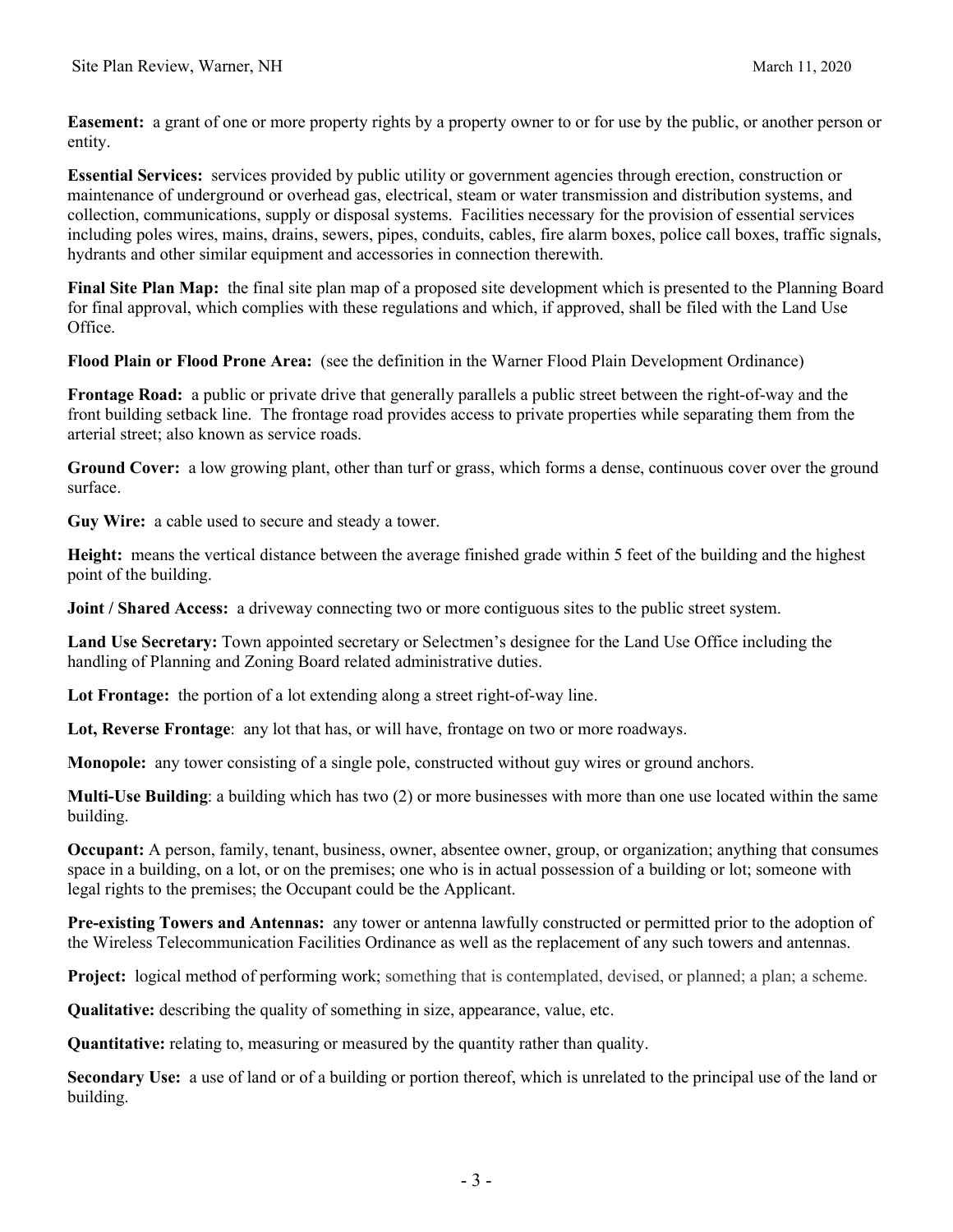**Easement:** a grant of one or more property rights by a property owner to or for use by the public, or another person or entity.

**Essential Services:** services provided by public utility or government agencies through erection, construction or maintenance of underground or overhead gas, electrical, steam or water transmission and distribution systems, and collection, communications, supply or disposal systems. Facilities necessary for the provision of essential services including poles wires, mains, drains, sewers, pipes, conduits, cables, fire alarm boxes, police call boxes, traffic signals, hydrants and other similar equipment and accessories in connection therewith.

**Final Site Plan Map:** the final site plan map of a proposed site development which is presented to the Planning Board for final approval, which complies with these regulations and which, if approved, shall be filed with the Land Use Office.

**Flood Plain or Flood Prone Area:** (see the definition in the Warner Flood Plain Development Ordinance)

**Frontage Road:** a public or private drive that generally parallels a public street between the right-of-way and the front building setback line. The frontage road provides access to private properties while separating them from the arterial street; also known as service roads.

**Ground Cover:** a low growing plant, other than turf or grass, which forms a dense, continuous cover over the ground surface.

**Guy Wire:** a cable used to secure and steady a tower.

**Height:** means the vertical distance between the average finished grade within 5 feet of the building and the highest point of the building.

**Joint / Shared Access:** a driveway connecting two or more contiguous sites to the public street system.

**Land Use Secretary:** Town appointed secretary or Selectmen's designee for the Land Use Office including the handling of Planning and Zoning Board related administrative duties.

Lot Frontage: the portion of a lot extending along a street right-of-way line.

**Lot, Reverse Frontage**: any lot that has, or will have, frontage on two or more roadways.

**Monopole:** any tower consisting of a single pole, constructed without guy wires or ground anchors.

**Multi-Use Building**: a building which has two (2) or more businesses with more than one use located within the same building.

**Occupant:** A person, family, tenant, business, owner, absentee owner, group, or organization; anything that consumes space in a building, on a lot, or on the premises; one who is in actual possession of a building or lot; someone with legal rights to the premises; the Occupant could be the Applicant.

**Pre-existing Towers and Antennas:** any tower or antenna lawfully constructed or permitted prior to the adoption of the Wireless Telecommunication Facilities Ordinance as well as the replacement of any such towers and antennas.

**Project:** logical method of performing work; something that is contemplated, devised, or planned; a plan; a scheme.

**Qualitative:** describing the quality of something in size, appearance, value, etc.

**Quantitative:** relating to, measuring or measured by the quantity rather than quality.

**Secondary Use:** a use of land or of a building or portion thereof, which is unrelated to the principal use of the land or building.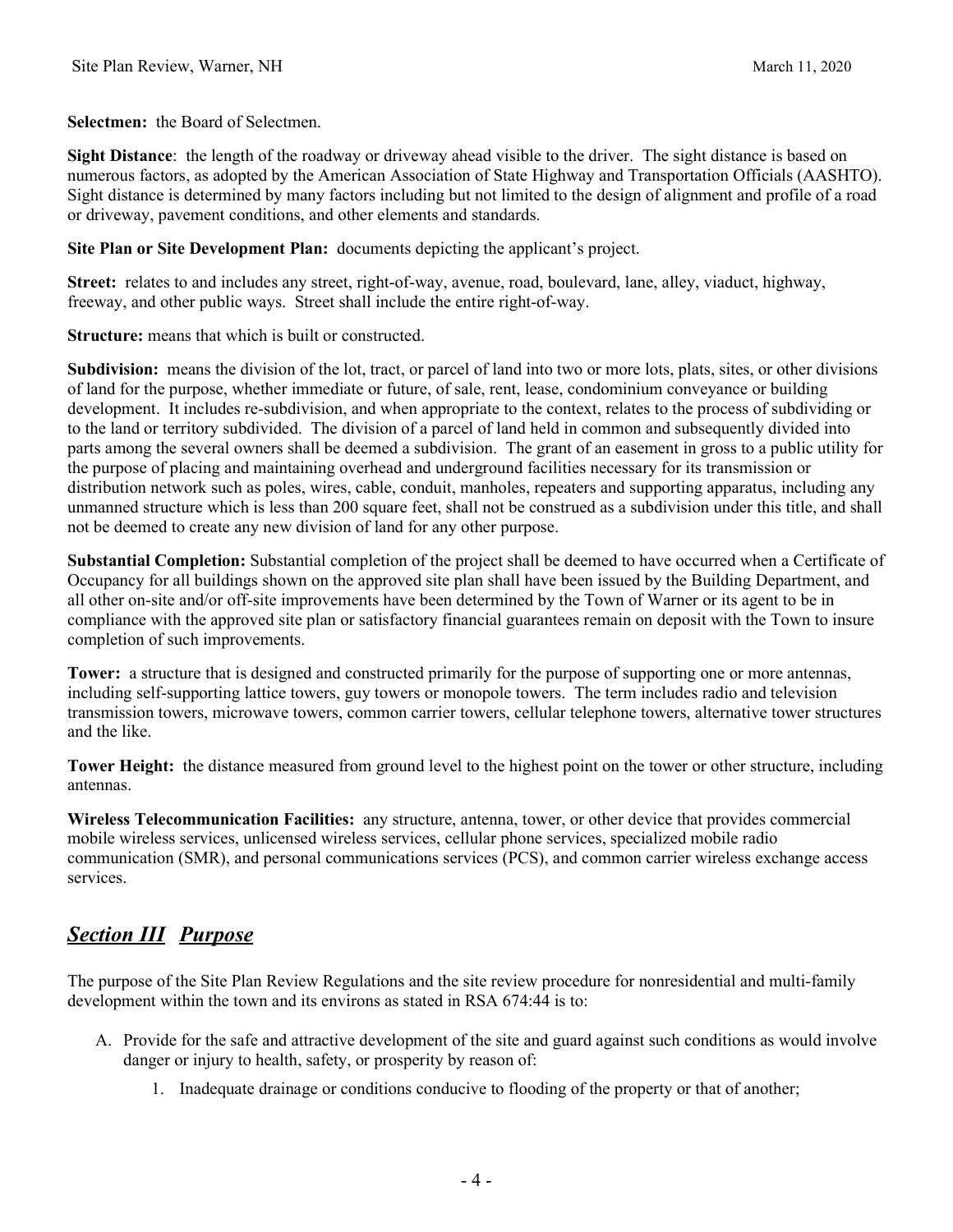**Selectmen:** the Board of Selectmen.

**Sight Distance**: the length of the roadway or driveway ahead visible to the driver. The sight distance is based on numerous factors, as adopted by the American Association of State Highway and Transportation Officials (AASHTO). Sight distance is determined by many factors including but not limited to the design of alignment and profile of a road or driveway, pavement conditions, and other elements and standards.

**Site Plan or Site Development Plan:** documents depicting the applicant's project.

**Street:** relates to and includes any street, right-of-way, avenue, road, boulevard, lane, alley, viaduct, highway, freeway, and other public ways. Street shall include the entire right-of-way.

**Structure:** means that which is built or constructed.

**Subdivision:** means the division of the lot, tract, or parcel of land into two or more lots, plats, sites, or other divisions of land for the purpose, whether immediate or future, of sale, rent, lease, condominium conveyance or building development. It includes re-subdivision, and when appropriate to the context, relates to the process of subdividing or to the land or territory subdivided. The division of a parcel of land held in common and subsequently divided into parts among the several owners shall be deemed a subdivision. The grant of an easement in gross to a public utility for the purpose of placing and maintaining overhead and underground facilities necessary for its transmission or distribution network such as poles, wires, cable, conduit, manholes, repeaters and supporting apparatus, including any unmanned structure which is less than 200 square feet, shall not be construed as a subdivision under this title, and shall not be deemed to create any new division of land for any other purpose.

**Substantial Completion:** Substantial completion of the project shall be deemed to have occurred when a Certificate of Occupancy for all buildings shown on the approved site plan shall have been issued by the Building Department, and all other on-site and/or off-site improvements have been determined by the Town of Warner or its agent to be in compliance with the approved site plan or satisfactory financial guarantees remain on deposit with the Town to insure completion of such improvements.

**Tower:** a structure that is designed and constructed primarily for the purpose of supporting one or more antennas, including self-supporting lattice towers, guy towers or monopole towers. The term includes radio and television transmission towers, microwave towers, common carrier towers, cellular telephone towers, alternative tower structures and the like.

**Tower Height:** the distance measured from ground level to the highest point on the tower or other structure, including antennas.

**Wireless Telecommunication Facilities:** any structure, antenna, tower, or other device that provides commercial mobile wireless services, unlicensed wireless services, cellular phone services, specialized mobile radio communication (SMR), and personal communications services (PCS), and common carrier wireless exchange access services.

# *Section III Purpose*

The purpose of the Site Plan Review Regulations and the site review procedure for nonresidential and multi-family development within the town and its environs as stated in RSA 674:44 is to:

- A. Provide for the safe and attractive development of the site and guard against such conditions as would involve danger or injury to health, safety, or prosperity by reason of:
	- 1. Inadequate drainage or conditions conducive to flooding of the property or that of another;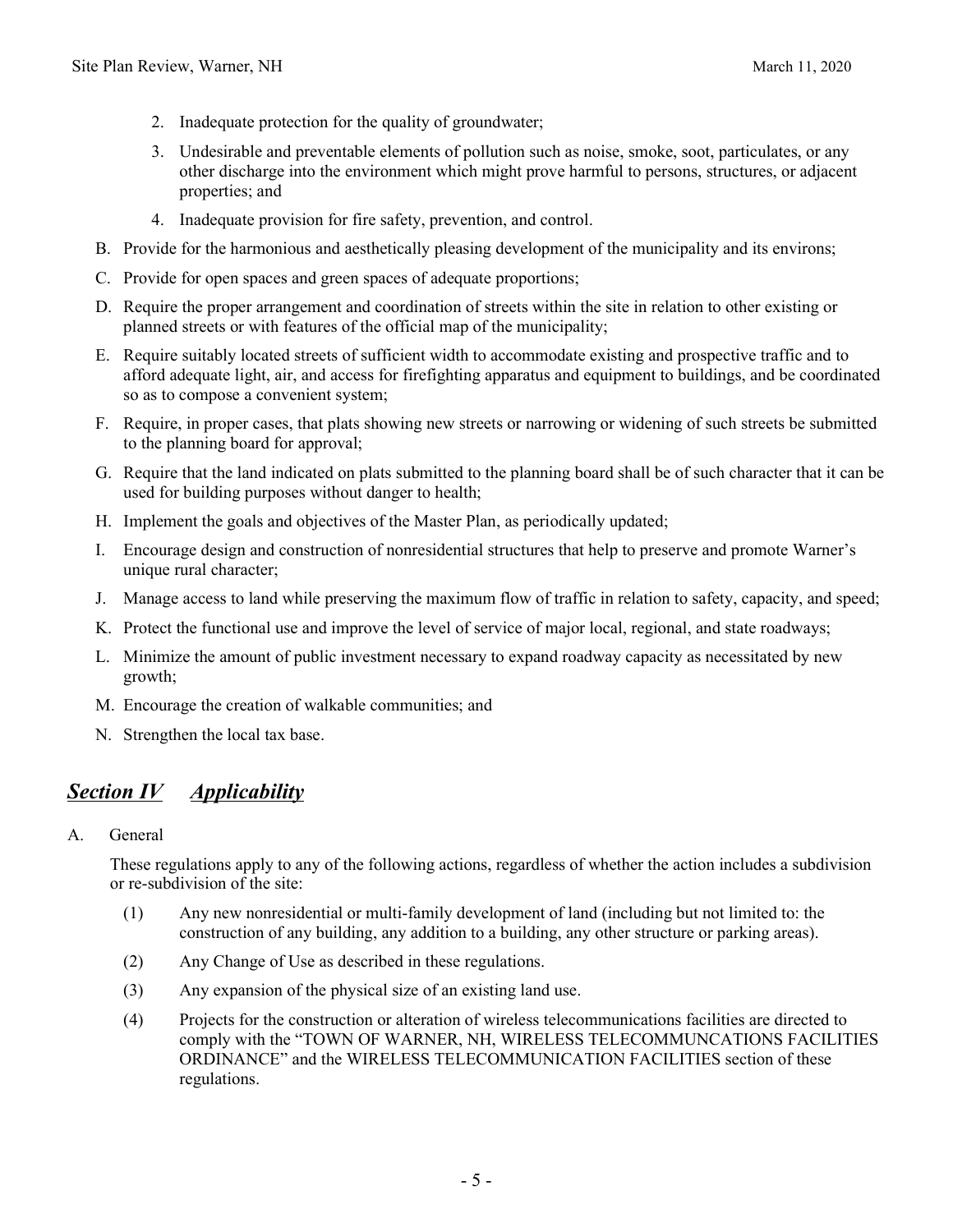- 2. Inadequate protection for the quality of groundwater;
- 3. Undesirable and preventable elements of pollution such as noise, smoke, soot, particulates, or any other discharge into the environment which might prove harmful to persons, structures, or adjacent properties; and
- 4. Inadequate provision for fire safety, prevention, and control.
- B. Provide for the harmonious and aesthetically pleasing development of the municipality and its environs;
- C. Provide for open spaces and green spaces of adequate proportions;
- D. Require the proper arrangement and coordination of streets within the site in relation to other existing or planned streets or with features of the official map of the municipality;
- E. Require suitably located streets of sufficient width to accommodate existing and prospective traffic and to afford adequate light, air, and access for firefighting apparatus and equipment to buildings, and be coordinated so as to compose a convenient system;
- F. Require, in proper cases, that plats showing new streets or narrowing or widening of such streets be submitted to the planning board for approval;
- G. Require that the land indicated on plats submitted to the planning board shall be of such character that it can be used for building purposes without danger to health;
- H. Implement the goals and objectives of the Master Plan, as periodically updated;
- I. Encourage design and construction of nonresidential structures that help to preserve and promote Warner's unique rural character;
- J. Manage access to land while preserving the maximum flow of traffic in relation to safety, capacity, and speed;
- K. Protect the functional use and improve the level of service of major local, regional, and state roadways;
- L. Minimize the amount of public investment necessary to expand roadway capacity as necessitated by new growth;
- M. Encourage the creation of walkable communities; and
- N. Strengthen the local tax base.

# *Section IV Applicability*

A. General

These regulations apply to any of the following actions, regardless of whether the action includes a subdivision or re-subdivision of the site:

- (1) Any new nonresidential or multi-family development of land (including but not limited to: the construction of any building, any addition to a building, any other structure or parking areas).
- (2) Any Change of Use as described in these regulations.
- (3) Any expansion of the physical size of an existing land use.
- (4) Projects for the construction or alteration of wireless telecommunications facilities are directed to comply with the "TOWN OF WARNER, NH, WIRELESS TELECOMMUNCATIONS FACILITIES ORDINANCE" and the WIRELESS TELECOMMUNICATION FACILITIES section of these regulations.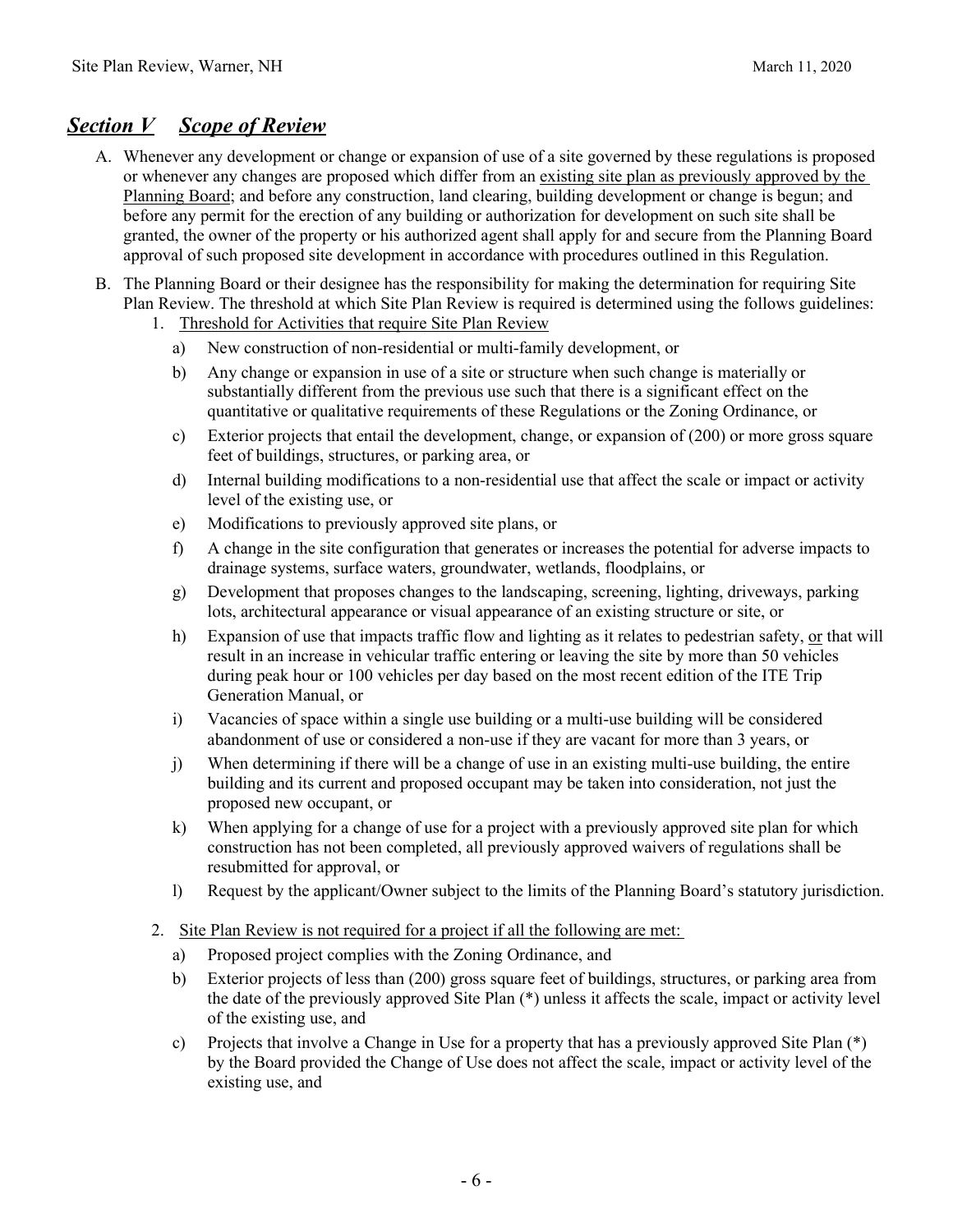### *Section V Scope of Review*

- A. Whenever any development or change or expansion of use of a site governed by these regulations is proposed or whenever any changes are proposed which differ from an existing site plan as previously approved by the Planning Board; and before any construction, land clearing, building development or change is begun; and before any permit for the erection of any building or authorization for development on such site shall be granted, the owner of the property or his authorized agent shall apply for and secure from the Planning Board approval of such proposed site development in accordance with procedures outlined in this Regulation.
- B. The Planning Board or their designee has the responsibility for making the determination for requiring Site Plan Review. The threshold at which Site Plan Review is required is determined using the follows guidelines:
	- 1. Threshold for Activities that require Site Plan Review
		- a) New construction of non-residential or multi-family development, or
		- b) Any change or expansion in use of a site or structure when such change is materially or substantially different from the previous use such that there is a significant effect on the quantitative or qualitative requirements of these Regulations or the Zoning Ordinance, or
		- c) Exterior projects that entail the development, change, or expansion of (200) or more gross square feet of buildings, structures, or parking area, or
		- d) Internal building modifications to a non-residential use that affect the scale or impact or activity level of the existing use, or
		- e) Modifications to previously approved site plans, or
		- f) A change in the site configuration that generates or increases the potential for adverse impacts to drainage systems, surface waters, groundwater, wetlands, floodplains, or
		- g) Development that proposes changes to the landscaping, screening, lighting, driveways, parking lots, architectural appearance or visual appearance of an existing structure or site, or
		- h) Expansion of use that impacts traffic flow and lighting as it relates to pedestrian safety, or that will result in an increase in vehicular traffic entering or leaving the site by more than 50 vehicles during peak hour or 100 vehicles per day based on the most recent edition of the ITE Trip Generation Manual, or
		- i) Vacancies of space within a single use building or a multi-use building will be considered abandonment of use or considered a non-use if they are vacant for more than 3 years, or
		- j) When determining if there will be a change of use in an existing multi-use building, the entire building and its current and proposed occupant may be taken into consideration, not just the proposed new occupant, or
		- k) When applying for a change of use for a project with a previously approved site plan for which construction has not been completed, all previously approved waivers of regulations shall be resubmitted for approval, or
		- l) Request by the applicant/Owner subject to the limits of the Planning Board's statutory jurisdiction.
	- 2. Site Plan Review is not required for a project if all the following are met:
		- a) Proposed project complies with the Zoning Ordinance, and
		- b) Exterior projects of less than (200) gross square feet of buildings, structures, or parking area from the date of the previously approved Site Plan (\*) unless it affects the scale, impact or activity level of the existing use, and
		- c) Projects that involve a Change in Use for a property that has a previously approved Site Plan (\*) by the Board provided the Change of Use does not affect the scale, impact or activity level of the existing use, and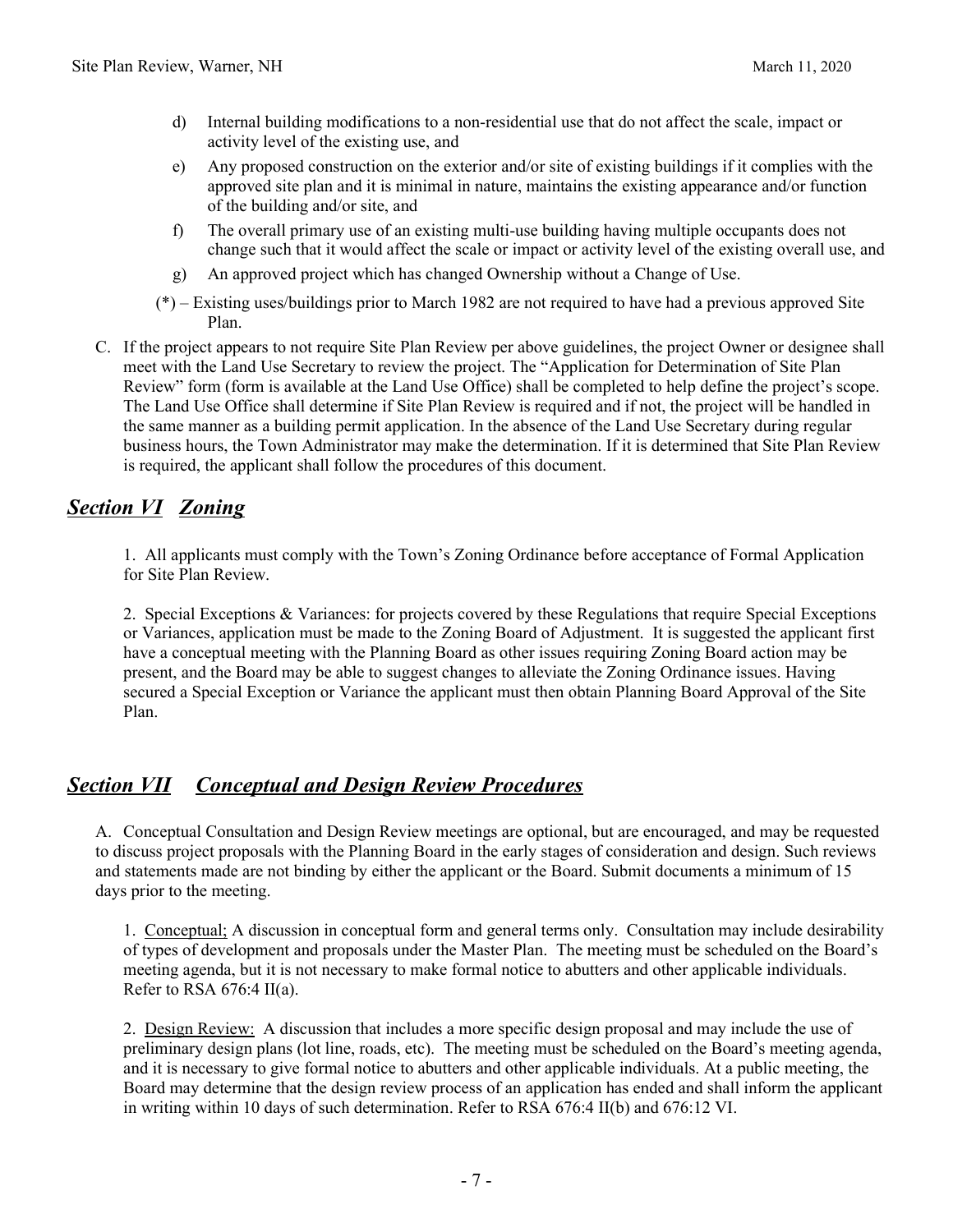- d) Internal building modifications to a non-residential use that do not affect the scale, impact or activity level of the existing use, and
- e) Any proposed construction on the exterior and/or site of existing buildings if it complies with the approved site plan and it is minimal in nature, maintains the existing appearance and/or function of the building and/or site, and
- f) The overall primary use of an existing multi-use building having multiple occupants does not change such that it would affect the scale or impact or activity level of the existing overall use, and
- g) An approved project which has changed Ownership without a Change of Use.
- (\*) Existing uses/buildings prior to March 1982 are not required to have had a previous approved Site Plan.
- C. If the project appears to not require Site Plan Review per above guidelines, the project Owner or designee shall meet with the Land Use Secretary to review the project. The "Application for Determination of Site Plan Review" form (form is available at the Land Use Office) shall be completed to help define the project's scope. The Land Use Office shall determine if Site Plan Review is required and if not, the project will be handled in the same manner as a building permit application. In the absence of the Land Use Secretary during regular business hours, the Town Administrator may make the determination. If it is determined that Site Plan Review is required, the applicant shall follow the procedures of this document.

# *Section VI Zoning*

1. All applicants must comply with the Town's Zoning Ordinance before acceptance of Formal Application for Site Plan Review.

2. Special Exceptions & Variances: for projects covered by these Regulations that require Special Exceptions or Variances, application must be made to the Zoning Board of Adjustment. It is suggested the applicant first have a conceptual meeting with the Planning Board as other issues requiring Zoning Board action may be present, and the Board may be able to suggest changes to alleviate the Zoning Ordinance issues. Having secured a Special Exception or Variance the applicant must then obtain Planning Board Approval of the Site Plan.

# *Section VII Conceptual and Design Review Procedures*

A. Conceptual Consultation and Design Review meetings are optional, but are encouraged, and may be requested to discuss project proposals with the Planning Board in the early stages of consideration and design. Such reviews and statements made are not binding by either the applicant or the Board. Submit documents a minimum of 15 days prior to the meeting.

1. Conceptual; A discussion in conceptual form and general terms only. Consultation may include desirability of types of development and proposals under the Master Plan. The meeting must be scheduled on the Board's meeting agenda, but it is not necessary to make formal notice to abutters and other applicable individuals. Refer to RSA  $676:4$  II(a).

2. Design Review: A discussion that includes a more specific design proposal and may include the use of preliminary design plans (lot line, roads, etc). The meeting must be scheduled on the Board's meeting agenda, and it is necessary to give formal notice to abutters and other applicable individuals. At a public meeting, the Board may determine that the design review process of an application has ended and shall inform the applicant in writing within 10 days of such determination. Refer to RSA 676:4 II(b) and 676:12 VI.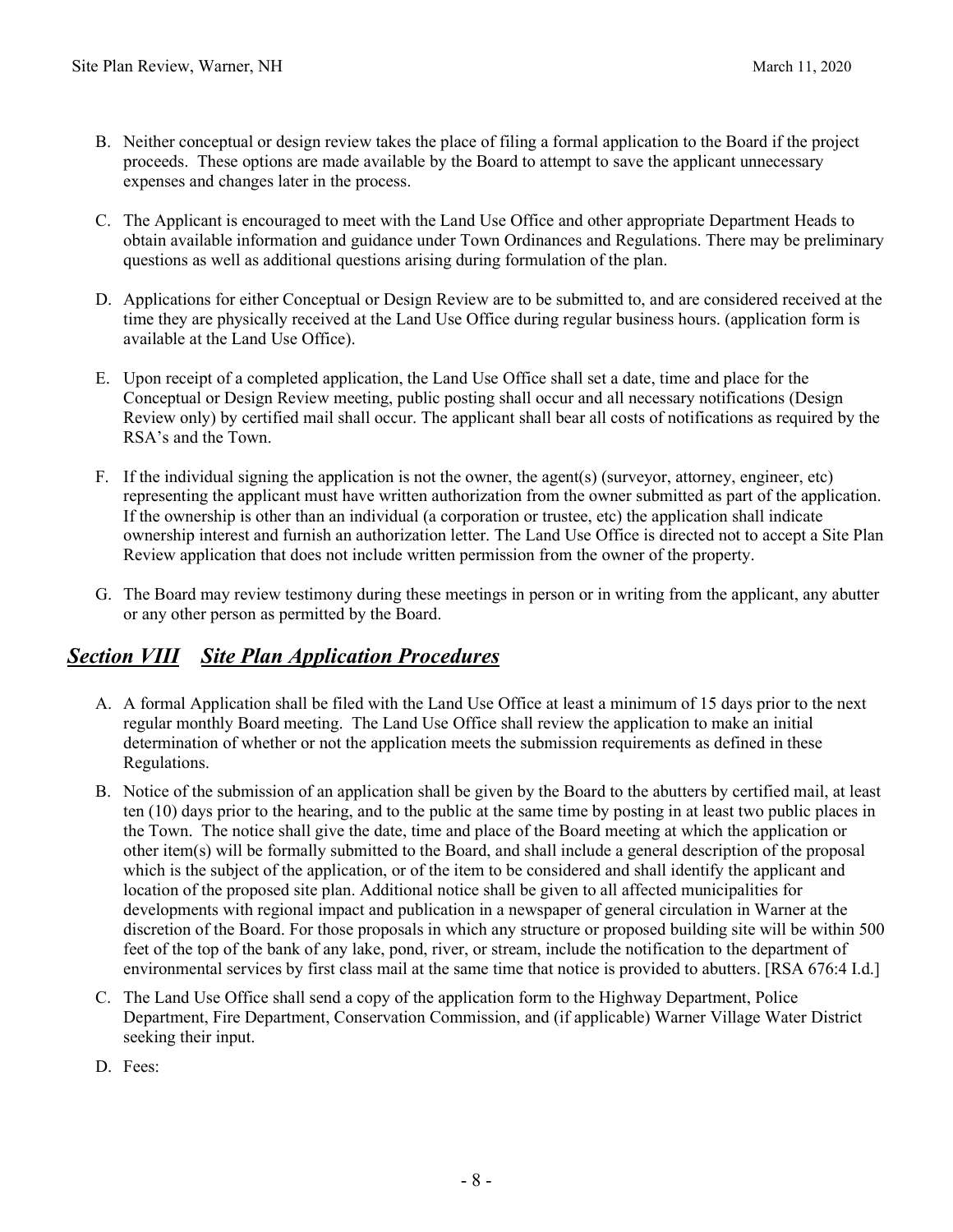- B. Neither conceptual or design review takes the place of filing a formal application to the Board if the project proceeds. These options are made available by the Board to attempt to save the applicant unnecessary expenses and changes later in the process.
- C. The Applicant is encouraged to meet with the Land Use Office and other appropriate Department Heads to obtain available information and guidance under Town Ordinances and Regulations. There may be preliminary questions as well as additional questions arising during formulation of the plan.
- D. Applications for either Conceptual or Design Review are to be submitted to, and are considered received at the time they are physically received at the Land Use Office during regular business hours. (application form is available at the Land Use Office).
- E. Upon receipt of a completed application, the Land Use Office shall set a date, time and place for the Conceptual or Design Review meeting, public posting shall occur and all necessary notifications (Design Review only) by certified mail shall occur. The applicant shall bear all costs of notifications as required by the RSA's and the Town.
- F. If the individual signing the application is not the owner, the agent(s) (surveyor, attorney, engineer, etc) representing the applicant must have written authorization from the owner submitted as part of the application. If the ownership is other than an individual (a corporation or trustee, etc) the application shall indicate ownership interest and furnish an authorization letter. The Land Use Office is directed not to accept a Site Plan Review application that does not include written permission from the owner of the property.
- G. The Board may review testimony during these meetings in person or in writing from the applicant, any abutter or any other person as permitted by the Board.

# *Section VIII Site Plan Application Procedures*

- A. A formal Application shall be filed with the Land Use Office at least a minimum of 15 days prior to the next regular monthly Board meeting. The Land Use Office shall review the application to make an initial determination of whether or not the application meets the submission requirements as defined in these Regulations.
- B. Notice of the submission of an application shall be given by the Board to the abutters by certified mail, at least ten (10) days prior to the hearing, and to the public at the same time by posting in at least two public places in the Town. The notice shall give the date, time and place of the Board meeting at which the application or other item(s) will be formally submitted to the Board, and shall include a general description of the proposal which is the subject of the application, or of the item to be considered and shall identify the applicant and location of the proposed site plan. Additional notice shall be given to all affected municipalities for developments with regional impact and publication in a newspaper of general circulation in Warner at the discretion of the Board. For those proposals in which any structure or proposed building site will be within 500 feet of the top of the bank of any lake, pond, river, or stream, include the notification to the department of environmental services by first class mail at the same time that notice is provided to abutters. [RSA 676:4 I.d.]
- C. The Land Use Office shall send a copy of the application form to the Highway Department, Police Department, Fire Department, Conservation Commission, and (if applicable) Warner Village Water District seeking their input.
- D. Fees: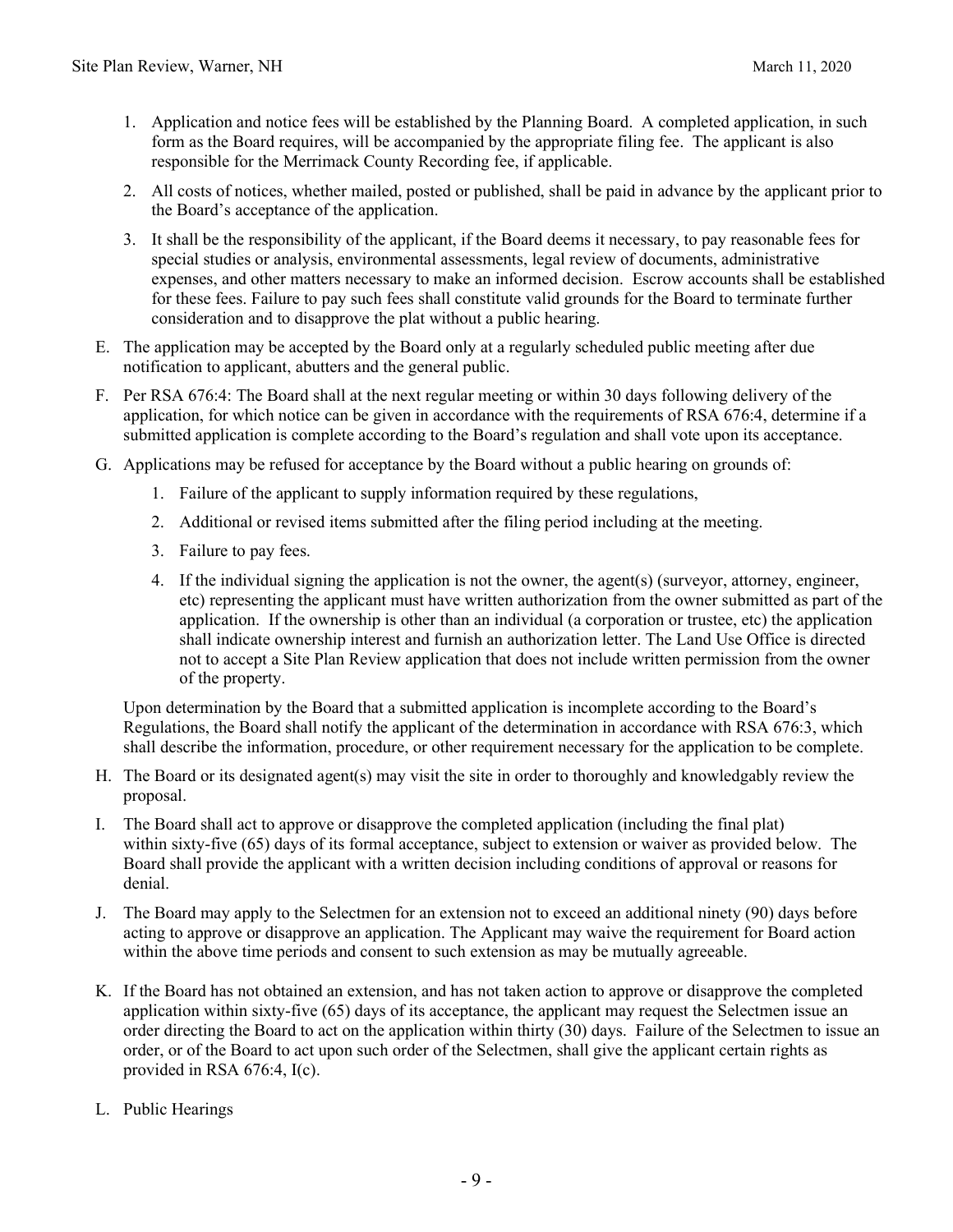- 1. Application and notice fees will be established by the Planning Board. A completed application, in such form as the Board requires, will be accompanied by the appropriate filing fee. The applicant is also responsible for the Merrimack County Recording fee, if applicable.
- 2. All costs of notices, whether mailed, posted or published, shall be paid in advance by the applicant prior to the Board's acceptance of the application.
- 3. It shall be the responsibility of the applicant, if the Board deems it necessary, to pay reasonable fees for special studies or analysis, environmental assessments, legal review of documents, administrative expenses, and other matters necessary to make an informed decision. Escrow accounts shall be established for these fees. Failure to pay such fees shall constitute valid grounds for the Board to terminate further consideration and to disapprove the plat without a public hearing.
- E. The application may be accepted by the Board only at a regularly scheduled public meeting after due notification to applicant, abutters and the general public.
- F. Per RSA 676:4: The Board shall at the next regular meeting or within 30 days following delivery of the application, for which notice can be given in accordance with the requirements of RSA 676:4, determine if a submitted application is complete according to the Board's regulation and shall vote upon its acceptance.
- G. Applications may be refused for acceptance by the Board without a public hearing on grounds of:
	- 1. Failure of the applicant to supply information required by these regulations,
	- 2. Additional or revised items submitted after the filing period including at the meeting.
	- 3. Failure to pay fees.
	- 4. If the individual signing the application is not the owner, the agent(s) (surveyor, attorney, engineer, etc) representing the applicant must have written authorization from the owner submitted as part of the application. If the ownership is other than an individual (a corporation or trustee, etc) the application shall indicate ownership interest and furnish an authorization letter. The Land Use Office is directed not to accept a Site Plan Review application that does not include written permission from the owner of the property.

Upon determination by the Board that a submitted application is incomplete according to the Board's Regulations, the Board shall notify the applicant of the determination in accordance with RSA 676:3, which shall describe the information, procedure, or other requirement necessary for the application to be complete.

- H. The Board or its designated agent(s) may visit the site in order to thoroughly and knowledgably review the proposal.
- I. The Board shall act to approve or disapprove the completed application (including the final plat) within sixty-five (65) days of its formal acceptance, subject to extension or waiver as provided below. The Board shall provide the applicant with a written decision including conditions of approval or reasons for denial.
- J. The Board may apply to the Selectmen for an extension not to exceed an additional ninety (90) days before acting to approve or disapprove an application. The Applicant may waive the requirement for Board action within the above time periods and consent to such extension as may be mutually agreeable.
- K. If the Board has not obtained an extension, and has not taken action to approve or disapprove the completed application within sixty-five (65) days of its acceptance, the applicant may request the Selectmen issue an order directing the Board to act on the application within thirty (30) days. Failure of the Selectmen to issue an order, or of the Board to act upon such order of the Selectmen, shall give the applicant certain rights as provided in RSA 676:4, I(c).
- L. Public Hearings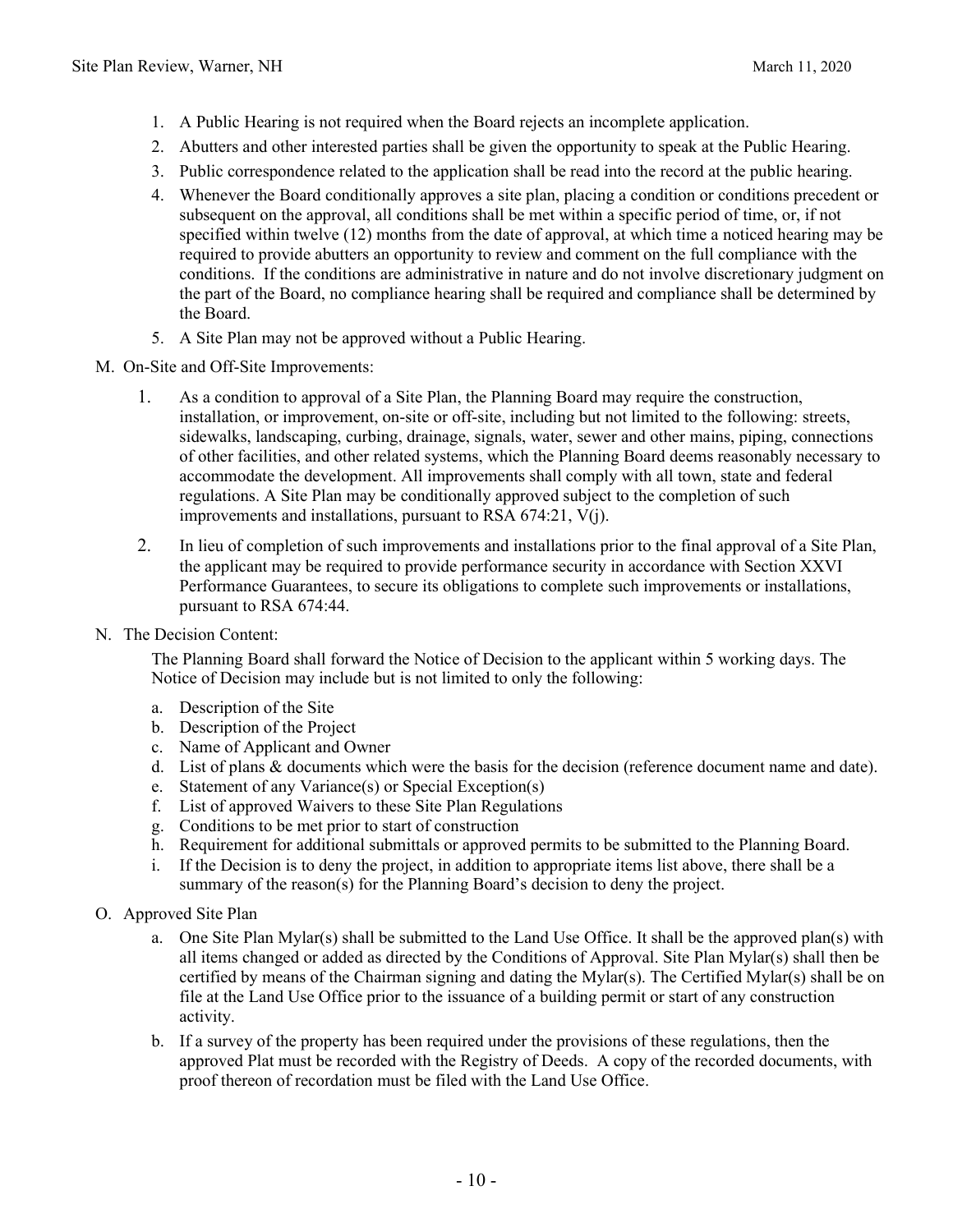- 1. A Public Hearing is not required when the Board rejects an incomplete application.
- 2. Abutters and other interested parties shall be given the opportunity to speak at the Public Hearing.
- 3. Public correspondence related to the application shall be read into the record at the public hearing.
- 4. Whenever the Board conditionally approves a site plan, placing a condition or conditions precedent or subsequent on the approval, all conditions shall be met within a specific period of time, or, if not specified within twelve (12) months from the date of approval, at which time a noticed hearing may be required to provide abutters an opportunity to review and comment on the full compliance with the conditions. If the conditions are administrative in nature and do not involve discretionary judgment on the part of the Board, no compliance hearing shall be required and compliance shall be determined by the Board.
- 5. A Site Plan may not be approved without a Public Hearing.
- M. On-Site and Off-Site Improvements:
	- 1. As a condition to approval of a Site Plan, the Planning Board may require the construction, installation, or improvement, on-site or off-site, including but not limited to the following: streets, sidewalks, landscaping, curbing, drainage, signals, water, sewer and other mains, piping, connections of other facilities, and other related systems, which the Planning Board deems reasonably necessary to accommodate the development. All improvements shall comply with all town, state and federal regulations. A Site Plan may be conditionally approved subject to the completion of such improvements and installations, pursuant to RSA 674:21, V(j).
	- 2. In lieu of completion of such improvements and installations prior to the final approval of a Site Plan, the applicant may be required to provide performance security in accordance with Section XXVI Performance Guarantees, to secure its obligations to complete such improvements or installations, pursuant to RSA 674:44.
- N. The Decision Content:

The Planning Board shall forward the Notice of Decision to the applicant within 5 working days. The Notice of Decision may include but is not limited to only the following:

- a. Description of the Site
- b. Description of the Project
- c. Name of Applicant and Owner
- d. List of plans & documents which were the basis for the decision (reference document name and date).
- e. Statement of any Variance(s) or Special Exception(s)
- f. List of approved Waivers to these Site Plan Regulations
- g. Conditions to be met prior to start of construction
- h. Requirement for additional submittals or approved permits to be submitted to the Planning Board.
- i. If the Decision is to deny the project, in addition to appropriate items list above, there shall be a summary of the reason(s) for the Planning Board's decision to deny the project.
- O. Approved Site Plan
	- a. One Site Plan Mylar(s) shall be submitted to the Land Use Office. It shall be the approved plan(s) with all items changed or added as directed by the Conditions of Approval. Site Plan Mylar(s) shall then be certified by means of the Chairman signing and dating the Mylar(s). The Certified Mylar(s) shall be on file at the Land Use Office prior to the issuance of a building permit or start of any construction activity.
	- b. If a survey of the property has been required under the provisions of these regulations, then the approved Plat must be recorded with the Registry of Deeds. A copy of the recorded documents, with proof thereon of recordation must be filed with the Land Use Office.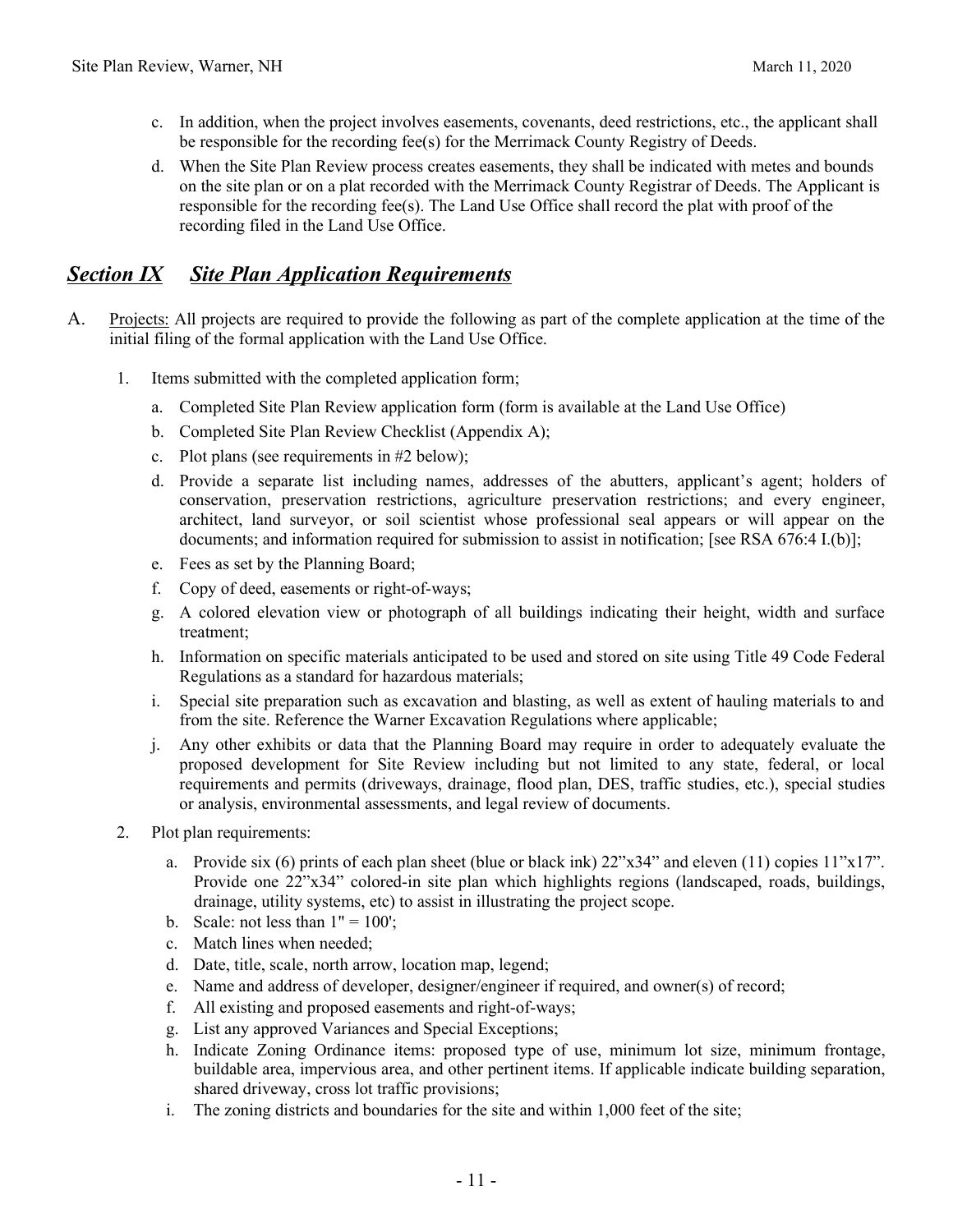- c. In addition, when the project involves easements, covenants, deed restrictions, etc., the applicant shall be responsible for the recording fee(s) for the Merrimack County Registry of Deeds.
- d. When the Site Plan Review process creates easements, they shall be indicated with metes and bounds on the site plan or on a plat recorded with the Merrimack County Registrar of Deeds. The Applicant is responsible for the recording fee(s). The Land Use Office shall record the plat with proof of the recording filed in the Land Use Office.

### *Section IX Site Plan Application Requirements*

- A. Projects: All projects are required to provide the following as part of the complete application at the time of the initial filing of the formal application with the Land Use Office.
	- 1. Items submitted with the completed application form;
		- a. Completed Site Plan Review application form (form is available at the Land Use Office)
		- b. Completed Site Plan Review Checklist (Appendix A);
		- c. Plot plans (see requirements in #2 below);
		- d. Provide a separate list including names, addresses of the abutters, applicant's agent; holders of conservation, preservation restrictions, agriculture preservation restrictions; and every engineer, architect, land surveyor, or soil scientist whose professional seal appears or will appear on the documents; and information required for submission to assist in notification; [see RSA 676:4 I.(b)];
		- e. Fees as set by the Planning Board;
		- f. Copy of deed, easements or right-of-ways;
		- g. A colored elevation view or photograph of all buildings indicating their height, width and surface treatment;
		- h. Information on specific materials anticipated to be used and stored on site using Title 49 Code Federal Regulations as a standard for hazardous materials;
		- i. Special site preparation such as excavation and blasting, as well as extent of hauling materials to and from the site. Reference the Warner Excavation Regulations where applicable;
		- j. Any other exhibits or data that the Planning Board may require in order to adequately evaluate the proposed development for Site Review including but not limited to any state, federal, or local requirements and permits (driveways, drainage, flood plan, DES, traffic studies, etc.), special studies or analysis, environmental assessments, and legal review of documents.
	- 2. Plot plan requirements:
		- a. Provide six (6) prints of each plan sheet (blue or black ink)  $22^{\prime\prime}x34^{\prime\prime}$  and eleven (11) copies  $11^{\prime\prime}x17^{\prime\prime}$ . Provide one 22"x34" colored-in site plan which highlights regions (landscaped, roads, buildings, drainage, utility systems, etc) to assist in illustrating the project scope.
		- b. Scale: not less than  $1" = 100$ ;
		- c. Match lines when needed;
		- d. Date, title, scale, north arrow, location map, legend;
		- e. Name and address of developer, designer/engineer if required, and owner(s) of record;
		- f. All existing and proposed easements and right-of-ways;
		- g. List any approved Variances and Special Exceptions;
		- h. Indicate Zoning Ordinance items: proposed type of use, minimum lot size, minimum frontage, buildable area, impervious area, and other pertinent items. If applicable indicate building separation, shared driveway, cross lot traffic provisions;
		- i. The zoning districts and boundaries for the site and within 1,000 feet of the site;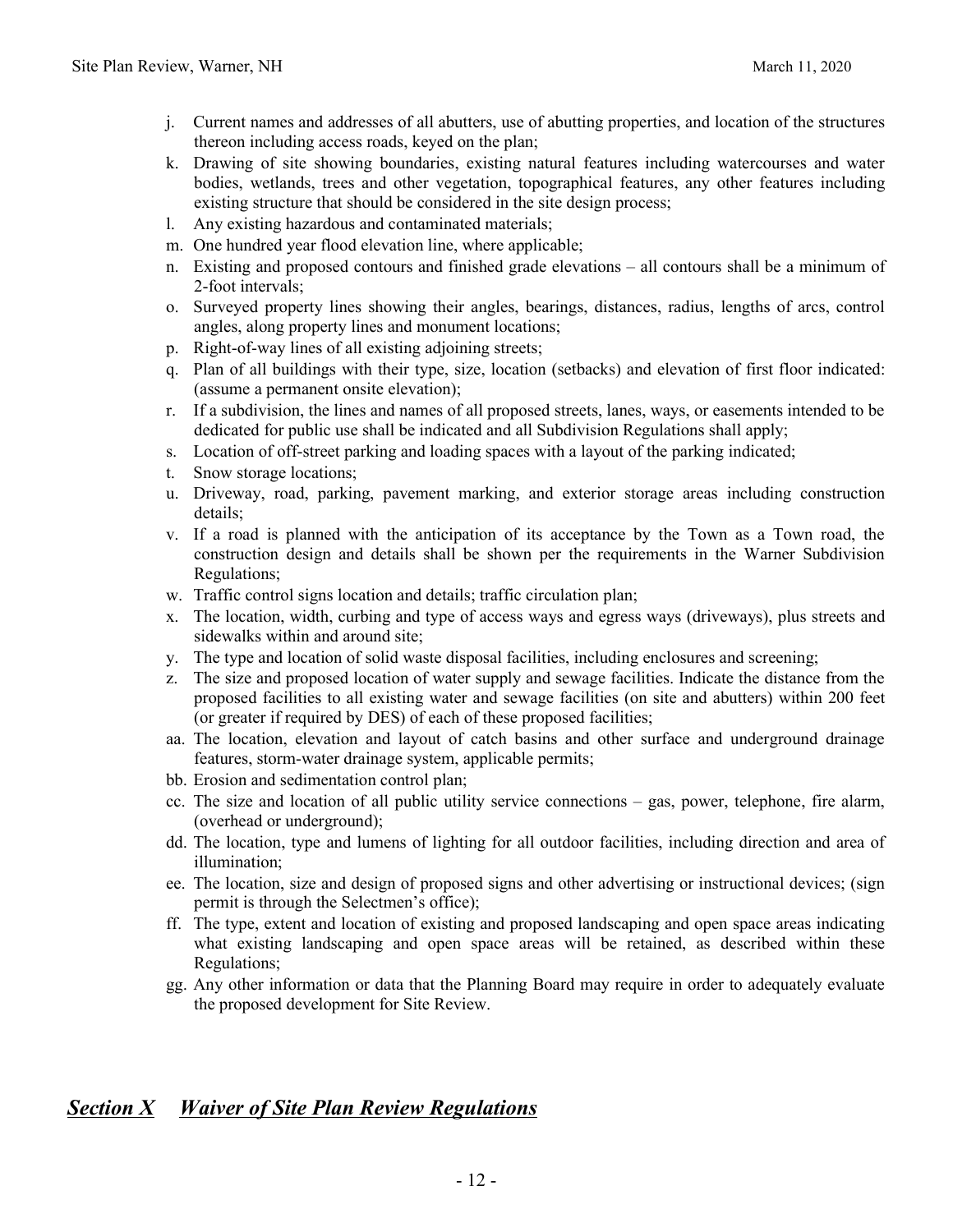- j. Current names and addresses of all abutters, use of abutting properties, and location of the structures thereon including access roads, keyed on the plan;
- k. Drawing of site showing boundaries, existing natural features including watercourses and water bodies, wetlands, trees and other vegetation, topographical features, any other features including existing structure that should be considered in the site design process;
- l. Any existing hazardous and contaminated materials;
- m. One hundred year flood elevation line, where applicable;
- n. Existing and proposed contours and finished grade elevations all contours shall be a minimum of 2-foot intervals;
- o. Surveyed property lines showing their angles, bearings, distances, radius, lengths of arcs, control angles, along property lines and monument locations;
- p. Right-of-way lines of all existing adjoining streets;
- q. Plan of all buildings with their type, size, location (setbacks) and elevation of first floor indicated: (assume a permanent onsite elevation);
- r. If a subdivision, the lines and names of all proposed streets, lanes, ways, or easements intended to be dedicated for public use shall be indicated and all Subdivision Regulations shall apply;
- s. Location of off-street parking and loading spaces with a layout of the parking indicated;
- t. Snow storage locations;
- u. Driveway, road, parking, pavement marking, and exterior storage areas including construction details;
- v. If a road is planned with the anticipation of its acceptance by the Town as a Town road, the construction design and details shall be shown per the requirements in the Warner Subdivision Regulations;
- w. Traffic control signs location and details; traffic circulation plan;
- x. The location, width, curbing and type of access ways and egress ways (driveways), plus streets and sidewalks within and around site;
- y. The type and location of solid waste disposal facilities, including enclosures and screening;
- z. The size and proposed location of water supply and sewage facilities. Indicate the distance from the proposed facilities to all existing water and sewage facilities (on site and abutters) within 200 feet (or greater if required by DES) of each of these proposed facilities;
- aa. The location, elevation and layout of catch basins and other surface and underground drainage features, storm-water drainage system, applicable permits;
- bb. Erosion and sedimentation control plan;
- cc. The size and location of all public utility service connections gas, power, telephone, fire alarm, (overhead or underground);
- dd. The location, type and lumens of lighting for all outdoor facilities, including direction and area of illumination;
- ee. The location, size and design of proposed signs and other advertising or instructional devices; (sign permit is through the Selectmen's office);
- ff. The type, extent and location of existing and proposed landscaping and open space areas indicating what existing landscaping and open space areas will be retained, as described within these Regulations;
- gg. Any other information or data that the Planning Board may require in order to adequately evaluate the proposed development for Site Review.

### *Section X Waiver of Site Plan Review Regulations*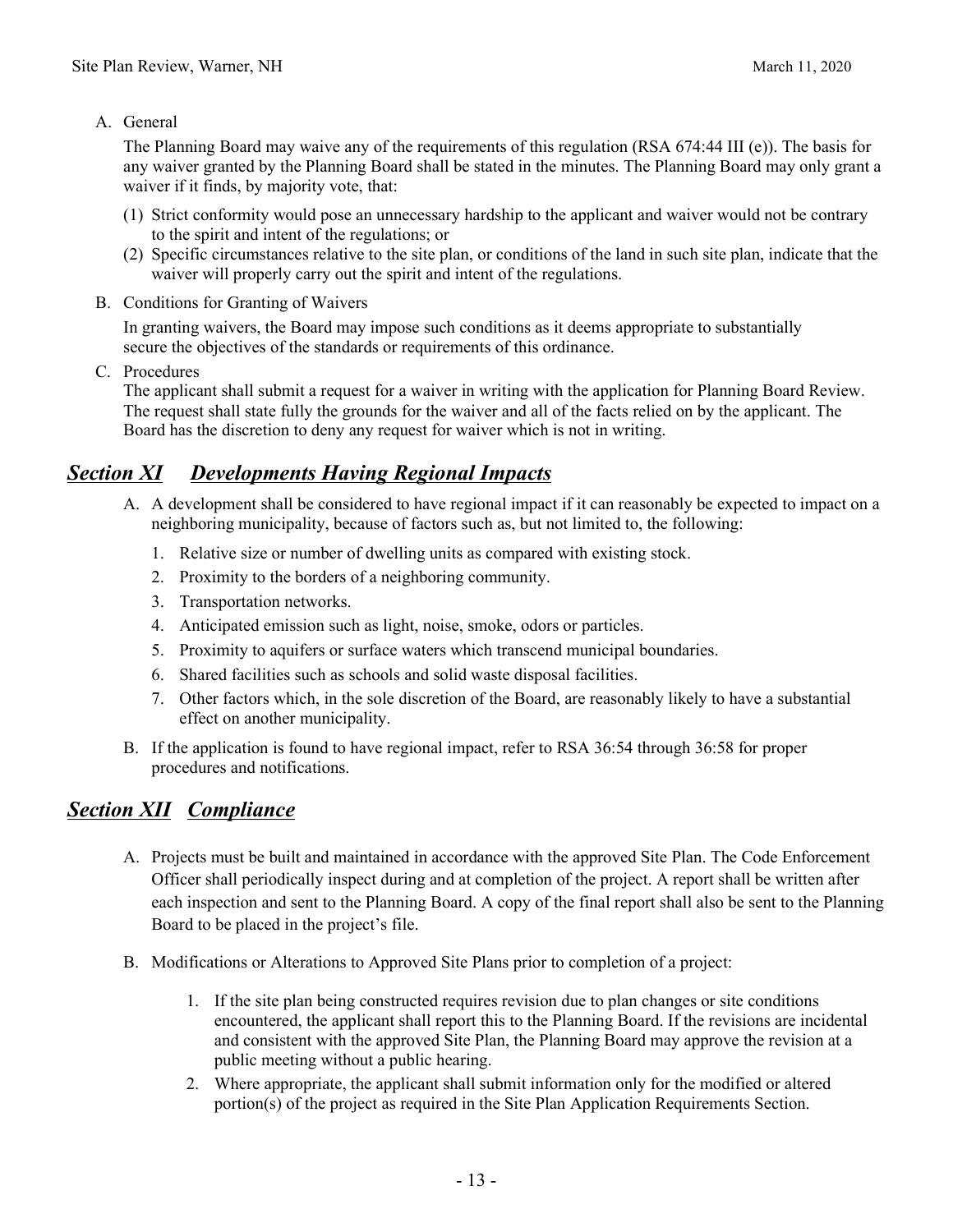#### A. General

The Planning Board may waive any of the requirements of this regulation (RSA 674:44 III (e)). The basis for any waiver granted by the Planning Board shall be stated in the minutes. The Planning Board may only grant a waiver if it finds, by majority vote, that:

- (1) Strict conformity would pose an unnecessary hardship to the applicant and waiver would not be contrary to the spirit and intent of the regulations; or
- (2) Specific circumstances relative to the site plan, or conditions of the land in such site plan, indicate that the waiver will properly carry out the spirit and intent of the regulations.
- B. Conditions for Granting of Waivers

In granting waivers, the Board may impose such conditions as it deems appropriate to substantially secure the objectives of the standards or requirements of this ordinance.

C. Procedures

The applicant shall submit a request for a waiver in writing with the application for Planning Board Review. The request shall state fully the grounds for the waiver and all of the facts relied on by the applicant. The Board has the discretion to deny any request for waiver which is not in writing.

## *Section XI Developments Having Regional Impacts*

- A. A development shall be considered to have regional impact if it can reasonably be expected to impact on a neighboring municipality, because of factors such as, but not limited to, the following:
	- 1. Relative size or number of dwelling units as compared with existing stock.
	- 2. Proximity to the borders of a neighboring community.
	- 3. Transportation networks.
	- 4. Anticipated emission such as light, noise, smoke, odors or particles.
	- 5. Proximity to aquifers or surface waters which transcend municipal boundaries.
	- 6. Shared facilities such as schools and solid waste disposal facilities.
	- 7. Other factors which, in the sole discretion of the Board, are reasonably likely to have a substantial effect on another municipality.
- B. If the application is found to have regional impact, refer to RSA 36:54 through 36:58 for proper procedures and notifications.

### *Section XII Compliance*

- A. Projects must be built and maintained in accordance with the approved Site Plan. The Code Enforcement Officer shall periodically inspect during and at completion of the project. A report shall be written after each inspection and sent to the Planning Board. A copy of the final report shall also be sent to the Planning Board to be placed in the project's file.
- B. Modifications or Alterations to Approved Site Plans prior to completion of a project:
	- 1. If the site plan being constructed requires revision due to plan changes or site conditions encountered, the applicant shall report this to the Planning Board. If the revisions are incidental and consistent with the approved Site Plan, the Planning Board may approve the revision at a public meeting without a public hearing.
	- 2. Where appropriate, the applicant shall submit information only for the modified or altered portion(s) of the project as required in the Site Plan Application Requirements Section.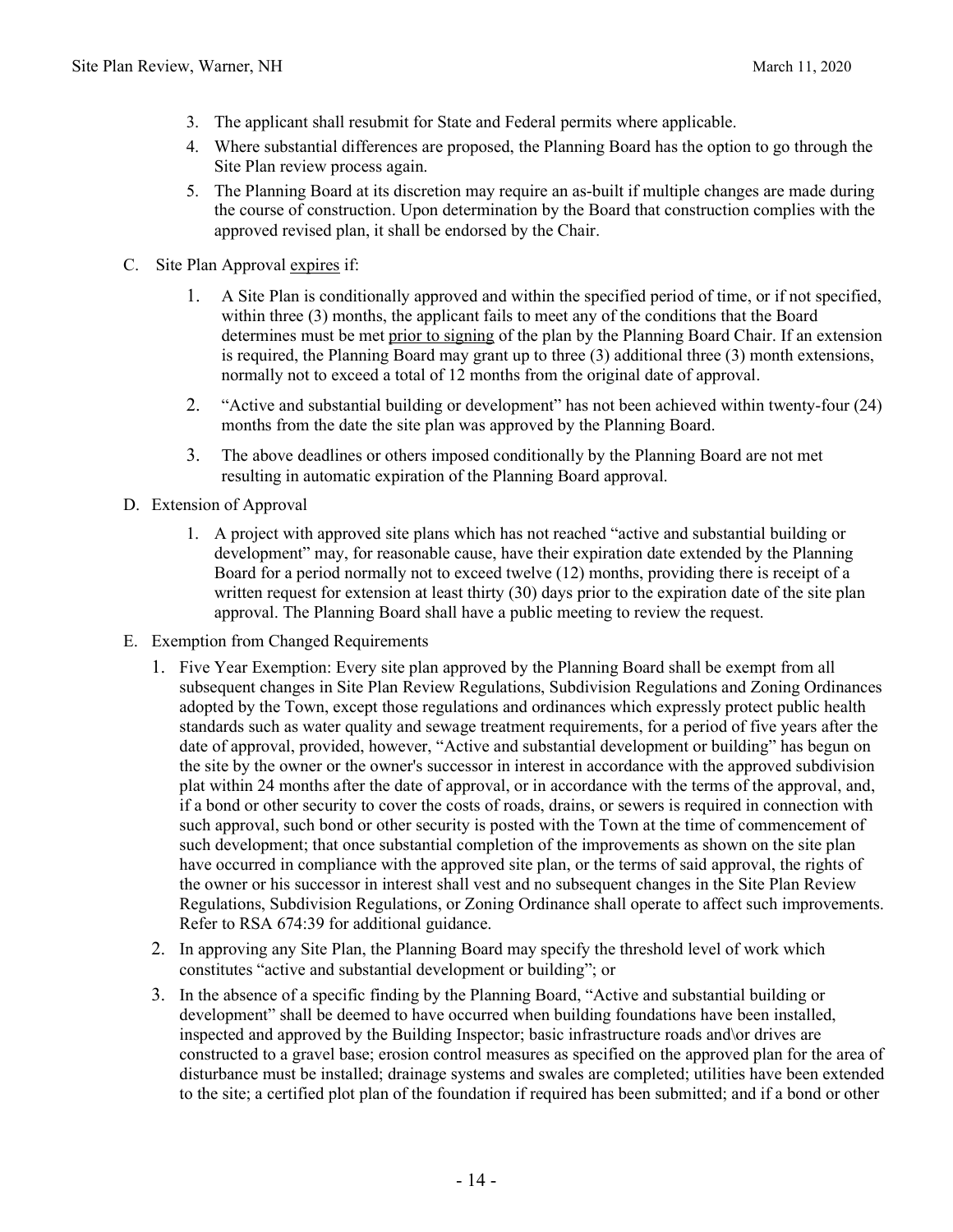- 3. The applicant shall resubmit for State and Federal permits where applicable.
- 4. Where substantial differences are proposed, the Planning Board has the option to go through the Site Plan review process again.
- 5. The Planning Board at its discretion may require an as-built if multiple changes are made during the course of construction. Upon determination by the Board that construction complies with the approved revised plan, it shall be endorsed by the Chair.
- C. Site Plan Approval expires if:
	- 1. A Site Plan is conditionally approved and within the specified period of time, or if not specified, within three (3) months, the applicant fails to meet any of the conditions that the Board determines must be met prior to signing of the plan by the Planning Board Chair. If an extension is required, the Planning Board may grant up to three (3) additional three (3) month extensions, normally not to exceed a total of 12 months from the original date of approval.
	- 2. "Active and substantial building or development" has not been achieved within twenty-four (24) months from the date the site plan was approved by the Planning Board.
	- 3. The above deadlines or others imposed conditionally by the Planning Board are not met resulting in automatic expiration of the Planning Board approval.
- D. Extension of Approval
	- 1. A project with approved site plans which has not reached "active and substantial building or development" may, for reasonable cause, have their expiration date extended by the Planning Board for a period normally not to exceed twelve (12) months, providing there is receipt of a written request for extension at least thirty (30) days prior to the expiration date of the site plan approval. The Planning Board shall have a public meeting to review the request.
- E. Exemption from Changed Requirements
	- 1. Five Year Exemption: Every site plan approved by the Planning Board shall be exempt from all subsequent changes in Site Plan Review Regulations, Subdivision Regulations and Zoning Ordinances adopted by the Town, except those regulations and ordinances which expressly protect public health standards such as water quality and sewage treatment requirements, for a period of five years after the date of approval, provided, however, "Active and substantial development or building" has begun on the site by the owner or the owner's successor in interest in accordance with the approved subdivision plat within 24 months after the date of approval, or in accordance with the terms of the approval, and, if a bond or other security to cover the costs of roads, drains, or sewers is required in connection with such approval, such bond or other security is posted with the Town at the time of commencement of such development; that once substantial completion of the improvements as shown on the site plan have occurred in compliance with the approved site plan, or the terms of said approval, the rights of the owner or his successor in interest shall vest and no subsequent changes in the Site Plan Review Regulations, Subdivision Regulations, or Zoning Ordinance shall operate to affect such improvements. Refer to RSA 674:39 for additional guidance.
	- 2. In approving any Site Plan, the Planning Board may specify the threshold level of work which constitutes "active and substantial development or building"; or
	- 3. In the absence of a specific finding by the Planning Board, "Active and substantial building or development" shall be deemed to have occurred when building foundations have been installed, inspected and approved by the Building Inspector; basic infrastructure roads and\or drives are constructed to a gravel base; erosion control measures as specified on the approved plan for the area of disturbance must be installed; drainage systems and swales are completed; utilities have been extended to the site; a certified plot plan of the foundation if required has been submitted; and if a bond or other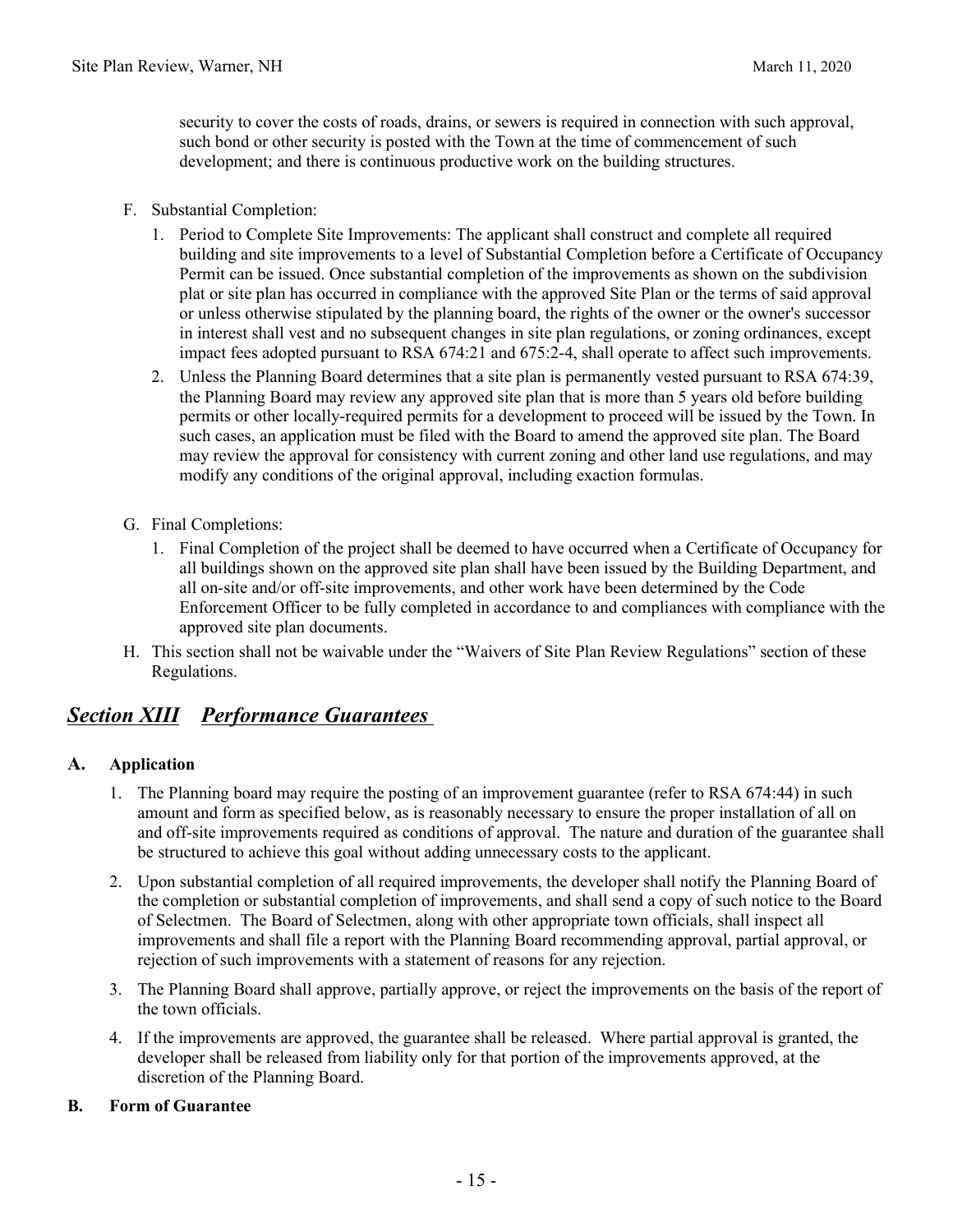security to cover the costs of roads, drains, or sewers is required in connection with such approval, such bond or other security is posted with the Town at the time of commencement of such development; and there is continuous productive work on the building structures.

- F. Substantial Completion:
	- 1. Period to Complete Site Improvements: The applicant shall construct and complete all required building and site improvements to a level of Substantial Completion before a Certificate of Occupancy Permit can be issued. Once substantial completion of the improvements as shown on the subdivision plat or site plan has occurred in compliance with the approved Site Plan or the terms of said approval or unless otherwise stipulated by the planning board, the rights of the owner or the owner's successor in interest shall vest and no subsequent changes in site plan regulations, or zoning ordinances, except impact fees adopted pursuant to RSA 674:21 and 675:2-4, shall operate to affect such improvements.
	- 2. Unless the Planning Board determines that a site plan is permanently vested pursuant to RSA 674:39, the Planning Board may review any approved site plan that is more than 5 years old before building permits or other locally-required permits for a development to proceed will be issued by the Town. In such cases, an application must be filed with the Board to amend the approved site plan. The Board may review the approval for consistency with current zoning and other land use regulations, and may modify any conditions of the original approval, including exaction formulas.
- G. Final Completions:
	- 1. Final Completion of the project shall be deemed to have occurred when a Certificate of Occupancy for all buildings shown on the approved site plan shall have been issued by the Building Department, and all on-site and/or off-site improvements, and other work have been determined by the Code Enforcement Officer to be fully completed in accordance to and compliances with compliance with the approved site plan documents.
- H. This section shall not be waivable under the "Waivers of Site Plan Review Regulations" section of these Regulations.

### *Section XIII Performance Guarantees*

#### **A. Application**

- 1. The Planning board may require the posting of an improvement guarantee (refer to RSA 674:44) in such amount and form as specified below, as is reasonably necessary to ensure the proper installation of all on and off-site improvements required as conditions of approval. The nature and duration of the guarantee shall be structured to achieve this goal without adding unnecessary costs to the applicant.
- 2. Upon substantial completion of all required improvements, the developer shall notify the Planning Board of the completion or substantial completion of improvements, and shall send a copy of such notice to the Board of Selectmen. The Board of Selectmen, along with other appropriate town officials, shall inspect all improvements and shall file a report with the Planning Board recommending approval, partial approval, or rejection of such improvements with a statement of reasons for any rejection.
- 3. The Planning Board shall approve, partially approve, or reject the improvements on the basis of the report of the town officials.
- 4. If the improvements are approved, the guarantee shall be released. Where partial approval is granted, the developer shall be released from liability only for that portion of the improvements approved, at the discretion of the Planning Board.

#### **B. Form of Guarantee**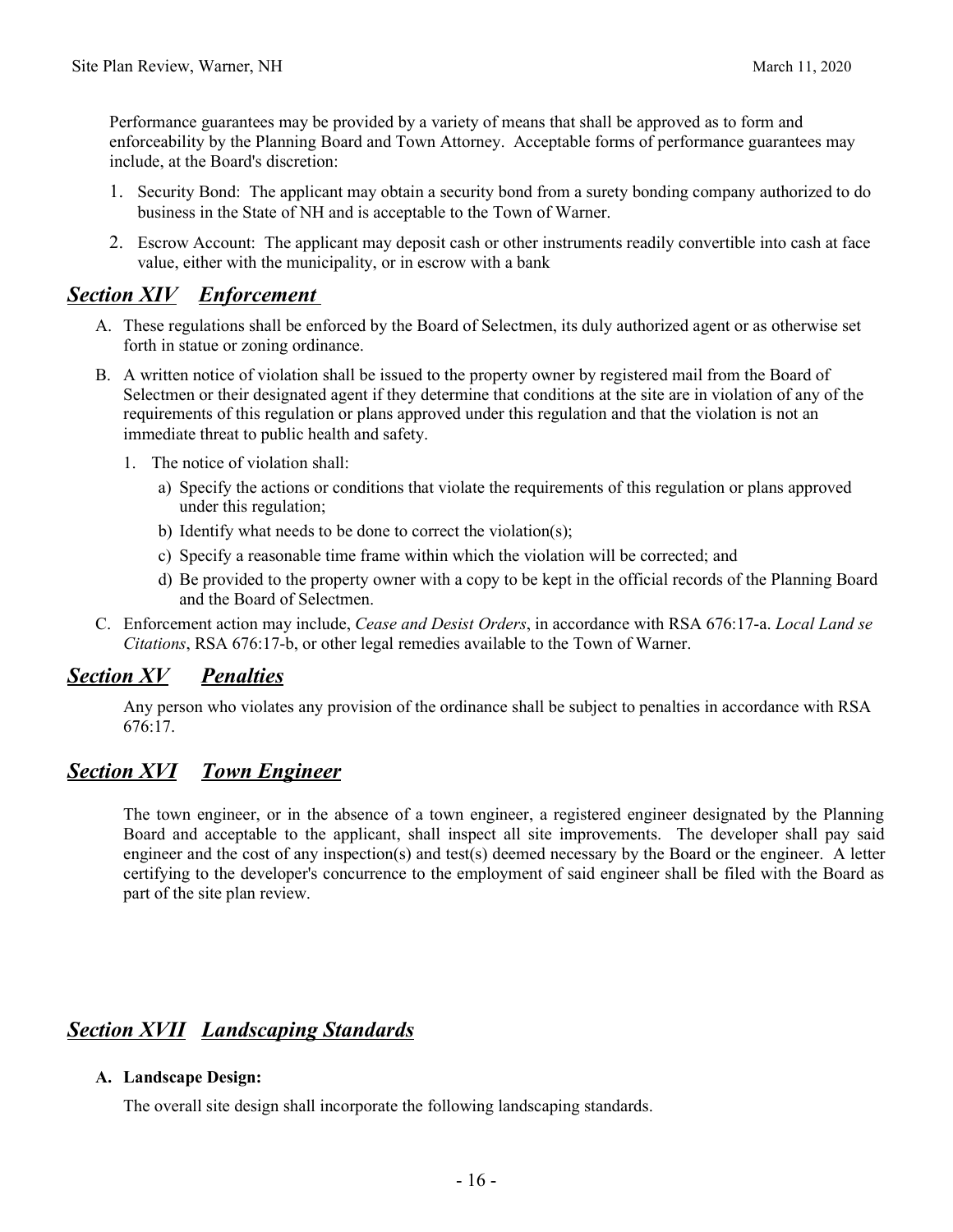Performance guarantees may be provided by a variety of means that shall be approved as to form and enforceability by the Planning Board and Town Attorney. Acceptable forms of performance guarantees may include, at the Board's discretion:

- 1. Security Bond: The applicant may obtain a security bond from a surety bonding company authorized to do business in the State of NH and is acceptable to the Town of Warner.
- 2. Escrow Account: The applicant may deposit cash or other instruments readily convertible into cash at face value, either with the municipality, or in escrow with a bank

### *Section XIV Enforcement*

- A. These regulations shall be enforced by the Board of Selectmen, its duly authorized agent or as otherwise set forth in statue or zoning ordinance.
- B. A written notice of violation shall be issued to the property owner by registered mail from the Board of Selectmen or their designated agent if they determine that conditions at the site are in violation of any of the requirements of this regulation or plans approved under this regulation and that the violation is not an immediate threat to public health and safety.
	- 1. The notice of violation shall:
		- a) Specify the actions or conditions that violate the requirements of this regulation or plans approved under this regulation;
		- b) Identify what needs to be done to correct the violation(s);
		- c) Specify a reasonable time frame within which the violation will be corrected; and
		- d) Be provided to the property owner with a copy to be kept in the official records of the Planning Board and the Board of Selectmen.
- C. Enforcement action may include, *Cease and Desist Orders*, in accordance with RSA 676:17-a. *Local Land se Citations*, RSA 676:17-b, or other legal remedies available to the Town of Warner.

# *Section XV Penalties*

Any person who violates any provision of the ordinance shall be subject to penalties in accordance with RSA 676:17.

### *Section XVI Town Engineer*

The town engineer, or in the absence of a town engineer, a registered engineer designated by the Planning Board and acceptable to the applicant, shall inspect all site improvements. The developer shall pay said engineer and the cost of any inspection(s) and test(s) deemed necessary by the Board or the engineer. A letter certifying to the developer's concurrence to the employment of said engineer shall be filed with the Board as part of the site plan review.

### *Section XVII Landscaping Standards*

#### **A. Landscape Design:**

The overall site design shall incorporate the following landscaping standards.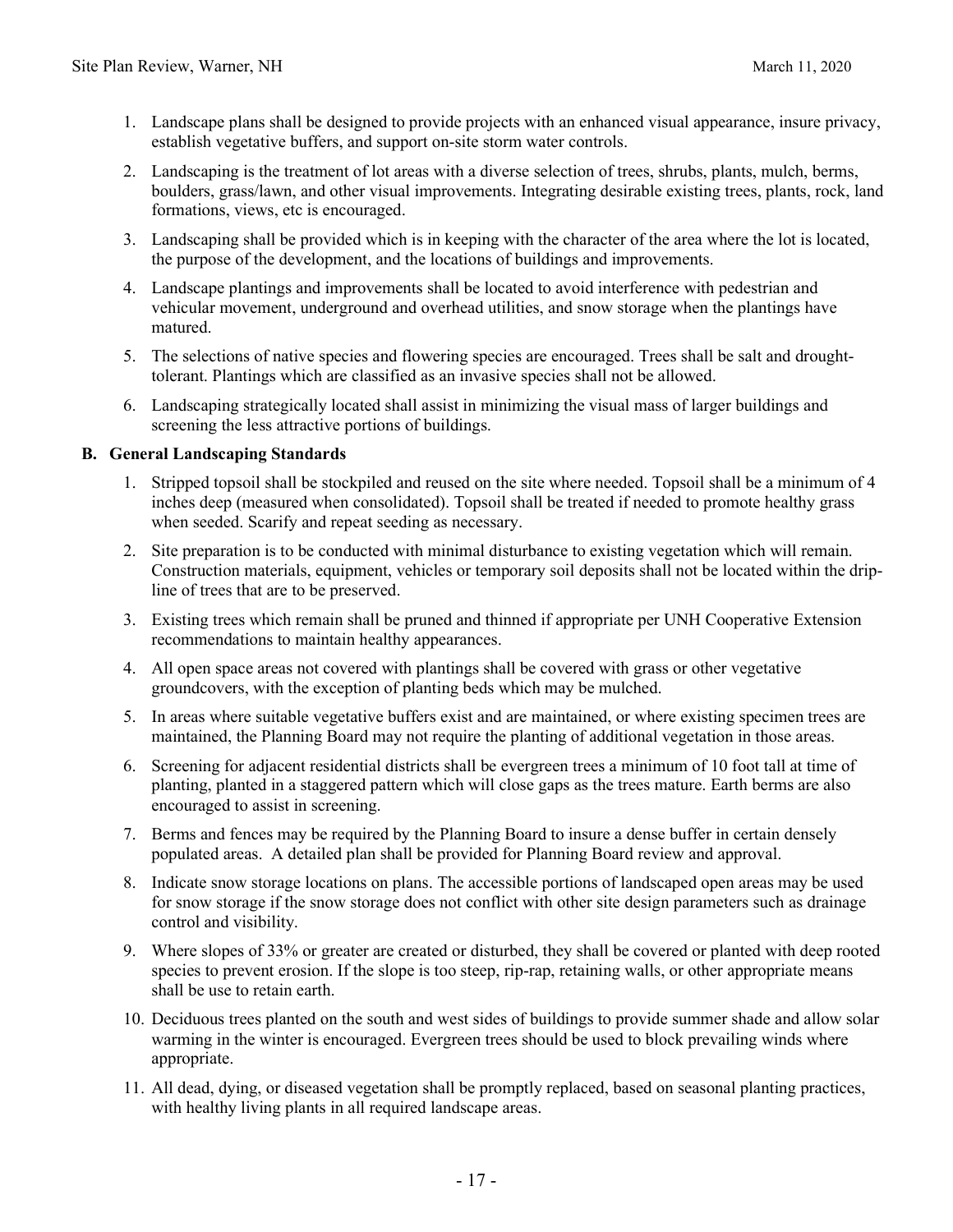- 1. Landscape plans shall be designed to provide projects with an enhanced visual appearance, insure privacy, establish vegetative buffers, and support on-site storm water controls.
- 2. Landscaping is the treatment of lot areas with a diverse selection of trees, shrubs, plants, mulch, berms, boulders, grass/lawn, and other visual improvements. Integrating desirable existing trees, plants, rock, land formations, views, etc is encouraged.
- 3. Landscaping shall be provided which is in keeping with the character of the area where the lot is located, the purpose of the development, and the locations of buildings and improvements.
- 4. Landscape plantings and improvements shall be located to avoid interference with pedestrian and vehicular movement, underground and overhead utilities, and snow storage when the plantings have matured.
- 5. The selections of native species and flowering species are encouraged. Trees shall be salt and droughttolerant. Plantings which are classified as an invasive species shall not be allowed.
- 6. Landscaping strategically located shall assist in minimizing the visual mass of larger buildings and screening the less attractive portions of buildings.

#### **B. General Landscaping Standards**

- 1. Stripped topsoil shall be stockpiled and reused on the site where needed. Topsoil shall be a minimum of 4 inches deep (measured when consolidated). Topsoil shall be treated if needed to promote healthy grass when seeded. Scarify and repeat seeding as necessary.
- 2. Site preparation is to be conducted with minimal disturbance to existing vegetation which will remain. Construction materials, equipment, vehicles or temporary soil deposits shall not be located within the dripline of trees that are to be preserved.
- 3. Existing trees which remain shall be pruned and thinned if appropriate per UNH Cooperative Extension recommendations to maintain healthy appearances.
- 4. All open space areas not covered with plantings shall be covered with grass or other vegetative groundcovers, with the exception of planting beds which may be mulched.
- 5. In areas where suitable vegetative buffers exist and are maintained, or where existing specimen trees are maintained, the Planning Board may not require the planting of additional vegetation in those areas.
- 6. Screening for adjacent residential districts shall be evergreen trees a minimum of 10 foot tall at time of planting, planted in a staggered pattern which will close gaps as the trees mature. Earth berms are also encouraged to assist in screening.
- 7. Berms and fences may be required by the Planning Board to insure a dense buffer in certain densely populated areas. A detailed plan shall be provided for Planning Board review and approval.
- 8. Indicate snow storage locations on plans. The accessible portions of landscaped open areas may be used for snow storage if the snow storage does not conflict with other site design parameters such as drainage control and visibility.
- 9. Where slopes of 33% or greater are created or disturbed, they shall be covered or planted with deep rooted species to prevent erosion. If the slope is too steep, rip-rap, retaining walls, or other appropriate means shall be use to retain earth.
- 10. Deciduous trees planted on the south and west sides of buildings to provide summer shade and allow solar warming in the winter is encouraged. Evergreen trees should be used to block prevailing winds where appropriate.
- 11. All dead, dying, or diseased vegetation shall be promptly replaced, based on seasonal planting practices, with healthy living plants in all required landscape areas.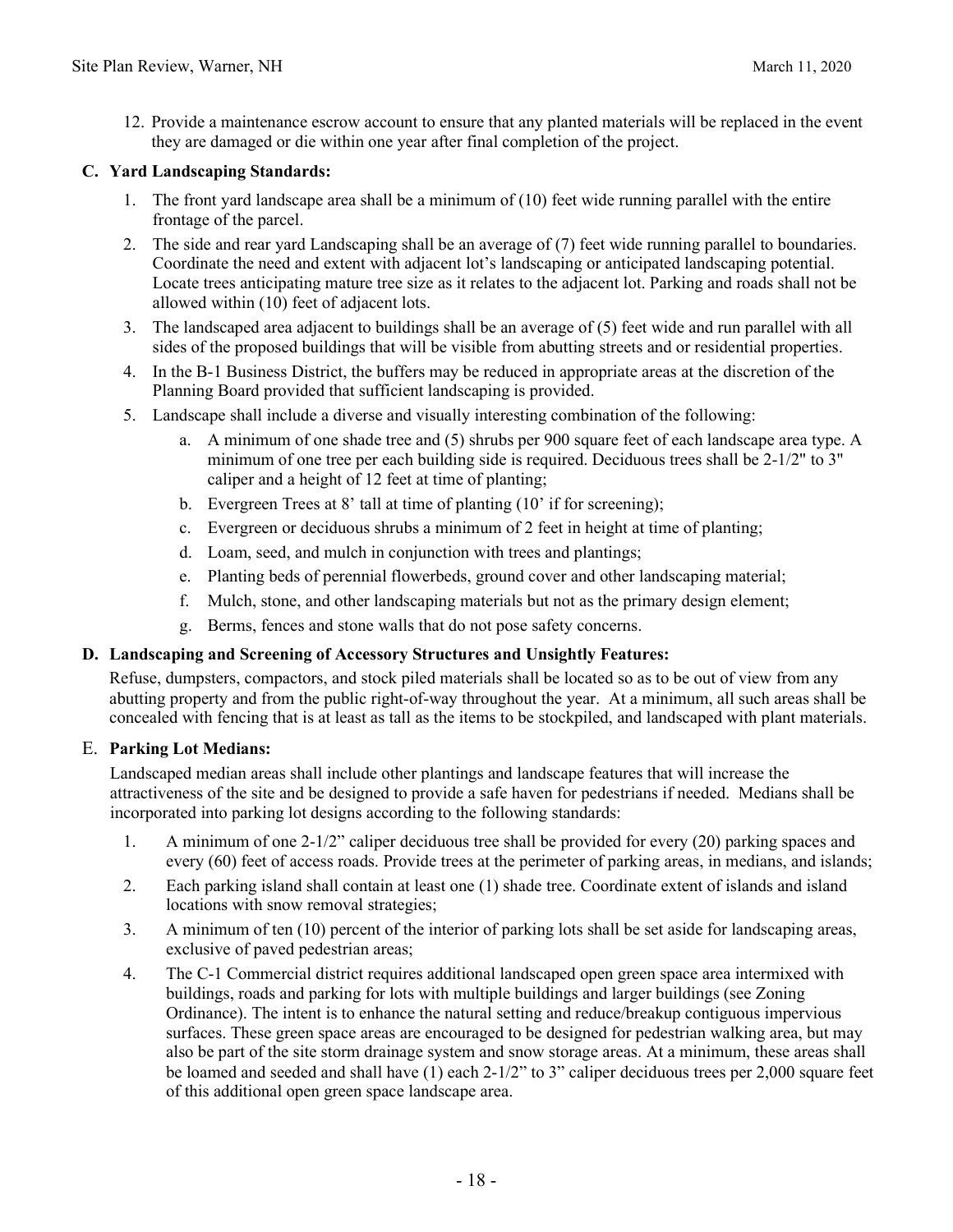12. Provide a maintenance escrow account to ensure that any planted materials will be replaced in the event they are damaged or die within one year after final completion of the project.

#### **C. Yard Landscaping Standards:**

- 1. The front yard landscape area shall be a minimum of (10) feet wide running parallel with the entire frontage of the parcel.
- 2. The side and rear yard Landscaping shall be an average of (7) feet wide running parallel to boundaries. Coordinate the need and extent with adjacent lot's landscaping or anticipated landscaping potential. Locate trees anticipating mature tree size as it relates to the adjacent lot. Parking and roads shall not be allowed within (10) feet of adjacent lots.
- 3. The landscaped area adjacent to buildings shall be an average of (5) feet wide and run parallel with all sides of the proposed buildings that will be visible from abutting streets and or residential properties.
- 4. In the B-1 Business District, the buffers may be reduced in appropriate areas at the discretion of the Planning Board provided that sufficient landscaping is provided.
- 5. Landscape shall include a diverse and visually interesting combination of the following:
	- a. A minimum of one shade tree and (5) shrubs per 900 square feet of each landscape area type. A minimum of one tree per each building side is required. Deciduous trees shall be 2-1/2" to 3" caliper and a height of 12 feet at time of planting;
	- b. Evergreen Trees at 8' tall at time of planting (10' if for screening);
	- c. Evergreen or deciduous shrubs a minimum of 2 feet in height at time of planting;
	- d. Loam, seed, and mulch in conjunction with trees and plantings;
	- e. Planting beds of perennial flowerbeds, ground cover and other landscaping material;
	- f. Mulch, stone, and other landscaping materials but not as the primary design element;
	- g. Berms, fences and stone walls that do not pose safety concerns.

#### **D. Landscaping and Screening of Accessory Structures and Unsightly Features:**

Refuse, dumpsters, compactors, and stock piled materials shall be located so as to be out of view from any abutting property and from the public right-of-way throughout the year. At a minimum, all such areas shall be concealed with fencing that is at least as tall as the items to be stockpiled, and landscaped with plant materials.

#### E. **Parking Lot Medians:**

Landscaped median areas shall include other plantings and landscape features that will increase the attractiveness of the site and be designed to provide a safe haven for pedestrians if needed. Medians shall be incorporated into parking lot designs according to the following standards:

- 1. A minimum of one 2-1/2" caliper deciduous tree shall be provided for every (20) parking spaces and every (60) feet of access roads. Provide trees at the perimeter of parking areas, in medians, and islands;
- 2. Each parking island shall contain at least one (1) shade tree. Coordinate extent of islands and island locations with snow removal strategies;
- 3. A minimum of ten (10) percent of the interior of parking lots shall be set aside for landscaping areas, exclusive of paved pedestrian areas;
- 4. The C-1 Commercial district requires additional landscaped open green space area intermixed with buildings, roads and parking for lots with multiple buildings and larger buildings (see Zoning Ordinance). The intent is to enhance the natural setting and reduce/breakup contiguous impervious surfaces. These green space areas are encouraged to be designed for pedestrian walking area, but may also be part of the site storm drainage system and snow storage areas. At a minimum, these areas shall be loamed and seeded and shall have (1) each 2-1/2" to 3" caliper deciduous trees per 2,000 square feet of this additional open green space landscape area.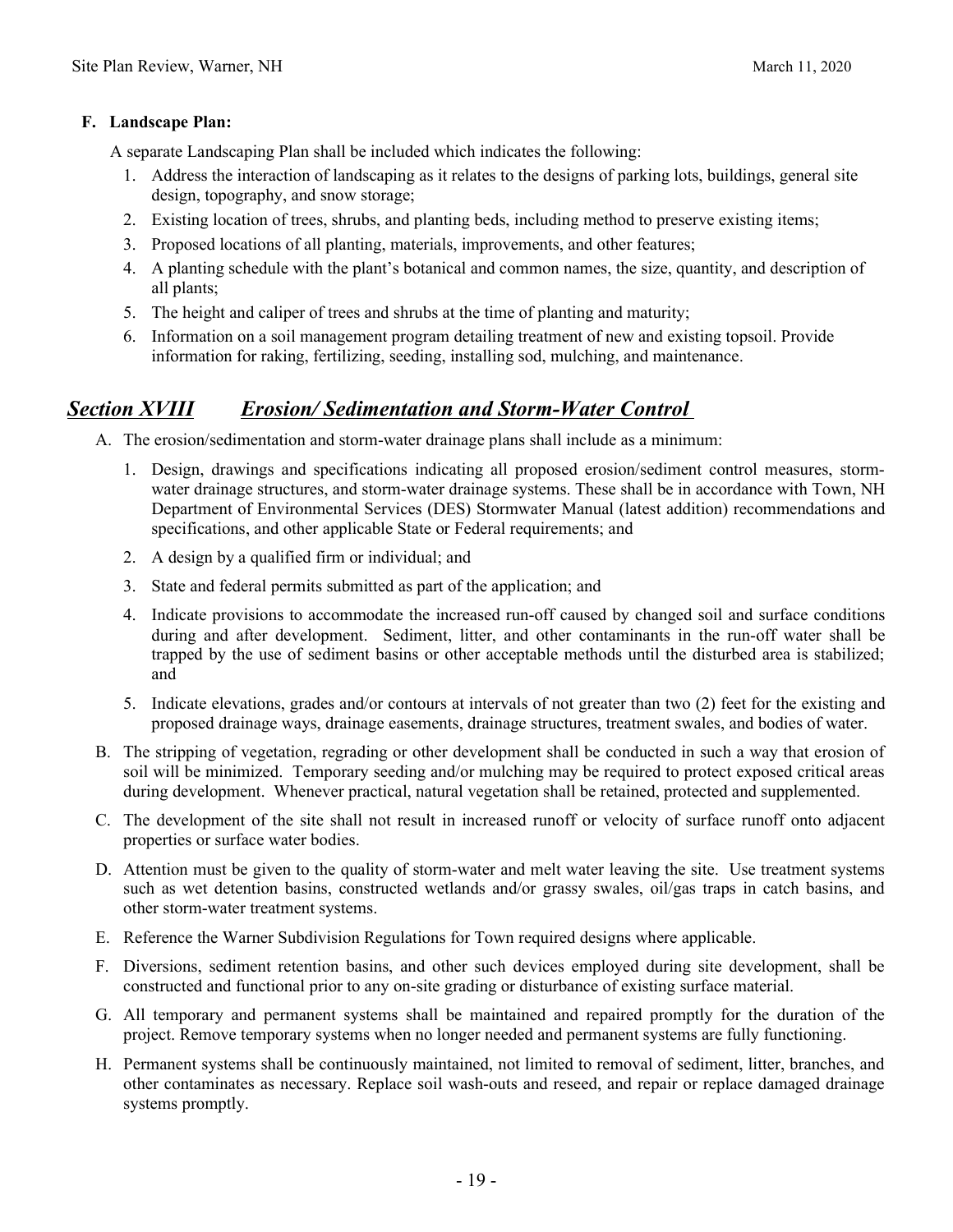#### **F. Landscape Plan:**

- A separate Landscaping Plan shall be included which indicates the following:
	- 1. Address the interaction of landscaping as it relates to the designs of parking lots, buildings, general site design, topography, and snow storage;
	- 2. Existing location of trees, shrubs, and planting beds, including method to preserve existing items;
	- 3. Proposed locations of all planting, materials, improvements, and other features;
	- 4. A planting schedule with the plant's botanical and common names, the size, quantity, and description of all plants;
	- 5. The height and caliper of trees and shrubs at the time of planting and maturity;
	- 6. Information on a soil management program detailing treatment of new and existing topsoil. Provide information for raking, fertilizing, seeding, installing sod, mulching, and maintenance.

## *Section XVIII Erosion/ Sedimentation and Storm-Water Control*

- A. The erosion/sedimentation and storm-water drainage plans shall include as a minimum:
	- 1. Design, drawings and specifications indicating all proposed erosion/sediment control measures, stormwater drainage structures, and storm-water drainage systems. These shall be in accordance with Town, NH Department of Environmental Services (DES) Stormwater Manual (latest addition) recommendations and specifications, and other applicable State or Federal requirements; and
	- 2. A design by a qualified firm or individual; and
	- 3. State and federal permits submitted as part of the application; and
	- 4. Indicate provisions to accommodate the increased run-off caused by changed soil and surface conditions during and after development. Sediment, litter, and other contaminants in the run-off water shall be trapped by the use of sediment basins or other acceptable methods until the disturbed area is stabilized; and
	- 5. Indicate elevations, grades and/or contours at intervals of not greater than two (2) feet for the existing and proposed drainage ways, drainage easements, drainage structures, treatment swales, and bodies of water.
- B. The stripping of vegetation, regrading or other development shall be conducted in such a way that erosion of soil will be minimized. Temporary seeding and/or mulching may be required to protect exposed critical areas during development. Whenever practical, natural vegetation shall be retained, protected and supplemented.
- C. The development of the site shall not result in increased runoff or velocity of surface runoff onto adjacent properties or surface water bodies.
- D. Attention must be given to the quality of storm-water and melt water leaving the site. Use treatment systems such as wet detention basins, constructed wetlands and/or grassy swales, oil/gas traps in catch basins, and other storm-water treatment systems.
- E. Reference the Warner Subdivision Regulations for Town required designs where applicable.
- F. Diversions, sediment retention basins, and other such devices employed during site development, shall be constructed and functional prior to any on-site grading or disturbance of existing surface material.
- G. All temporary and permanent systems shall be maintained and repaired promptly for the duration of the project. Remove temporary systems when no longer needed and permanent systems are fully functioning.
- H. Permanent systems shall be continuously maintained, not limited to removal of sediment, litter, branches, and other contaminates as necessary. Replace soil wash-outs and reseed, and repair or replace damaged drainage systems promptly.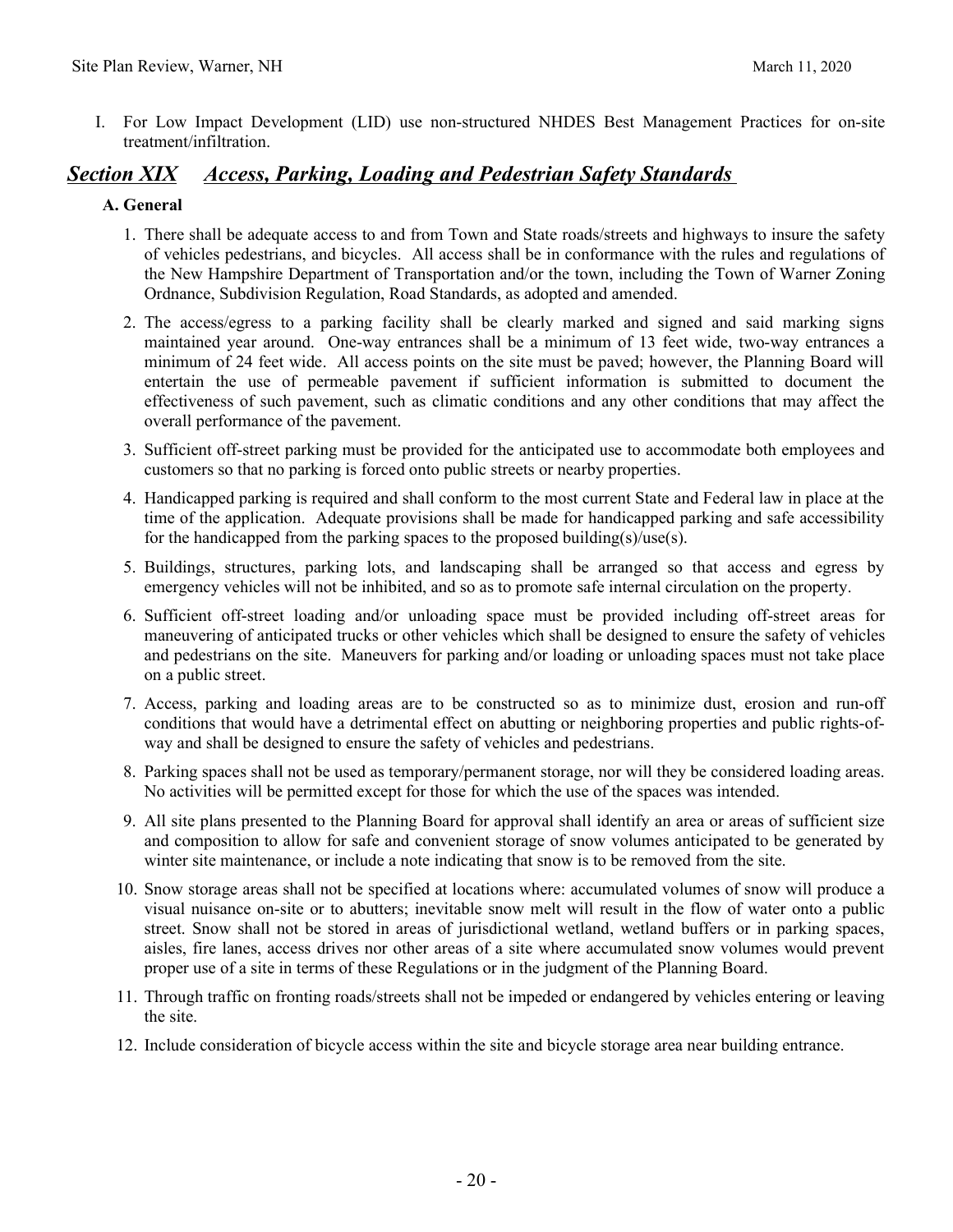I. For Low Impact Development (LID) use non-structured NHDES Best Management Practices for on-site treatment/infiltration.

### *Section XIX Access, Parking, Loading and Pedestrian Safety Standards*

#### **A. General**

- 1. There shall be adequate access to and from Town and State roads/streets and highways to insure the safety of vehicles pedestrians, and bicycles. All access shall be in conformance with the rules and regulations of the New Hampshire Department of Transportation and/or the town, including the Town of Warner Zoning Ordnance, Subdivision Regulation, Road Standards, as adopted and amended.
- 2. The access/egress to a parking facility shall be clearly marked and signed and said marking signs maintained year around. One-way entrances shall be a minimum of 13 feet wide, two-way entrances a minimum of 24 feet wide. All access points on the site must be paved; however, the Planning Board will entertain the use of permeable pavement if sufficient information is submitted to document the effectiveness of such pavement, such as climatic conditions and any other conditions that may affect the overall performance of the pavement.
- 3. Sufficient off-street parking must be provided for the anticipated use to accommodate both employees and customers so that no parking is forced onto public streets or nearby properties.
- 4. Handicapped parking is required and shall conform to the most current State and Federal law in place at the time of the application. Adequate provisions shall be made for handicapped parking and safe accessibility for the handicapped from the parking spaces to the proposed building(s)/use(s).
- 5. Buildings, structures, parking lots, and landscaping shall be arranged so that access and egress by emergency vehicles will not be inhibited, and so as to promote safe internal circulation on the property.
- 6. Sufficient off-street loading and/or unloading space must be provided including off-street areas for maneuvering of anticipated trucks or other vehicles which shall be designed to ensure the safety of vehicles and pedestrians on the site. Maneuvers for parking and/or loading or unloading spaces must not take place on a public street.
- 7. Access, parking and loading areas are to be constructed so as to minimize dust, erosion and run-off conditions that would have a detrimental effect on abutting or neighboring properties and public rights-ofway and shall be designed to ensure the safety of vehicles and pedestrians.
- 8. Parking spaces shall not be used as temporary/permanent storage, nor will they be considered loading areas. No activities will be permitted except for those for which the use of the spaces was intended.
- 9. All site plans presented to the Planning Board for approval shall identify an area or areas of sufficient size and composition to allow for safe and convenient storage of snow volumes anticipated to be generated by winter site maintenance, or include a note indicating that snow is to be removed from the site.
- 10. Snow storage areas shall not be specified at locations where: accumulated volumes of snow will produce a visual nuisance on-site or to abutters; inevitable snow melt will result in the flow of water onto a public street. Snow shall not be stored in areas of jurisdictional wetland, wetland buffers or in parking spaces, aisles, fire lanes, access drives nor other areas of a site where accumulated snow volumes would prevent proper use of a site in terms of these Regulations or in the judgment of the Planning Board.
- 11. Through traffic on fronting roads/streets shall not be impeded or endangered by vehicles entering or leaving the site.
- 12. Include consideration of bicycle access within the site and bicycle storage area near building entrance.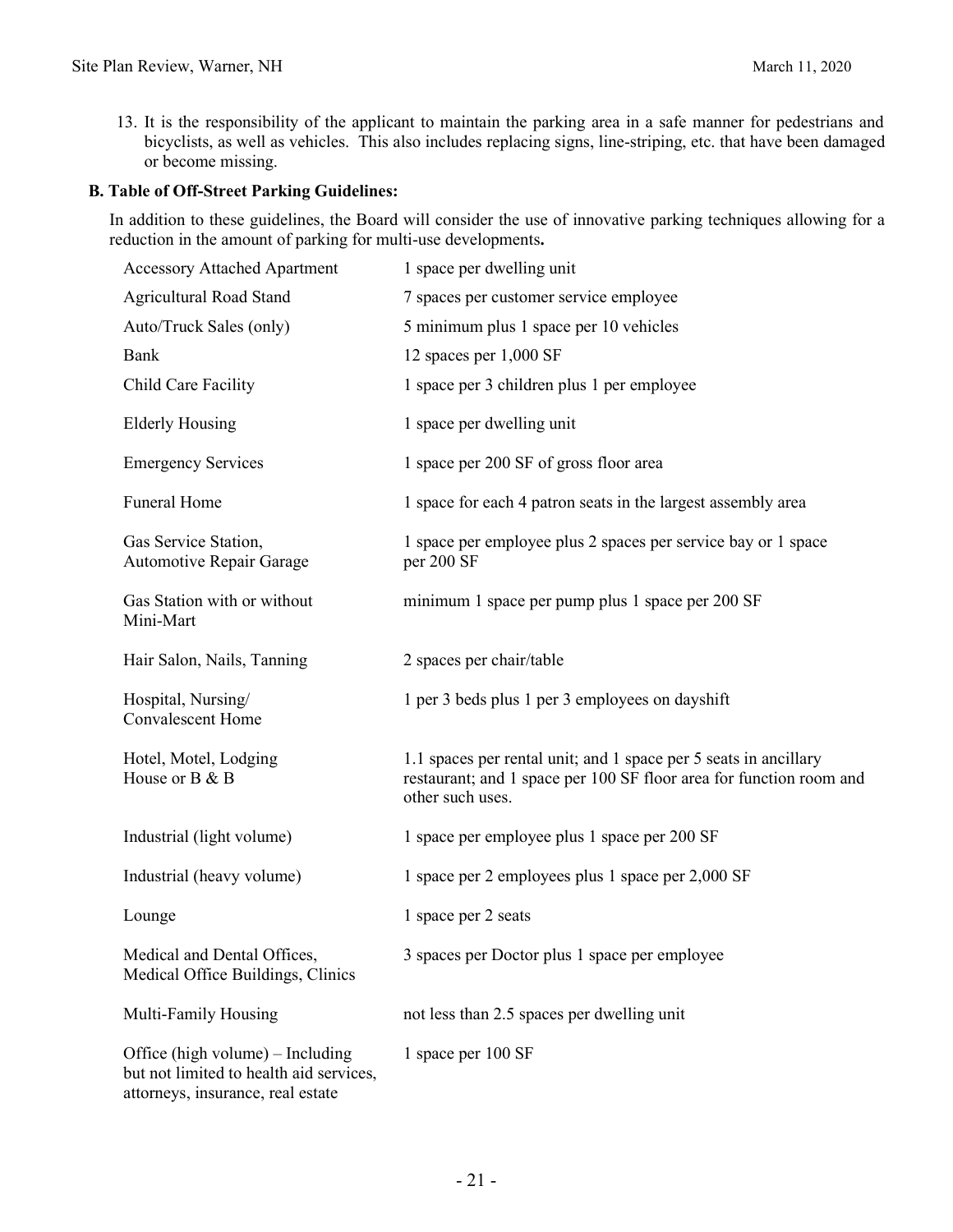13. It is the responsibility of the applicant to maintain the parking area in a safe manner for pedestrians and bicyclists, as well as vehicles. This also includes replacing signs, line-striping, etc. that have been damaged or become missing.

#### **B. Table of Off-Street Parking Guidelines:**

In addition to these guidelines, the Board will consider the use of innovative parking techniques allowing for a reduction in the amount of parking for multi-use developments**.**

| <b>Accessory Attached Apartment</b>                                                                              | 1 space per dwelling unit                                                                                                                                   |  |  |
|------------------------------------------------------------------------------------------------------------------|-------------------------------------------------------------------------------------------------------------------------------------------------------------|--|--|
| Agricultural Road Stand                                                                                          | 7 spaces per customer service employee                                                                                                                      |  |  |
| Auto/Truck Sales (only)                                                                                          | 5 minimum plus 1 space per 10 vehicles                                                                                                                      |  |  |
| Bank                                                                                                             | 12 spaces per 1,000 SF                                                                                                                                      |  |  |
| Child Care Facility                                                                                              | 1 space per 3 children plus 1 per employee                                                                                                                  |  |  |
| <b>Elderly Housing</b>                                                                                           | 1 space per dwelling unit                                                                                                                                   |  |  |
| <b>Emergency Services</b>                                                                                        | 1 space per 200 SF of gross floor area                                                                                                                      |  |  |
| <b>Funeral Home</b>                                                                                              | 1 space for each 4 patron seats in the largest assembly area                                                                                                |  |  |
| Gas Service Station,<br><b>Automotive Repair Garage</b>                                                          | 1 space per employee plus 2 spaces per service bay or 1 space<br>per 200 SF                                                                                 |  |  |
| Gas Station with or without<br>Mini-Mart                                                                         | minimum 1 space per pump plus 1 space per 200 SF                                                                                                            |  |  |
| Hair Salon, Nails, Tanning                                                                                       | 2 spaces per chair/table                                                                                                                                    |  |  |
| Hospital, Nursing/<br><b>Convalescent Home</b>                                                                   | 1 per 3 beds plus 1 per 3 employees on dayshift                                                                                                             |  |  |
| Hotel, Motel, Lodging<br>House or B & B                                                                          | 1.1 spaces per rental unit; and 1 space per 5 seats in ancillary<br>restaurant; and 1 space per 100 SF floor area for function room and<br>other such uses. |  |  |
| Industrial (light volume)                                                                                        | 1 space per employee plus 1 space per 200 SF                                                                                                                |  |  |
| Industrial (heavy volume)                                                                                        | 1 space per 2 employees plus 1 space per 2,000 SF                                                                                                           |  |  |
| Lounge                                                                                                           | 1 space per 2 seats                                                                                                                                         |  |  |
| Medical and Dental Offices,<br>Medical Office Buildings, Clinics                                                 | 3 spaces per Doctor plus 1 space per employee                                                                                                               |  |  |
| Multi-Family Housing                                                                                             | not less than 2.5 spaces per dwelling unit                                                                                                                  |  |  |
| Office (high volume) – Including<br>but not limited to health aid services,<br>attorneys, insurance, real estate | 1 space per 100 SF                                                                                                                                          |  |  |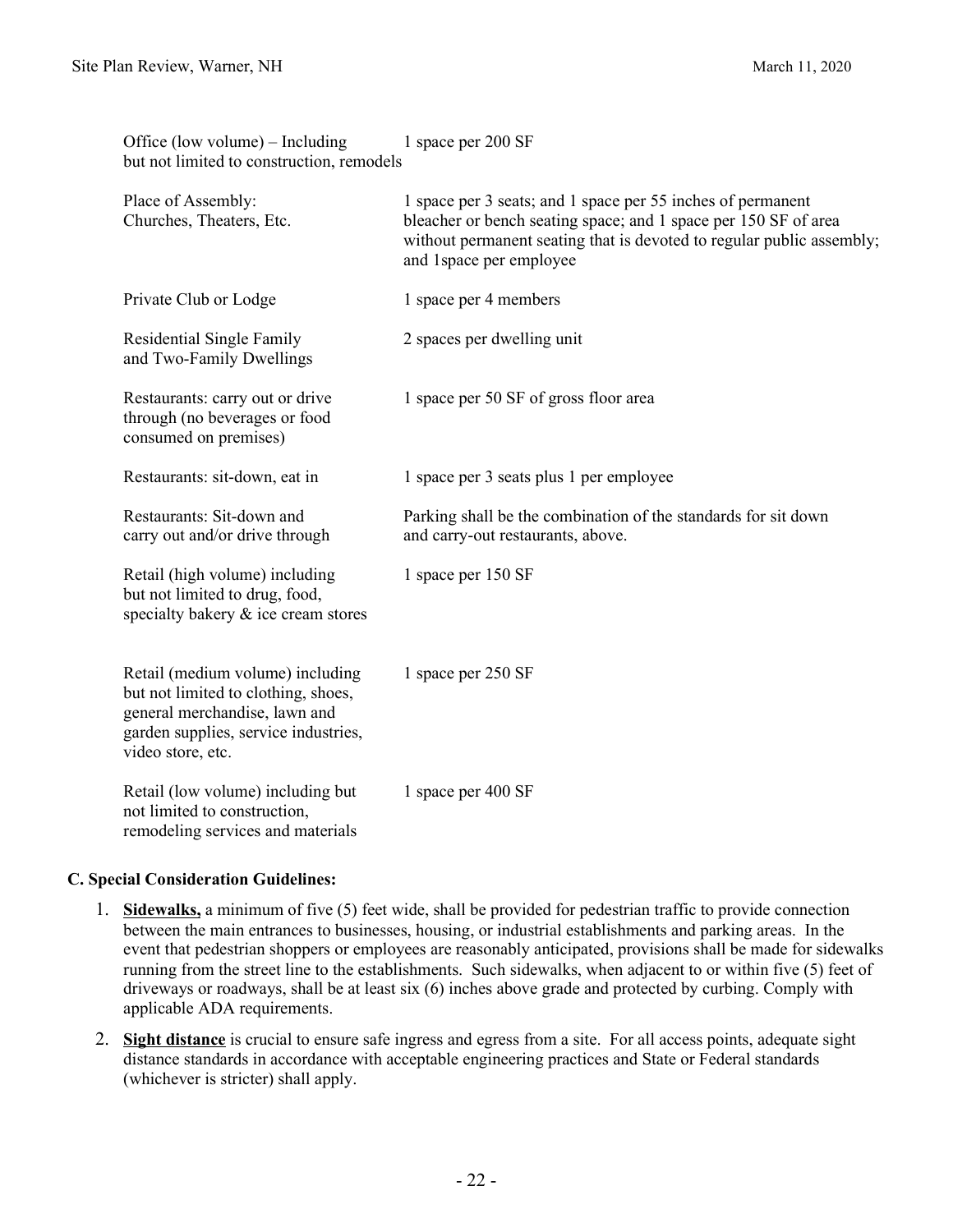Office  $(low volume) = Includino$  1 space per 200 SF

| 1100 (10)<br>but not limited to construction, remodels                                                                                                                |                                                                                                                                                                                                                                     |  |  |  |
|-----------------------------------------------------------------------------------------------------------------------------------------------------------------------|-------------------------------------------------------------------------------------------------------------------------------------------------------------------------------------------------------------------------------------|--|--|--|
| Place of Assembly:<br>Churches, Theaters, Etc.                                                                                                                        | 1 space per 3 seats; and 1 space per 55 inches of permanent<br>bleacher or bench seating space; and 1 space per 150 SF of area<br>without permanent seating that is devoted to regular public assembly;<br>and 1 space per employee |  |  |  |
| Private Club or Lodge                                                                                                                                                 | 1 space per 4 members                                                                                                                                                                                                               |  |  |  |
| Residential Single Family<br>and Two-Family Dwellings                                                                                                                 | 2 spaces per dwelling unit                                                                                                                                                                                                          |  |  |  |
| Restaurants: carry out or drive<br>through (no beverages or food<br>consumed on premises)                                                                             | 1 space per 50 SF of gross floor area                                                                                                                                                                                               |  |  |  |
| Restaurants: sit-down, eat in                                                                                                                                         | 1 space per 3 seats plus 1 per employee                                                                                                                                                                                             |  |  |  |
| Restaurants: Sit-down and<br>carry out and/or drive through                                                                                                           | Parking shall be the combination of the standards for sit down<br>and carry-out restaurants, above.                                                                                                                                 |  |  |  |
| Retail (high volume) including<br>but not limited to drug, food,<br>specialty bakery & ice cream stores                                                               | 1 space per 150 SF                                                                                                                                                                                                                  |  |  |  |
| Retail (medium volume) including<br>but not limited to clothing, shoes,<br>general merchandise, lawn and<br>garden supplies, service industries,<br>video store, etc. | 1 space per 250 SF                                                                                                                                                                                                                  |  |  |  |
| Retail (low volume) including but<br>not limited to construction,<br>remodeling services and materials                                                                | 1 space per 400 SF                                                                                                                                                                                                                  |  |  |  |

#### **C. Special Consideration Guidelines:**

- 1. **Sidewalks,** a minimum of five (5) feet wide, shall be provided for pedestrian traffic to provide connection between the main entrances to businesses, housing, or industrial establishments and parking areas. In the event that pedestrian shoppers or employees are reasonably anticipated, provisions shall be made for sidewalks running from the street line to the establishments. Such sidewalks, when adjacent to or within five (5) feet of driveways or roadways, shall be at least six (6) inches above grade and protected by curbing. Comply with applicable ADA requirements.
- 2. **Sight distance** is crucial to ensure safe ingress and egress from a site. For all access points, adequate sight distance standards in accordance with acceptable engineering practices and State or Federal standards (whichever is stricter) shall apply.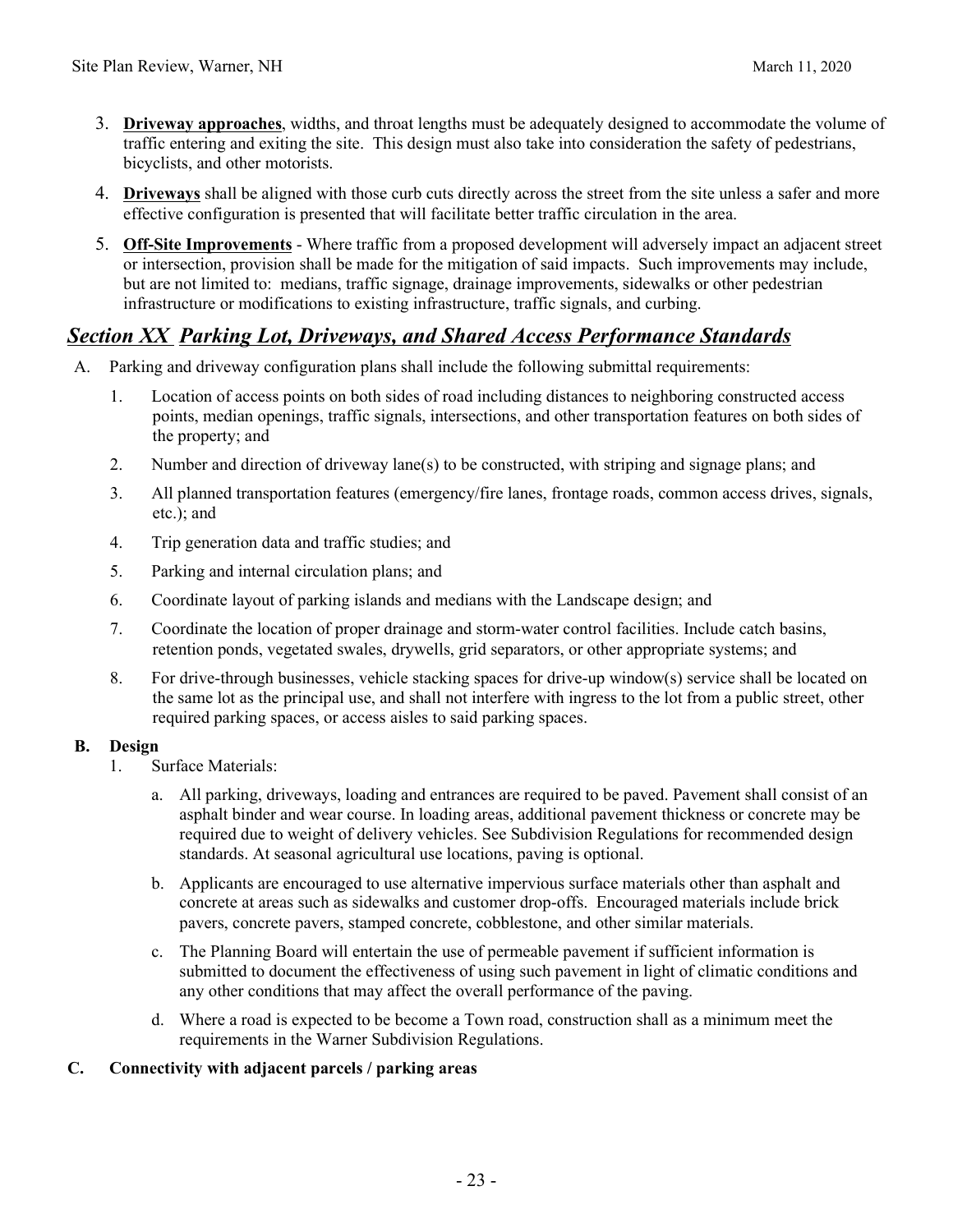- 3. **Driveway approaches**, widths, and throat lengths must be adequately designed to accommodate the volume of traffic entering and exiting the site. This design must also take into consideration the safety of pedestrians, bicyclists, and other motorists.
- 4. **Driveways** shall be aligned with those curb cuts directly across the street from the site unless a safer and more effective configuration is presented that will facilitate better traffic circulation in the area.
- 5. **Off-Site Improvements** Where traffic from a proposed development will adversely impact an adjacent street or intersection, provision shall be made for the mitigation of said impacts. Such improvements may include, but are not limited to: medians, traffic signage, drainage improvements, sidewalks or other pedestrian infrastructure or modifications to existing infrastructure, traffic signals, and curbing.

# *Section XX Parking Lot, Driveways, and Shared Access Performance Standards*

- A. Parking and driveway configuration plans shall include the following submittal requirements:
	- 1. Location of access points on both sides of road including distances to neighboring constructed access points, median openings, traffic signals, intersections, and other transportation features on both sides of the property; and
	- 2. Number and direction of driveway lane(s) to be constructed, with striping and signage plans; and
	- 3. All planned transportation features (emergency/fire lanes, frontage roads, common access drives, signals, etc.); and
	- 4. Trip generation data and traffic studies; and
	- 5. Parking and internal circulation plans; and
	- 6. Coordinate layout of parking islands and medians with the Landscape design; and
	- 7. Coordinate the location of proper drainage and storm-water control facilities. Include catch basins, retention ponds, vegetated swales, drywells, grid separators, or other appropriate systems; and
	- 8. For drive-through businesses, vehicle stacking spaces for drive-up window(s) service shall be located on the same lot as the principal use, and shall not interfere with ingress to the lot from a public street, other required parking spaces, or access aisles to said parking spaces.

#### **B. Design**

- 1. Surface Materials:
	- a. All parking, driveways, loading and entrances are required to be paved. Pavement shall consist of an asphalt binder and wear course. In loading areas, additional pavement thickness or concrete may be required due to weight of delivery vehicles. See Subdivision Regulations for recommended design standards. At seasonal agricultural use locations, paving is optional.
	- b. Applicants are encouraged to use alternative impervious surface materials other than asphalt and concrete at areas such as sidewalks and customer drop-offs. Encouraged materials include brick pavers, concrete pavers, stamped concrete, cobblestone, and other similar materials.
	- c. The Planning Board will entertain the use of permeable pavement if sufficient information is submitted to document the effectiveness of using such pavement in light of climatic conditions and any other conditions that may affect the overall performance of the paving.
	- d. Where a road is expected to be become a Town road, construction shall as a minimum meet the requirements in the Warner Subdivision Regulations.

#### **C. Connectivity with adjacent parcels / parking areas**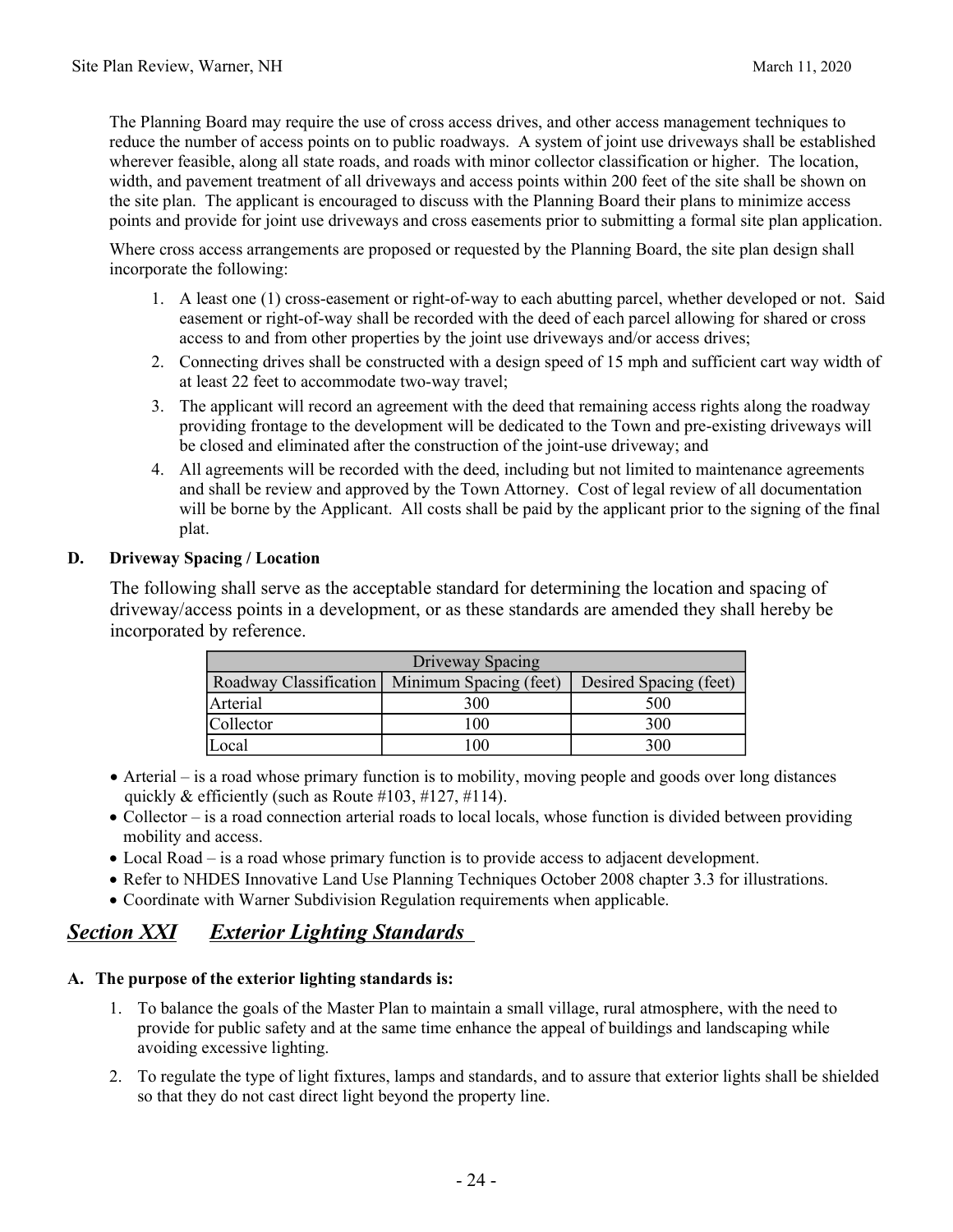The Planning Board may require the use of cross access drives, and other access management techniques to reduce the number of access points on to public roadways. A system of joint use driveways shall be established wherever feasible, along all state roads, and roads with minor collector classification or higher. The location, width, and pavement treatment of all driveways and access points within 200 feet of the site shall be shown on the site plan. The applicant is encouraged to discuss with the Planning Board their plans to minimize access points and provide for joint use driveways and cross easements prior to submitting a formal site plan application.

Where cross access arrangements are proposed or requested by the Planning Board, the site plan design shall incorporate the following:

- 1. A least one (1) cross-easement or right-of-way to each abutting parcel, whether developed or not. Said easement or right-of-way shall be recorded with the deed of each parcel allowing for shared or cross access to and from other properties by the joint use driveways and/or access drives;
- 2. Connecting drives shall be constructed with a design speed of 15 mph and sufficient cart way width of at least 22 feet to accommodate two-way travel;
- 3. The applicant will record an agreement with the deed that remaining access rights along the roadway providing frontage to the development will be dedicated to the Town and pre-existing driveways will be closed and eliminated after the construction of the joint-use driveway; and
- 4. All agreements will be recorded with the deed, including but not limited to maintenance agreements and shall be review and approved by the Town Attorney. Cost of legal review of all documentation will be borne by the Applicant. All costs shall be paid by the applicant prior to the signing of the final plat.

#### **D. Driveway Spacing / Location**

The following shall serve as the acceptable standard for determining the location and spacing of driveway/access points in a development, or as these standards are amended they shall hereby be incorporated by reference.

| Driveway Spacing |                                               |                        |  |  |  |
|------------------|-----------------------------------------------|------------------------|--|--|--|
|                  | Roadway Classification Minimum Spacing (feet) | Desired Spacing (feet) |  |  |  |
| Arterial         | 300                                           | 500                    |  |  |  |
| Collector        | 100                                           | 300                    |  |  |  |
| Local            | 00                                            | 300                    |  |  |  |

- Arterial is a road whose primary function is to mobility, moving people and goods over long distances quickly & efficiently (such as Route  $\#103, \#127, \#114$ ).
- Collector is a road connection arterial roads to local locals, whose function is divided between providing mobility and access.
- Local Road is a road whose primary function is to provide access to adjacent development.
- Refer to NHDES Innovative Land Use Planning Techniques October 2008 chapter 3.3 for illustrations.
- Coordinate with Warner Subdivision Regulation requirements when applicable.

# *Section XXI Exterior Lighting Standards*

#### **A. The purpose of the exterior lighting standards is:**

- 1. To balance the goals of the Master Plan to maintain a small village, rural atmosphere, with the need to provide for public safety and at the same time enhance the appeal of buildings and landscaping while avoiding excessive lighting.
- 2. To regulate the type of light fixtures, lamps and standards, and to assure that exterior lights shall be shielded so that they do not cast direct light beyond the property line.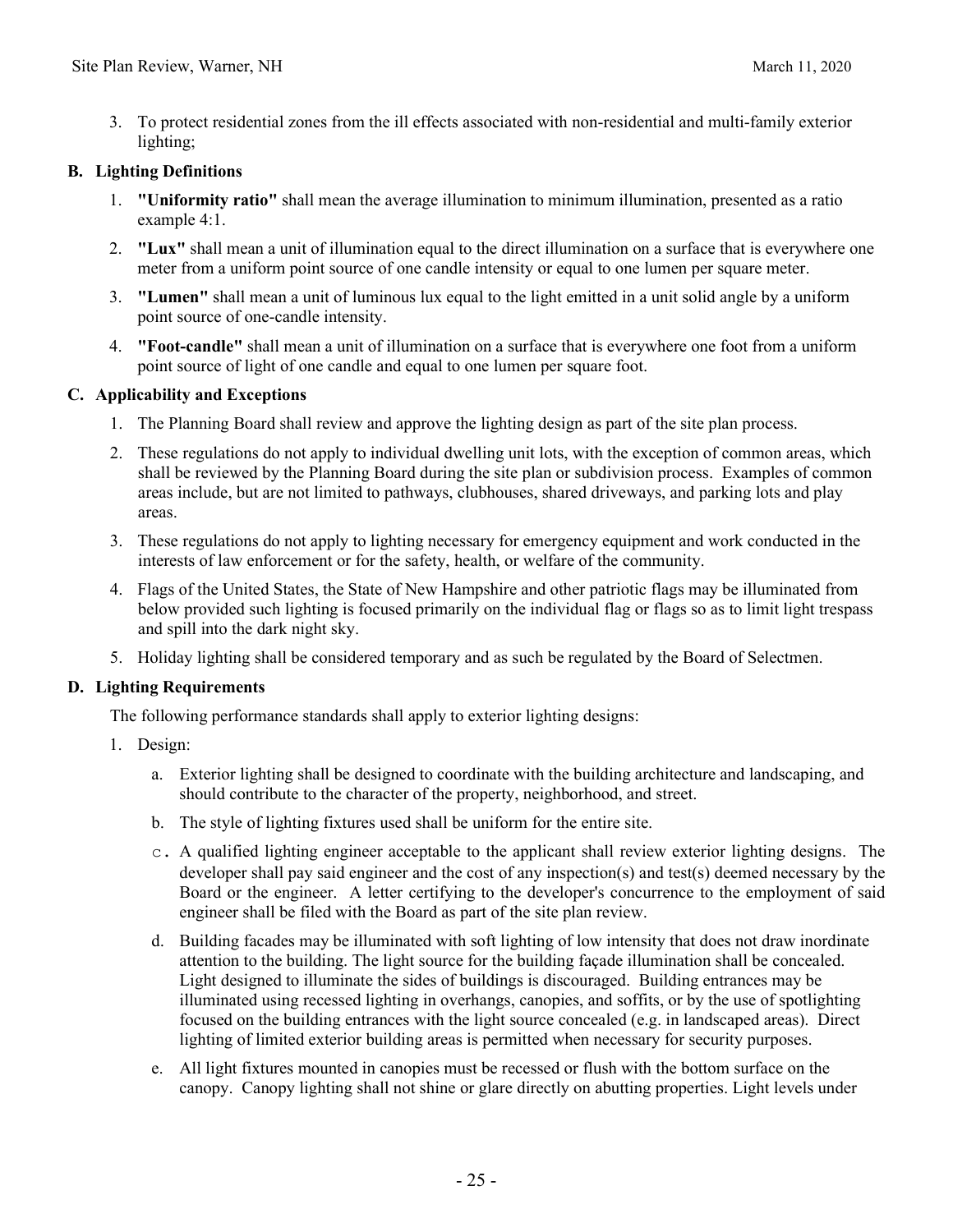3. To protect residential zones from the ill effects associated with non-residential and multi-family exterior lighting;

#### **B. Lighting Definitions**

- 1. **"Uniformity ratio"** shall mean the average illumination to minimum illumination, presented as a ratio example 4:1.
- 2. **"Lux"** shall mean a unit of illumination equal to the direct illumination on a surface that is everywhere one meter from a uniform point source of one candle intensity or equal to one lumen per square meter.
- 3. **"Lumen"** shall mean a unit of luminous lux equal to the light emitted in a unit solid angle by a uniform point source of one-candle intensity.
- 4. **"Foot-candle"** shall mean a unit of illumination on a surface that is everywhere one foot from a uniform point source of light of one candle and equal to one lumen per square foot.

#### **C. Applicability and Exceptions**

- 1. The Planning Board shall review and approve the lighting design as part of the site plan process.
- 2. These regulations do not apply to individual dwelling unit lots, with the exception of common areas, which shall be reviewed by the Planning Board during the site plan or subdivision process. Examples of common areas include, but are not limited to pathways, clubhouses, shared driveways, and parking lots and play areas.
- 3. These regulations do not apply to lighting necessary for emergency equipment and work conducted in the interests of law enforcement or for the safety, health, or welfare of the community.
- 4. Flags of the United States, the State of New Hampshire and other patriotic flags may be illuminated from below provided such lighting is focused primarily on the individual flag or flags so as to limit light trespass and spill into the dark night sky.
- 5. Holiday lighting shall be considered temporary and as such be regulated by the Board of Selectmen.

#### **D. Lighting Requirements**

The following performance standards shall apply to exterior lighting designs:

- 1. Design:
	- a. Exterior lighting shall be designed to coordinate with the building architecture and landscaping, and should contribute to the character of the property, neighborhood, and street.
	- b. The style of lighting fixtures used shall be uniform for the entire site.
	- c. A qualified lighting engineer acceptable to the applicant shall review exterior lighting designs. The developer shall pay said engineer and the cost of any inspection(s) and test(s) deemed necessary by the Board or the engineer. A letter certifying to the developer's concurrence to the employment of said engineer shall be filed with the Board as part of the site plan review.
	- d. Building facades may be illuminated with soft lighting of low intensity that does not draw inordinate attention to the building. The light source for the building façade illumination shall be concealed. Light designed to illuminate the sides of buildings is discouraged. Building entrances may be illuminated using recessed lighting in overhangs, canopies, and soffits, or by the use of spotlighting focused on the building entrances with the light source concealed (e.g. in landscaped areas). Direct lighting of limited exterior building areas is permitted when necessary for security purposes.
	- e. All light fixtures mounted in canopies must be recessed or flush with the bottom surface on the canopy. Canopy lighting shall not shine or glare directly on abutting properties. Light levels under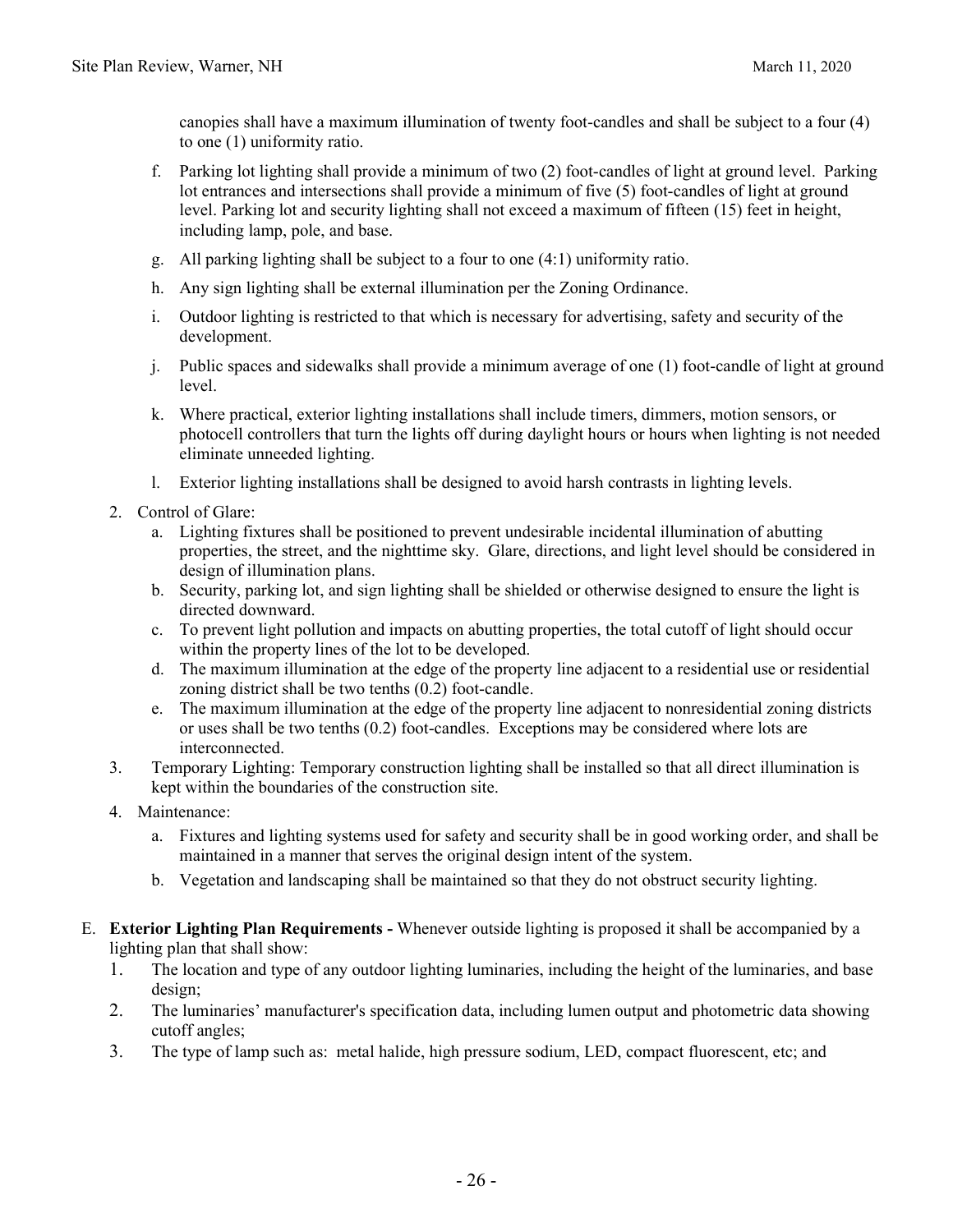canopies shall have a maximum illumination of twenty foot-candles and shall be subject to a four (4) to one (1) uniformity ratio.

- f. Parking lot lighting shall provide a minimum of two (2) foot-candles of light at ground level. Parking lot entrances and intersections shall provide a minimum of five (5) foot-candles of light at ground level. Parking lot and security lighting shall not exceed a maximum of fifteen (15) feet in height, including lamp, pole, and base.
- g. All parking lighting shall be subject to a four to one (4:1) uniformity ratio.
- h. Any sign lighting shall be external illumination per the Zoning Ordinance.
- i. Outdoor lighting is restricted to that which is necessary for advertising, safety and security of the development.
- j. Public spaces and sidewalks shall provide a minimum average of one (1) foot-candle of light at ground level.
- k. Where practical, exterior lighting installations shall include timers, dimmers, motion sensors, or photocell controllers that turn the lights off during daylight hours or hours when lighting is not needed eliminate unneeded lighting.
- l. Exterior lighting installations shall be designed to avoid harsh contrasts in lighting levels.
- 2. Control of Glare:
	- a. Lighting fixtures shall be positioned to prevent undesirable incidental illumination of abutting properties, the street, and the nighttime sky. Glare, directions, and light level should be considered in design of illumination plans.
	- b. Security, parking lot, and sign lighting shall be shielded or otherwise designed to ensure the light is directed downward.
	- c. To prevent light pollution and impacts on abutting properties, the total cutoff of light should occur within the property lines of the lot to be developed.
	- d. The maximum illumination at the edge of the property line adjacent to a residential use or residential zoning district shall be two tenths (0.2) foot-candle.
	- e. The maximum illumination at the edge of the property line adjacent to nonresidential zoning districts or uses shall be two tenths (0.2) foot-candles. Exceptions may be considered where lots are interconnected.
- 3. Temporary Lighting: Temporary construction lighting shall be installed so that all direct illumination is kept within the boundaries of the construction site.
- 4. Maintenance:
	- a. Fixtures and lighting systems used for safety and security shall be in good working order, and shall be maintained in a manner that serves the original design intent of the system.
	- b. Vegetation and landscaping shall be maintained so that they do not obstruct security lighting.
- E. **Exterior Lighting Plan Requirements** Whenever outside lighting is proposed it shall be accompanied by a lighting plan that shall show:
	- 1. The location and type of any outdoor lighting luminaries, including the height of the luminaries, and base design;
	- 2. The luminaries' manufacturer's specification data, including lumen output and photometric data showing cutoff angles;
	- 3. The type of lamp such as: metal halide, high pressure sodium, LED, compact fluorescent, etc; and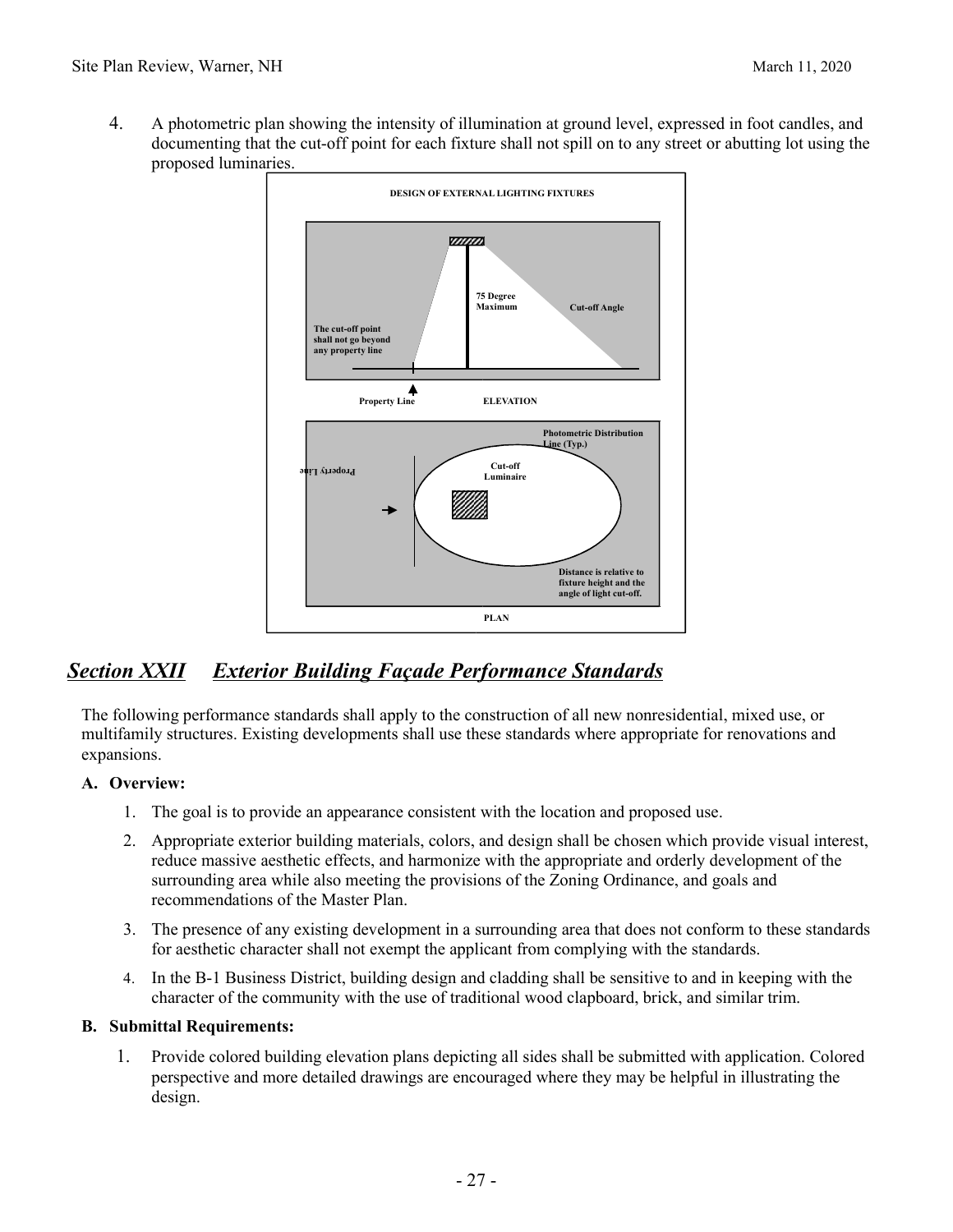4. A photometric plan showing the intensity of illumination at ground level, expressed in foot candles, and documenting that the cut-off point for each fixture shall not spill on to any street or abutting lot using the proposed luminaries.



# *Section XXII Exterior Building Façade Performance Standards*

The following performance standards shall apply to the construction of all new nonresidential, mixed use, or multifamily structures. Existing developments shall use these standards where appropriate for renovations and expansions.

#### **A. Overview:**

- 1. The goal is to provide an appearance consistent with the location and proposed use.
- 2. Appropriate exterior building materials, colors, and design shall be chosen which provide visual interest, reduce massive aesthetic effects, and harmonize with the appropriate and orderly development of the surrounding area while also meeting the provisions of the Zoning Ordinance, and goals and recommendations of the Master Plan.
- 3. The presence of any existing development in a surrounding area that does not conform to these standards for aesthetic character shall not exempt the applicant from complying with the standards.
- 4. In the B-1 Business District, building design and cladding shall be sensitive to and in keeping with the character of the community with the use of traditional wood clapboard, brick, and similar trim.

#### **B. Submittal Requirements:**

1. Provide colored building elevation plans depicting all sides shall be submitted with application. Colored perspective and more detailed drawings are encouraged where they may be helpful in illustrating the design.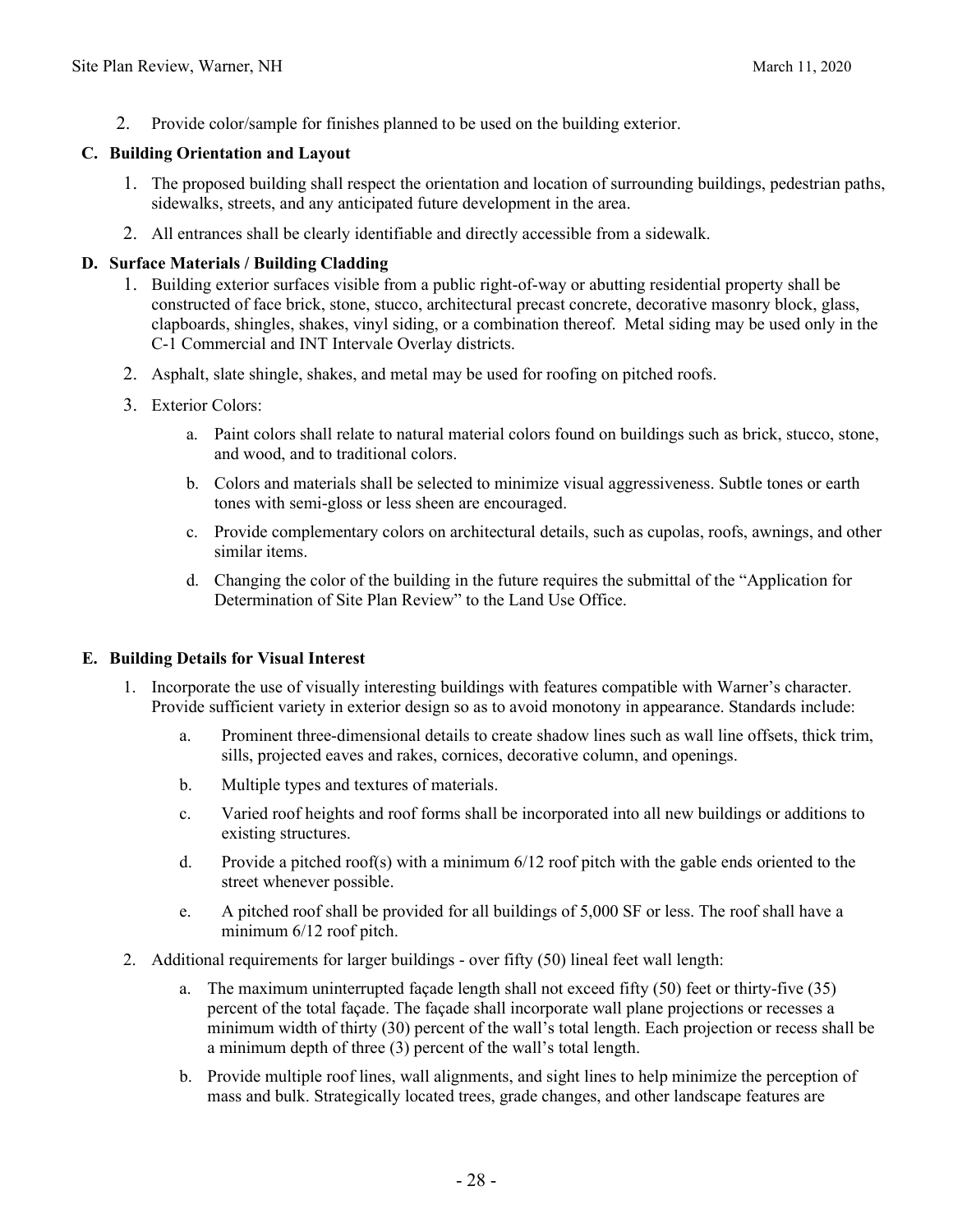2. Provide color/sample for finishes planned to be used on the building exterior.

#### **C. Building Orientation and Layout**

- 1. The proposed building shall respect the orientation and location of surrounding buildings, pedestrian paths, sidewalks, streets, and any anticipated future development in the area.
- 2. All entrances shall be clearly identifiable and directly accessible from a sidewalk.

#### **D. Surface Materials / Building Cladding**

- 1. Building exterior surfaces visible from a public right-of-way or abutting residential property shall be constructed of face brick, stone, stucco, architectural precast concrete, decorative masonry block, glass, clapboards, shingles, shakes, vinyl siding, or a combination thereof. Metal siding may be used only in the C-1 Commercial and INT Intervale Overlay districts.
- 2. Asphalt, slate shingle, shakes, and metal may be used for roofing on pitched roofs.
- 3. Exterior Colors:
	- a. Paint colors shall relate to natural material colors found on buildings such as brick, stucco, stone, and wood, and to traditional colors.
	- b. Colors and materials shall be selected to minimize visual aggressiveness. Subtle tones or earth tones with semi-gloss or less sheen are encouraged.
	- c. Provide complementary colors on architectural details, such as cupolas, roofs, awnings, and other similar items.
	- d. Changing the color of the building in the future requires the submittal of the "Application for Determination of Site Plan Review" to the Land Use Office.

#### **E. Building Details for Visual Interest**

- 1. Incorporate the use of visually interesting buildings with features compatible with Warner's character. Provide sufficient variety in exterior design so as to avoid monotony in appearance. Standards include:
	- a. Prominent three-dimensional details to create shadow lines such as wall line offsets, thick trim, sills, projected eaves and rakes, cornices, decorative column, and openings.
	- b. Multiple types and textures of materials.
	- c. Varied roof heights and roof forms shall be incorporated into all new buildings or additions to existing structures.
	- d. Provide a pitched roof(s) with a minimum 6/12 roof pitch with the gable ends oriented to the street whenever possible.
	- e. A pitched roof shall be provided for all buildings of 5,000 SF or less. The roof shall have a minimum 6/12 roof pitch.
- 2. Additional requirements for larger buildings over fifty (50) lineal feet wall length:
	- a. The maximum uninterrupted façade length shall not exceed fifty (50) feet or thirty-five (35) percent of the total façade. The façade shall incorporate wall plane projections or recesses a minimum width of thirty (30) percent of the wall's total length. Each projection or recess shall be a minimum depth of three (3) percent of the wall's total length.
	- b. Provide multiple roof lines, wall alignments, and sight lines to help minimize the perception of mass and bulk. Strategically located trees, grade changes, and other landscape features are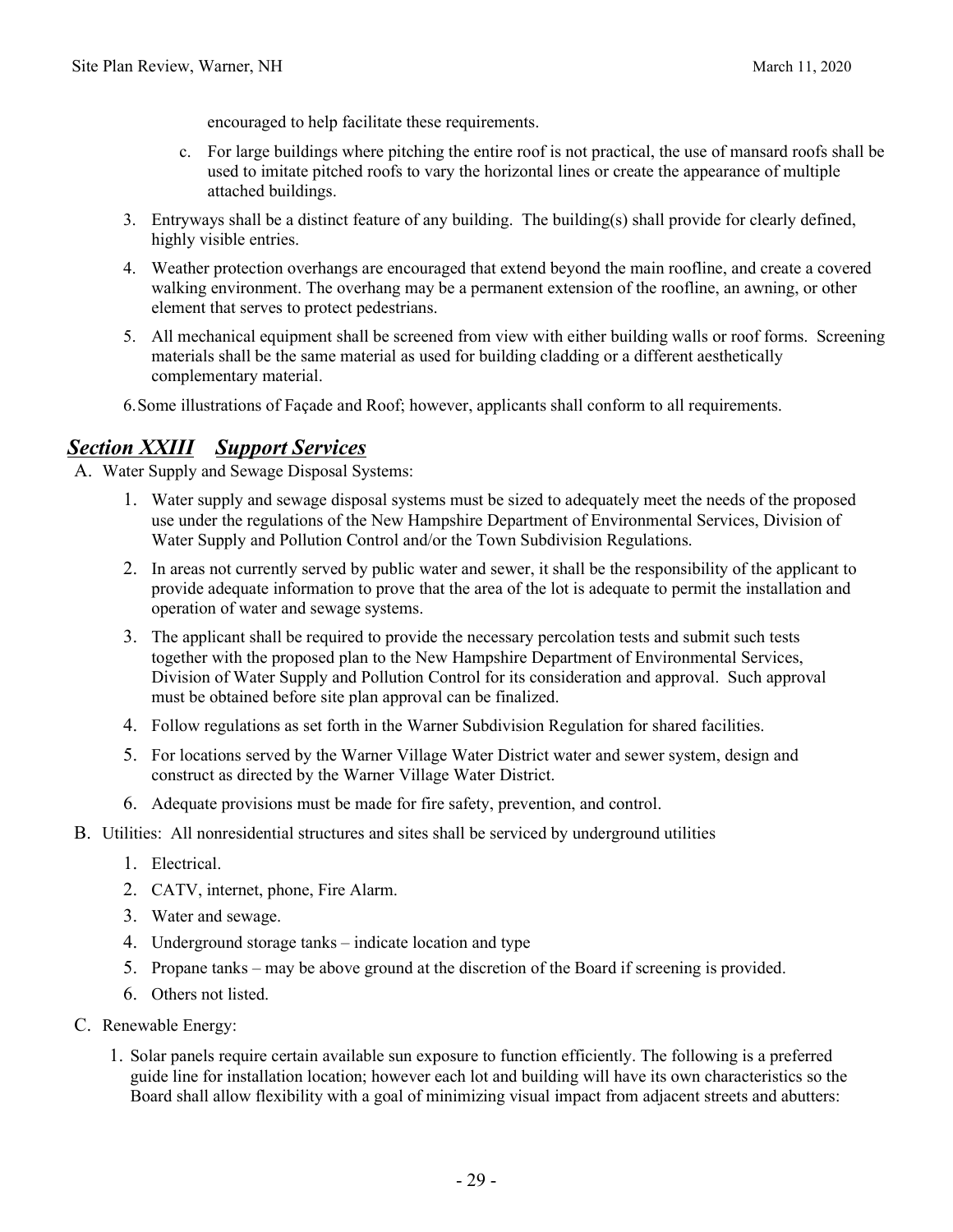encouraged to help facilitate these requirements.

- c. For large buildings where pitching the entire roof is not practical, the use of mansard roofs shall be used to imitate pitched roofs to vary the horizontal lines or create the appearance of multiple attached buildings.
- 3. Entryways shall be a distinct feature of any building. The building(s) shall provide for clearly defined, highly visible entries.
- 4. Weather protection overhangs are encouraged that extend beyond the main roofline, and create a covered walking environment. The overhang may be a permanent extension of the roofline, an awning, or other element that serves to protect pedestrians.
- 5. All mechanical equipment shall be screened from view with either building walls or roof forms. Screening materials shall be the same material as used for building cladding or a different aesthetically complementary material.
- 6.Some illustrations of Façade and Roof; however, applicants shall conform to all requirements.

### *Section XXIII Support Services*

A. Water Supply and Sewage Disposal Systems:

- 1. Water supply and sewage disposal systems must be sized to adequately meet the needs of the proposed use under the regulations of the New Hampshire Department of Environmental Services, Division of Water Supply and Pollution Control and/or the Town Subdivision Regulations.
- 2. In areas not currently served by public water and sewer, it shall be the responsibility of the applicant to provide adequate information to prove that the area of the lot is adequate to permit the installation and operation of water and sewage systems.
- 3. The applicant shall be required to provide the necessary percolation tests and submit such tests together with the proposed plan to the New Hampshire Department of Environmental Services, Division of Water Supply and Pollution Control for its consideration and approval. Such approval must be obtained before site plan approval can be finalized.
- 4. Follow regulations as set forth in the Warner Subdivision Regulation for shared facilities.
- 5. For locations served by the Warner Village Water District water and sewer system, design and construct as directed by the Warner Village Water District.
- 6. Adequate provisions must be made for fire safety, prevention, and control.
- B. Utilities: All nonresidential structures and sites shall be serviced by underground utilities
	- 1. Electrical.
	- 2. CATV, internet, phone, Fire Alarm.
	- 3. Water and sewage.
	- 4. Underground storage tanks indicate location and type
	- 5. Propane tanks may be above ground at the discretion of the Board if screening is provided.
	- 6. Others not listed.
- C. Renewable Energy:
	- 1. Solar panels require certain available sun exposure to function efficiently. The following is a preferred guide line for installation location; however each lot and building will have its own characteristics so the Board shall allow flexibility with a goal of minimizing visual impact from adjacent streets and abutters: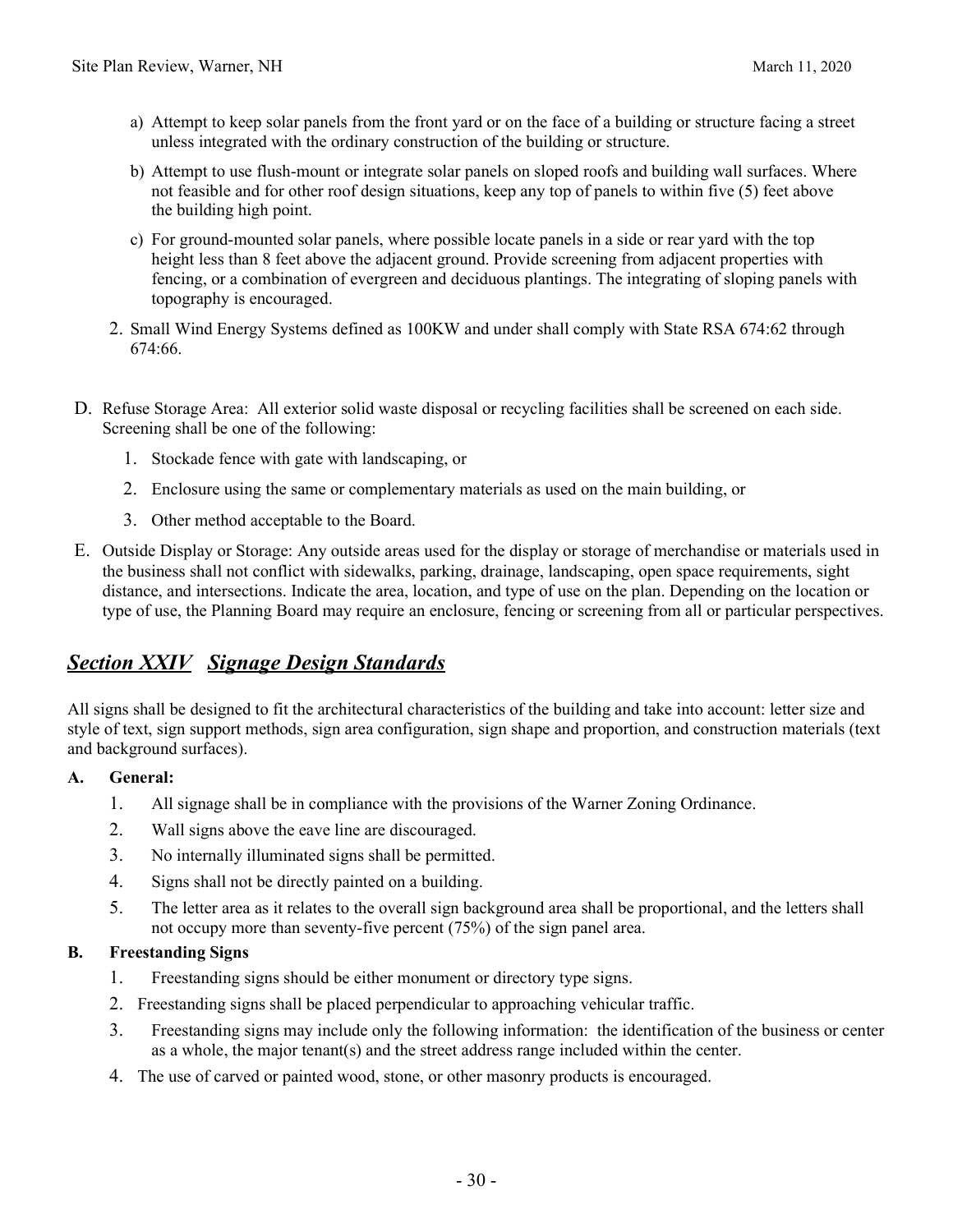- a) Attempt to keep solar panels from the front yard or on the face of a building or structure facing a street unless integrated with the ordinary construction of the building or structure.
- b) Attempt to use flush-mount or integrate solar panels on sloped roofs and building wall surfaces. Where not feasible and for other roof design situations, keep any top of panels to within five (5) feet above the building high point.
- c) For ground-mounted solar panels, where possible locate panels in a side or rear yard with the top height less than 8 feet above the adjacent ground. Provide screening from adjacent properties with fencing, or a combination of evergreen and deciduous plantings. The integrating of sloping panels with topography is encouraged.
- 2. Small Wind Energy Systems defined as 100KW and under shall comply with State RSA 674:62 through 674:66.
- D. Refuse Storage Area: All exterior solid waste disposal or recycling facilities shall be screened on each side. Screening shall be one of the following:
	- 1. Stockade fence with gate with landscaping, or
	- 2. Enclosure using the same or complementary materials as used on the main building, or
	- 3. Other method acceptable to the Board.
- E. Outside Display or Storage: Any outside areas used for the display or storage of merchandise or materials used in the business shall not conflict with sidewalks, parking, drainage, landscaping, open space requirements, sight distance, and intersections. Indicate the area, location, and type of use on the plan. Depending on the location or type of use, the Planning Board may require an enclosure, fencing or screening from all or particular perspectives.

### *Section XXIV Signage Design Standards*

All signs shall be designed to fit the architectural characteristics of the building and take into account: letter size and style of text, sign support methods, sign area configuration, sign shape and proportion, and construction materials (text and background surfaces).

#### **A. General:**

- 1. All signage shall be in compliance with the provisions of the Warner Zoning Ordinance.
- 2. Wall signs above the eave line are discouraged.
- 3. No internally illuminated signs shall be permitted.
- 4. Signs shall not be directly painted on a building.
- 5. The letter area as it relates to the overall sign background area shall be proportional, and the letters shall not occupy more than seventy-five percent (75%) of the sign panel area.

#### **B. Freestanding Signs**

- 1. Freestanding signs should be either monument or directory type signs.
- 2. Freestanding signs shall be placed perpendicular to approaching vehicular traffic.
- 3. Freestanding signs may include only the following information: the identification of the business or center as a whole, the major tenant(s) and the street address range included within the center.
- 4. The use of carved or painted wood, stone, or other masonry products is encouraged.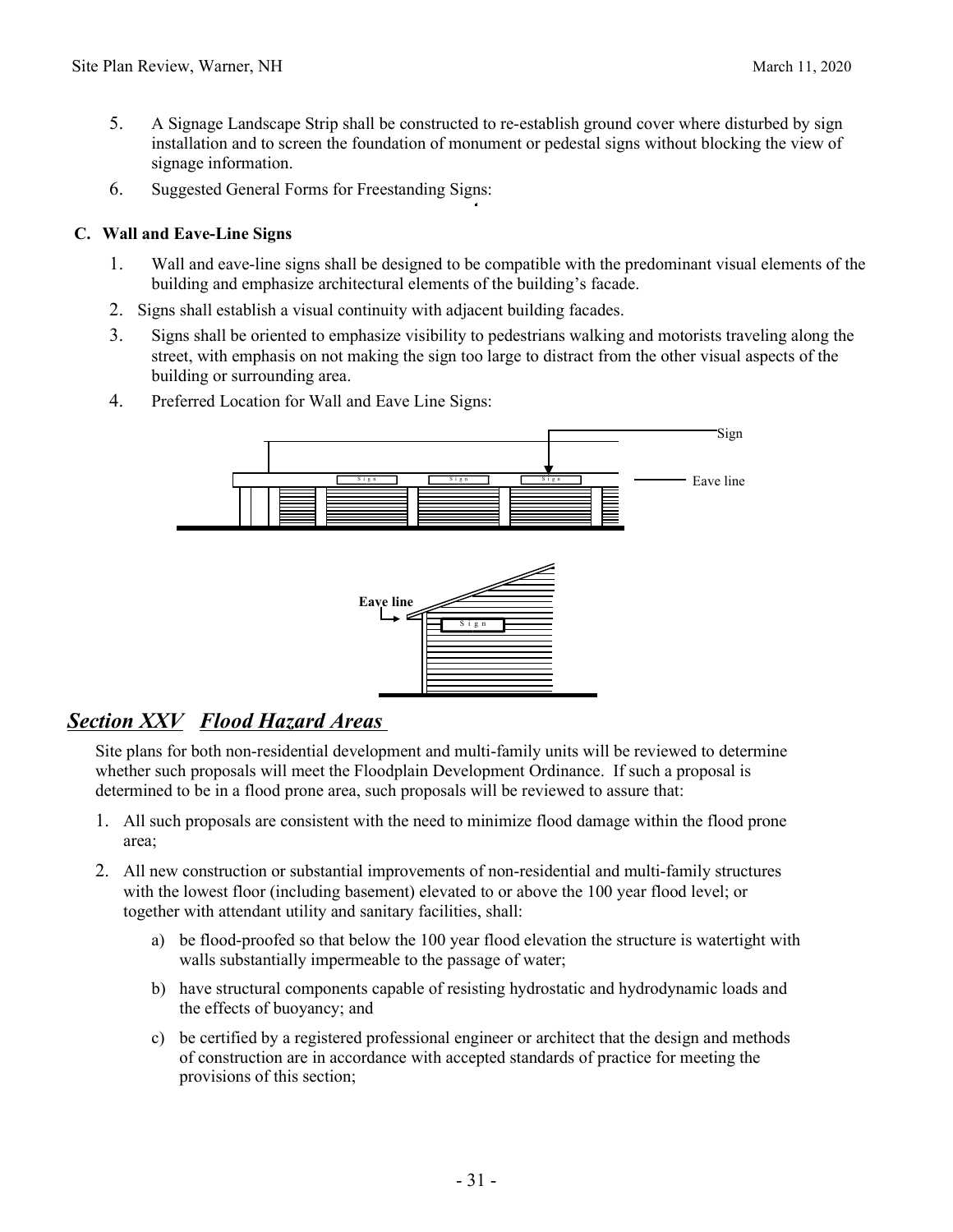- 5. A Signage Landscape Strip shall be constructed to re-establish ground cover where disturbed by sign installation and to screen the foundation of monument or pedestal signs without blocking the view of signage information.
- 6. Suggested General Forms for Freestanding Signs:

#### **C. Wall and Eave-Line Signs**

- 1. Wall and eave-line signs shall be designed to be compatible with the predominant visual elements of the building and emphasize architectural elements of the building's facade.
- 2. Signs shall establish a visual continuity with adjacent building facades.
- 3. Signs shall be oriented to emphasize visibility to pedestrians walking and motorists traveling along the street, with emphasis on not making the sign too large to distract from the other visual aspects of the building or surrounding area.
- 4. Preferred Location for Wall and Eave Line Signs:



### *Section XXV Flood Hazard Areas*

Site plans for both non-residential development and multi-family units will be reviewed to determine whether such proposals will meet the Floodplain Development Ordinance. If such a proposal is determined to be in a flood prone area, such proposals will be reviewed to assure that:

- 1. All such proposals are consistent with the need to minimize flood damage within the flood prone area;
- 2. All new construction or substantial improvements of non-residential and multi-family structures with the lowest floor (including basement) elevated to or above the 100 year flood level; or together with attendant utility and sanitary facilities, shall:
	- a) be flood-proofed so that below the 100 year flood elevation the structure is watertight with walls substantially impermeable to the passage of water;
	- b) have structural components capable of resisting hydrostatic and hydrodynamic loads and the effects of buoyancy; and
	- c) be certified by a registered professional engineer or architect that the design and methods of construction are in accordance with accepted standards of practice for meeting the provisions of this section;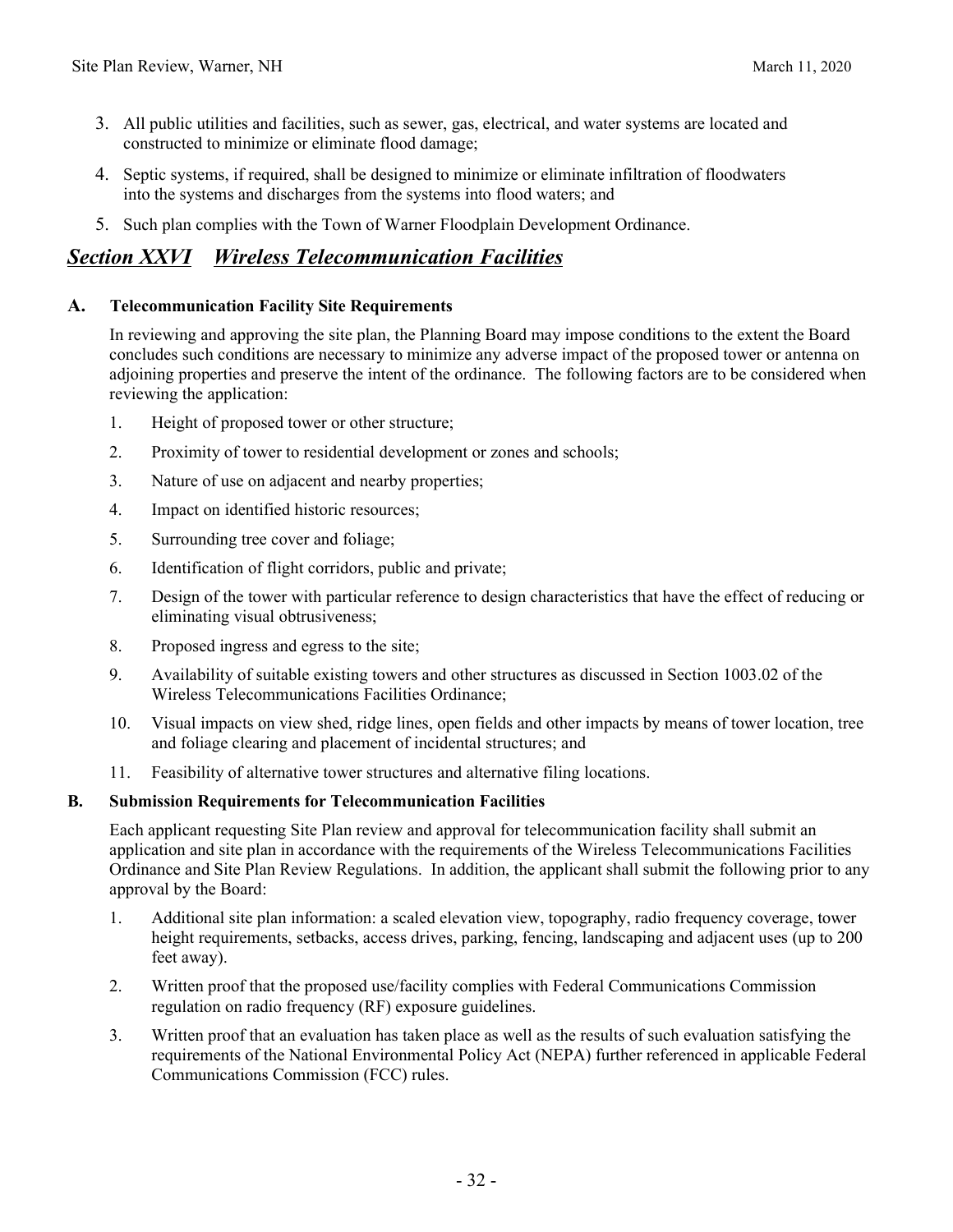- 3. All public utilities and facilities, such as sewer, gas, electrical, and water systems are located and constructed to minimize or eliminate flood damage;
- 4. Septic systems, if required, shall be designed to minimize or eliminate infiltration of floodwaters into the systems and discharges from the systems into flood waters; and
- 5. Such plan complies with the Town of Warner Floodplain Development Ordinance.

### *Section XXVI Wireless Telecommunication Facilities*

#### **A. Telecommunication Facility Site Requirements**

In reviewing and approving the site plan, the Planning Board may impose conditions to the extent the Board concludes such conditions are necessary to minimize any adverse impact of the proposed tower or antenna on adjoining properties and preserve the intent of the ordinance. The following factors are to be considered when reviewing the application:

- 1. Height of proposed tower or other structure;
- 2. Proximity of tower to residential development or zones and schools;
- 3. Nature of use on adjacent and nearby properties;
- 4. Impact on identified historic resources;
- 5. Surrounding tree cover and foliage;
- 6. Identification of flight corridors, public and private;
- 7. Design of the tower with particular reference to design characteristics that have the effect of reducing or eliminating visual obtrusiveness;
- 8. Proposed ingress and egress to the site;
- 9. Availability of suitable existing towers and other structures as discussed in Section 1003.02 of the Wireless Telecommunications Facilities Ordinance;
- 10. Visual impacts on view shed, ridge lines, open fields and other impacts by means of tower location, tree and foliage clearing and placement of incidental structures; and
- 11. Feasibility of alternative tower structures and alternative filing locations.

#### **B. Submission Requirements for Telecommunication Facilities**

Each applicant requesting Site Plan review and approval for telecommunication facility shall submit an application and site plan in accordance with the requirements of the Wireless Telecommunications Facilities Ordinance and Site Plan Review Regulations. In addition, the applicant shall submit the following prior to any approval by the Board:

- 1. Additional site plan information: a scaled elevation view, topography, radio frequency coverage, tower height requirements, setbacks, access drives, parking, fencing, landscaping and adjacent uses (up to 200 feet away).
- 2. Written proof that the proposed use/facility complies with Federal Communications Commission regulation on radio frequency (RF) exposure guidelines.
- 3. Written proof that an evaluation has taken place as well as the results of such evaluation satisfying the requirements of the National Environmental Policy Act (NEPA) further referenced in applicable Federal Communications Commission (FCC) rules.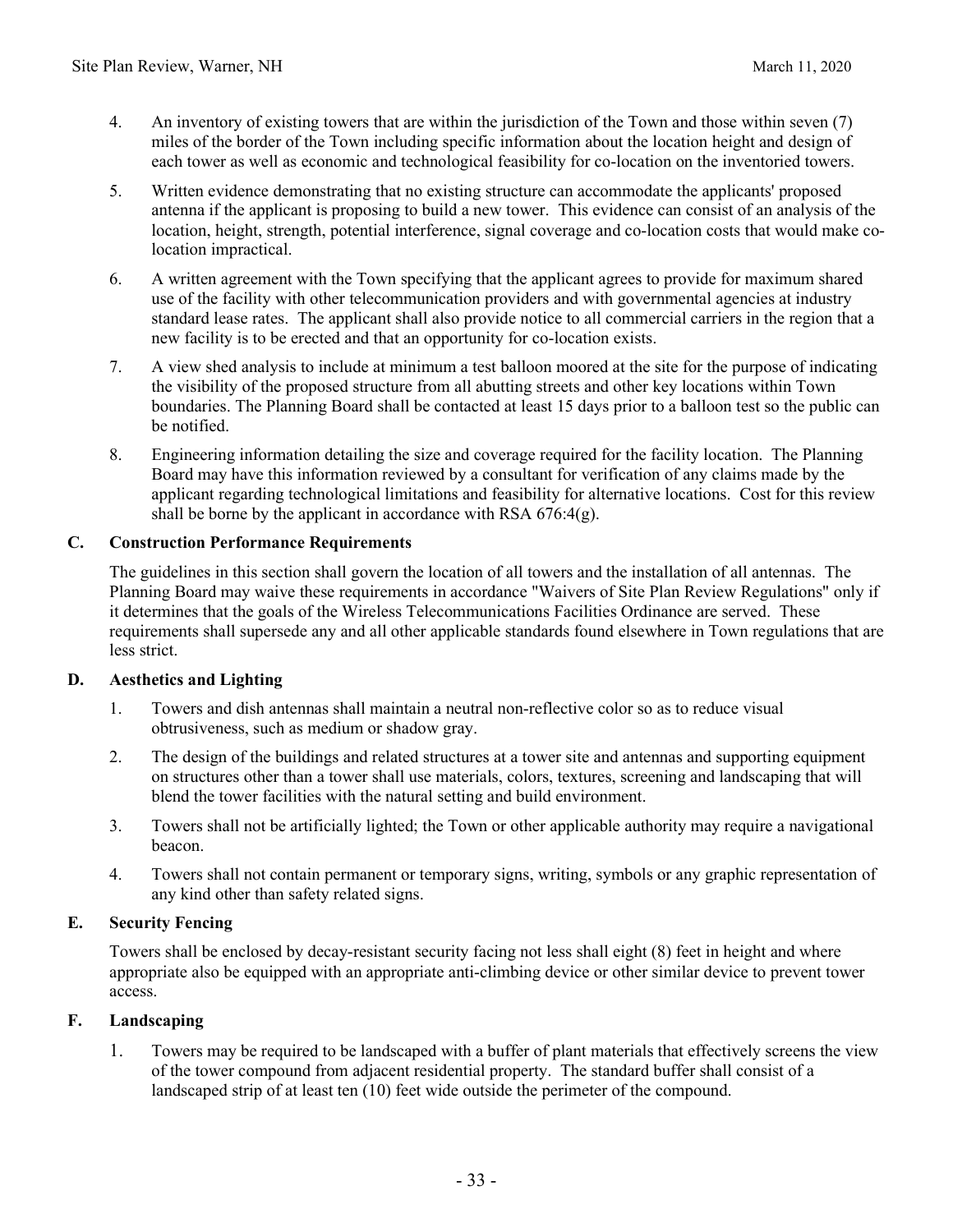- 4. An inventory of existing towers that are within the jurisdiction of the Town and those within seven (7) miles of the border of the Town including specific information about the location height and design of each tower as well as economic and technological feasibility for co-location on the inventoried towers.
- 5. Written evidence demonstrating that no existing structure can accommodate the applicants' proposed antenna if the applicant is proposing to build a new tower. This evidence can consist of an analysis of the location, height, strength, potential interference, signal coverage and co-location costs that would make colocation impractical.
- 6. A written agreement with the Town specifying that the applicant agrees to provide for maximum shared use of the facility with other telecommunication providers and with governmental agencies at industry standard lease rates. The applicant shall also provide notice to all commercial carriers in the region that a new facility is to be erected and that an opportunity for co-location exists.
- 7. A view shed analysis to include at minimum a test balloon moored at the site for the purpose of indicating the visibility of the proposed structure from all abutting streets and other key locations within Town boundaries. The Planning Board shall be contacted at least 15 days prior to a balloon test so the public can be notified.
- 8. Engineering information detailing the size and coverage required for the facility location. The Planning Board may have this information reviewed by a consultant for verification of any claims made by the applicant regarding technological limitations and feasibility for alternative locations. Cost for this review shall be borne by the applicant in accordance with RSA  $676:4(g)$ .

#### **C. Construction Performance Requirements**

The guidelines in this section shall govern the location of all towers and the installation of all antennas. The Planning Board may waive these requirements in accordance "Waivers of Site Plan Review Regulations" only if it determines that the goals of the Wireless Telecommunications Facilities Ordinance are served. These requirements shall supersede any and all other applicable standards found elsewhere in Town regulations that are less strict.

#### **D. Aesthetics and Lighting**

- 1. Towers and dish antennas shall maintain a neutral non-reflective color so as to reduce visual obtrusiveness, such as medium or shadow gray.
- 2. The design of the buildings and related structures at a tower site and antennas and supporting equipment on structures other than a tower shall use materials, colors, textures, screening and landscaping that will blend the tower facilities with the natural setting and build environment.
- 3. Towers shall not be artificially lighted; the Town or other applicable authority may require a navigational beacon.
- 4. Towers shall not contain permanent or temporary signs, writing, symbols or any graphic representation of any kind other than safety related signs.

#### **E. Security Fencing**

Towers shall be enclosed by decay-resistant security facing not less shall eight (8) feet in height and where appropriate also be equipped with an appropriate anti-climbing device or other similar device to prevent tower access.

#### **F. Landscaping**

1. Towers may be required to be landscaped with a buffer of plant materials that effectively screens the view of the tower compound from adjacent residential property. The standard buffer shall consist of a landscaped strip of at least ten (10) feet wide outside the perimeter of the compound.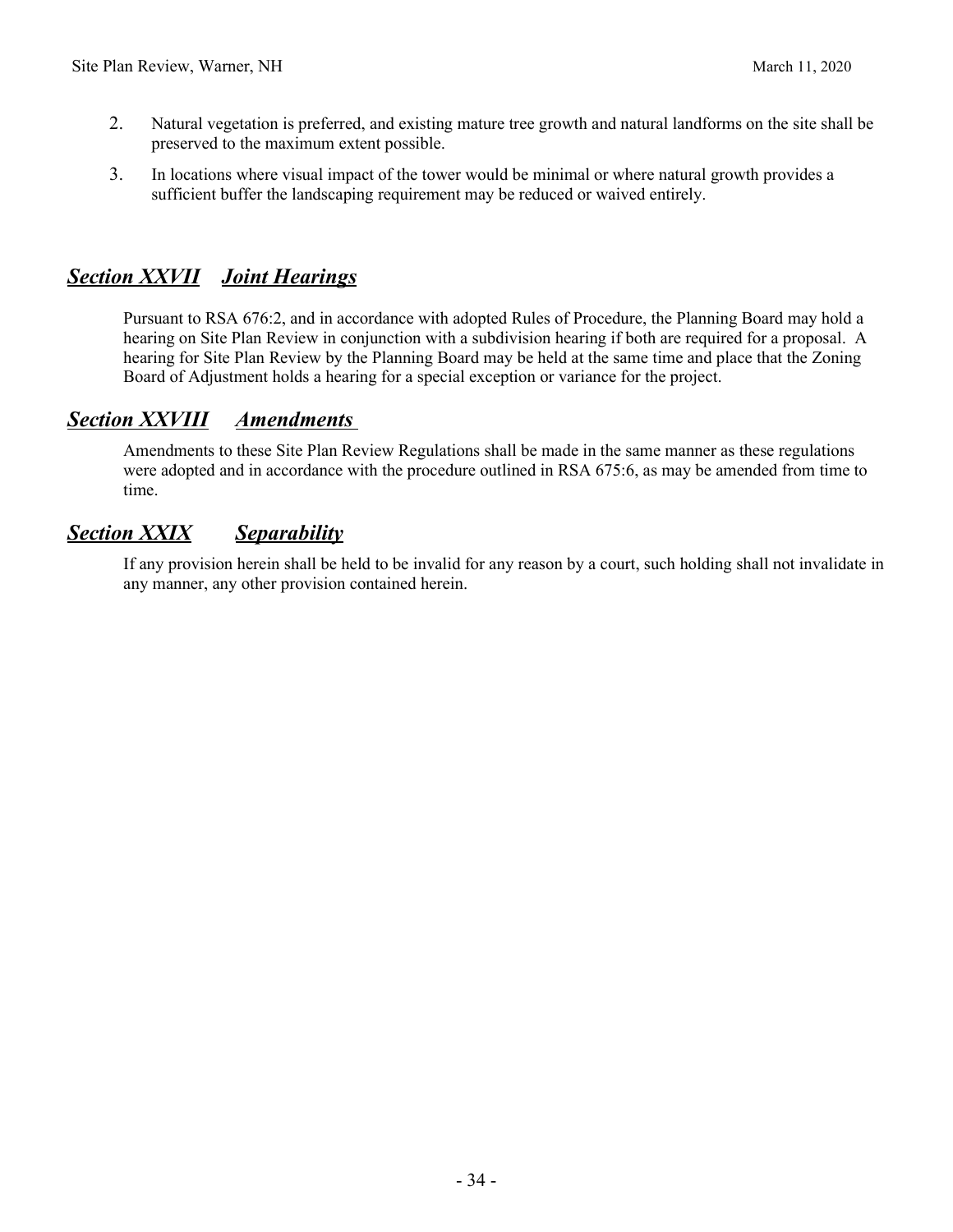- 2. Natural vegetation is preferred, and existing mature tree growth and natural landforms on the site shall be preserved to the maximum extent possible.
- 3. In locations where visual impact of the tower would be minimal or where natural growth provides a sufficient buffer the landscaping requirement may be reduced or waived entirely.

# *Section XXVII Joint Hearings*

Pursuant to RSA 676:2, and in accordance with adopted Rules of Procedure, the Planning Board may hold a hearing on Site Plan Review in conjunction with a subdivision hearing if both are required for a proposal. A hearing for Site Plan Review by the Planning Board may be held at the same time and place that the Zoning Board of Adjustment holds a hearing for a special exception or variance for the project.

### *Section XXVIII Amendments*

Amendments to these Site Plan Review Regulations shall be made in the same manner as these regulations were adopted and in accordance with the procedure outlined in RSA 675:6, as may be amended from time to time.

# *Section XXIX Separability*

If any provision herein shall be held to be invalid for any reason by a court, such holding shall not invalidate in any manner, any other provision contained herein.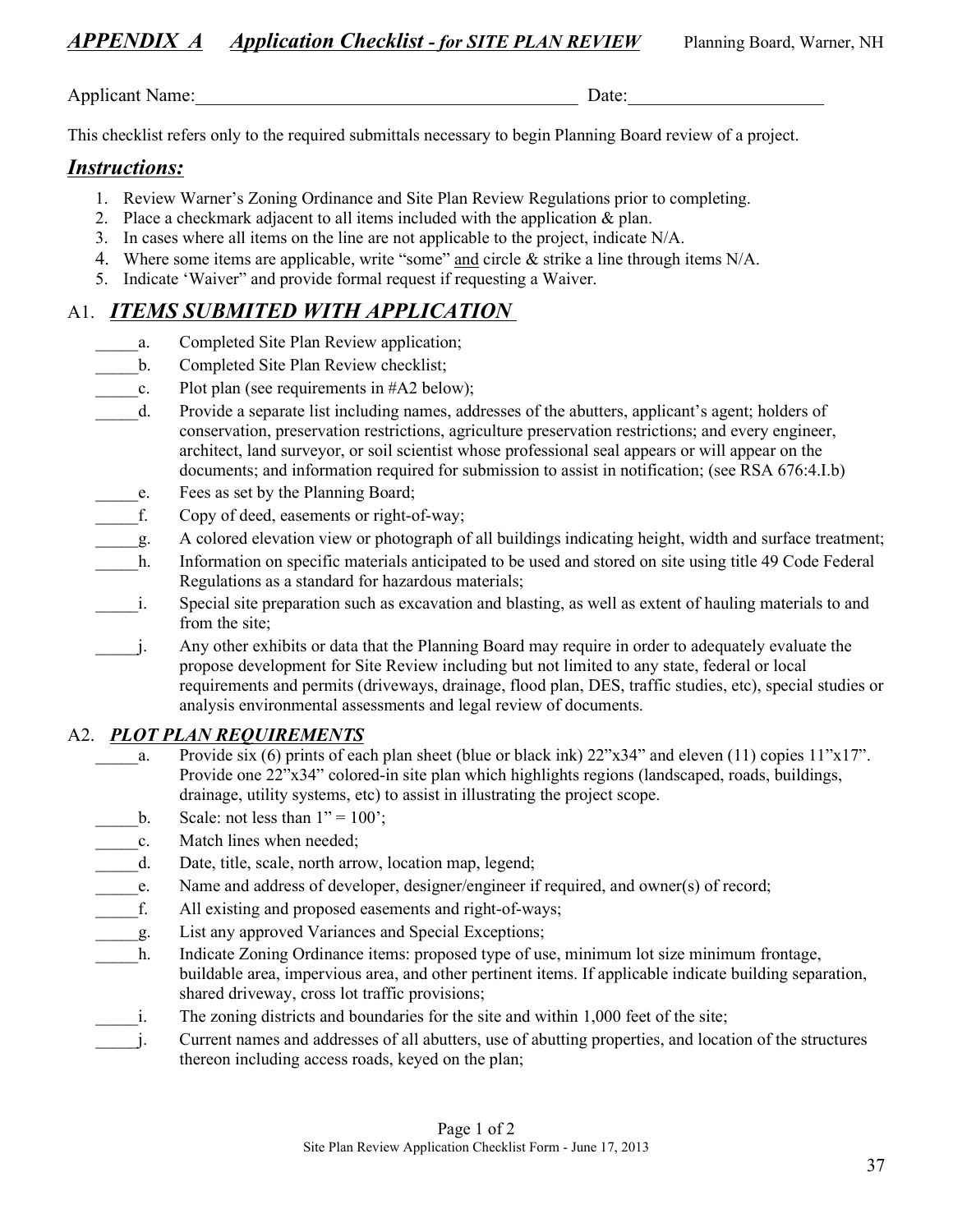Applicant Name:\_\_\_\_\_\_\_\_\_\_\_\_\_\_\_\_\_\_\_\_\_\_\_\_\_\_\_\_\_\_\_\_\_\_\_\_\_\_\_\_\_ Date:\_\_\_\_\_\_\_\_\_\_\_\_\_\_\_\_\_\_\_\_\_

This checklist refers only to the required submittals necessary to begin Planning Board review of a project.

# *Instructions:*

- 1. Review Warner's Zoning Ordinance and Site Plan Review Regulations prior to completing.
- 2. Place a checkmark adjacent to all items included with the application & plan.
- 3. In cases where all items on the line are not applicable to the project, indicate N/A.
- 4. Where some items are applicable, write "some" and circle & strike a line through items N/A.
- 5. Indicate 'Waiver" and provide formal request if requesting a Waiver.

# A1. *ITEMS SUBMITED WITH APPLICATION*

- a. Completed Site Plan Review application;
- \_\_\_\_\_b. Completed Site Plan Review checklist;
- c. Plot plan (see requirements in  $#A2$  below);
- \_\_\_\_\_d. Provide a separate list including names, addresses of the abutters, applicant's agent; holders of conservation, preservation restrictions, agriculture preservation restrictions; and every engineer, architect, land surveyor, or soil scientist whose professional seal appears or will appear on the documents; and information required for submission to assist in notification; (see RSA 676:4.I.b)
- \_\_\_\_\_e. Fees as set by the Planning Board;
- f. Copy of deed, easements or right-of-way;
- \_\_\_\_\_g. A colored elevation view or photograph of all buildings indicating height, width and surface treatment;
- h. Information on specific materials anticipated to be used and stored on site using title 49 Code Federal Regulations as a standard for hazardous materials;
- i. Special site preparation such as excavation and blasting, as well as extent of hauling materials to and from the site;
- \_\_\_\_\_j. Any other exhibits or data that the Planning Board may require in order to adequately evaluate the propose development for Site Review including but not limited to any state, federal or local requirements and permits (driveways, drainage, flood plan, DES, traffic studies, etc), special studies or analysis environmental assessments and legal review of documents.

# A2. *PLOT PLAN REQUIREMENTS*

- a. Provide six (6) prints of each plan sheet (blue or black ink)  $22"x34"$  and eleven (11) copies  $11"x17"$ . Provide one 22"x34" colored-in site plan which highlights regions (landscaped, roads, buildings, drainage, utility systems, etc) to assist in illustrating the project scope.
- b. Scale: not less than  $1" = 100$ ;
- \_\_\_\_\_c. Match lines when needed;
- d. Date, title, scale, north arrow, location map, legend;
- e. Name and address of developer, designer/engineer if required, and owner(s) of record;
- f. All existing and proposed easements and right-of-ways;
- \_\_\_\_\_g. List any approved Variances and Special Exceptions;
- h. Indicate Zoning Ordinance items: proposed type of use, minimum lot size minimum frontage, buildable area, impervious area, and other pertinent items. If applicable indicate building separation, shared driveway, cross lot traffic provisions;
- i. The zoning districts and boundaries for the site and within 1,000 feet of the site;
- \_\_\_\_\_j. Current names and addresses of all abutters, use of abutting properties, and location of the structures thereon including access roads, keyed on the plan;